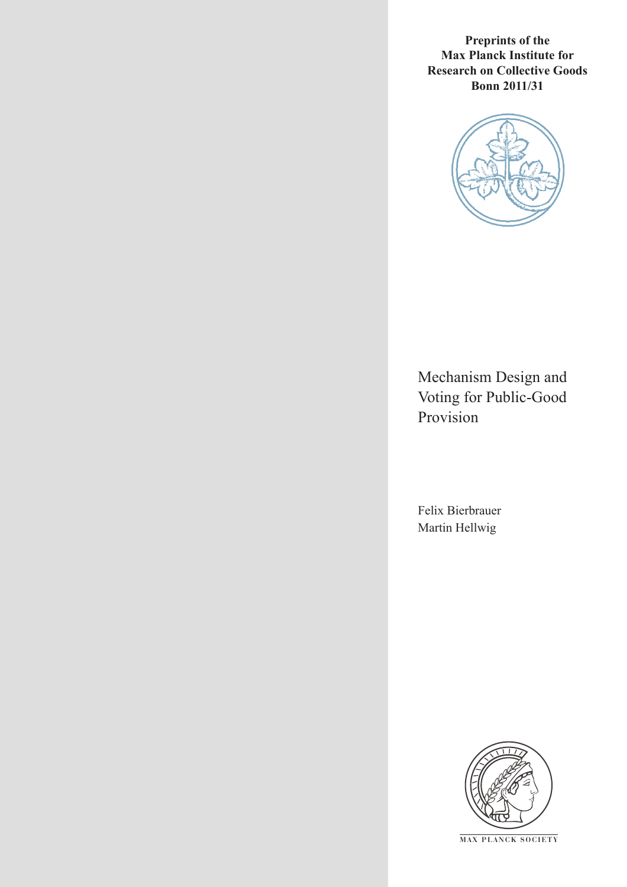**Preprints of the Max Planck Institute for Research on Collective Goods Bonn 2011/31**



Mechanism Design and Voting for Public-Good Provision

Felix Bierbrauer Martin Hellwig



**M AX PLANCK SOCIETY**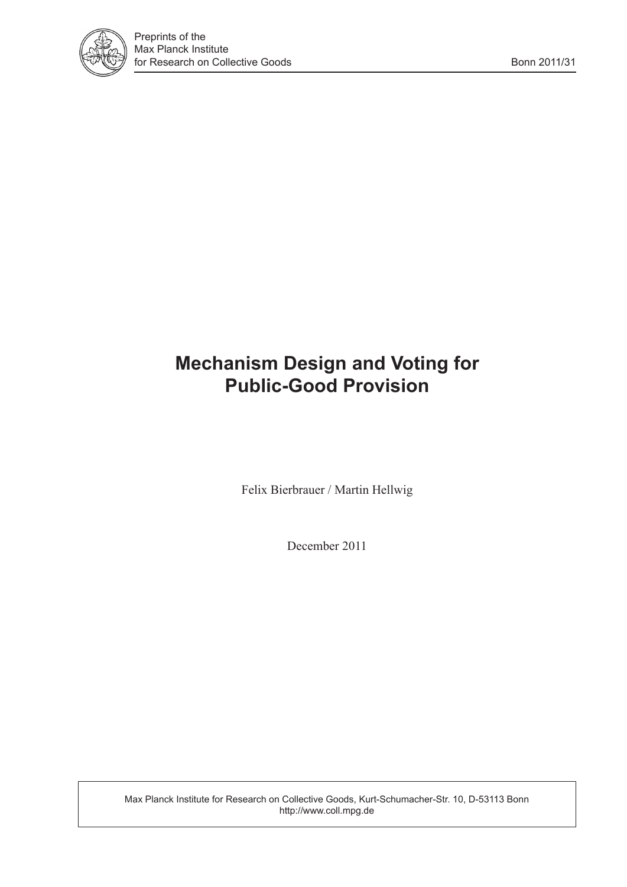

# **Mechanism Design and Voting for Public-Good Provision**

Felix Bierbrauer / Martin Hellwig

December 2011

Max Planck Institute for Research on Collective Goods, Kurt-Schumacher-Str. 10, D-53113 Bonn http://www.coll.mpg.de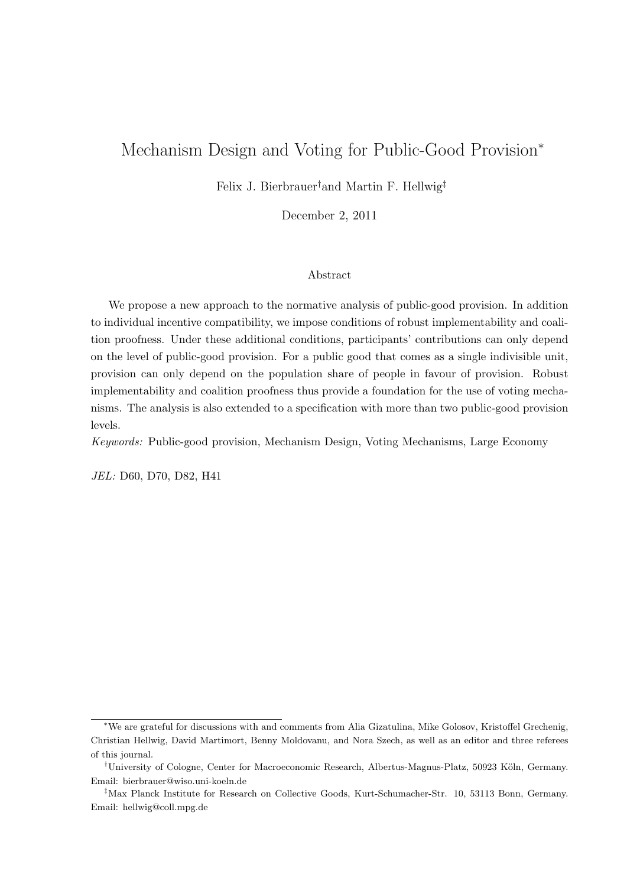## Mechanism Design and Voting for Public-Good Provision<sup>∗</sup>

Felix J. Bierbrauer†and Martin F. Hellwig‡

December 2, 2011

#### Abstract

We propose a new approach to the normative analysis of public-good provision. In addition to individual incentive compatibility, we impose conditions of robust implementability and coalition proofness. Under these additional conditions, participants' contributions can only depend on the level of public-good provision. For a public good that comes as a single indivisible unit, provision can only depend on the population share of people in favour of provision. Robust implementability and coalition proofness thus provide a foundation for the use of voting mechanisms. The analysis is also extended to a specification with more than two public-good provision levels.

Keywords: Public-good provision, Mechanism Design, Voting Mechanisms, Large Economy

JEL: D60, D70, D82, H41

<sup>∗</sup>We are grateful for discussions with and comments from Alia Gizatulina, Mike Golosov, Kristoffel Grechenig, Christian Hellwig, David Martimort, Benny Moldovanu, and Nora Szech, as well as an editor and three referees of this journal.

<sup>&</sup>lt;sup>†</sup>University of Cologne, Center for Macroeconomic Research, Albertus-Magnus-Platz, 50923 Köln, Germany. Email: bierbrauer@wiso.uni-koeln.de

<sup>‡</sup>Max Planck Institute for Research on Collective Goods, Kurt-Schumacher-Str. 10, 53113 Bonn, Germany. Email: hellwig@coll.mpg.de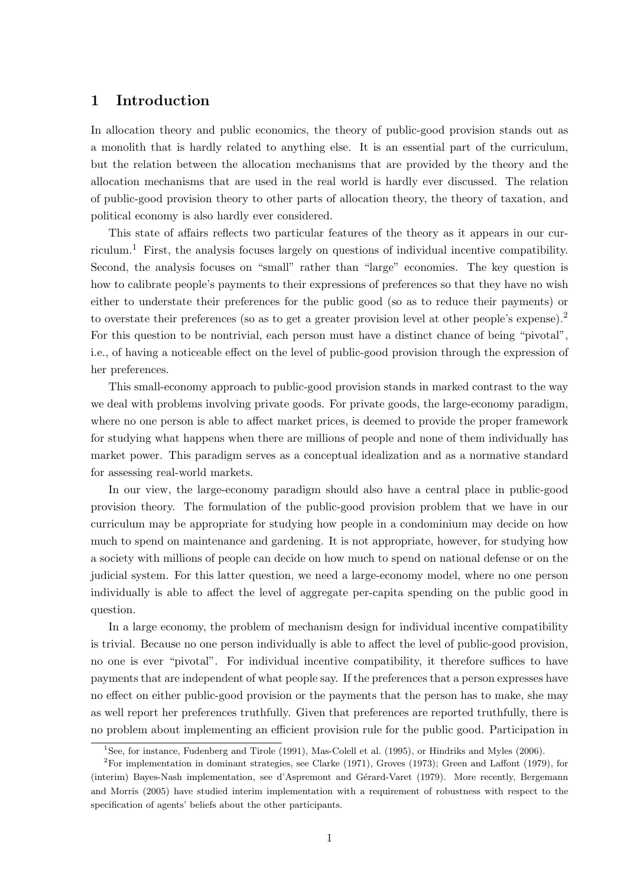## 1 Introduction

In allocation theory and public economics, the theory of public-good provision stands out as a monolith that is hardly related to anything else. It is an essential part of the curriculum, but the relation between the allocation mechanisms that are provided by the theory and the allocation mechanisms that are used in the real world is hardly ever discussed. The relation of public-good provision theory to other parts of allocation theory, the theory of taxation, and political economy is also hardly ever considered.

This state of affairs reflects two particular features of the theory as it appears in our curriculum.<sup>1</sup> First, the analysis focuses largely on questions of individual incentive compatibility. Second, the analysis focuses on "small" rather than "large" economies. The key question is how to calibrate people's payments to their expressions of preferences so that they have no wish either to understate their preferences for the public good (so as to reduce their payments) or to overstate their preferences (so as to get a greater provision level at other people's expense).<sup>2</sup> For this question to be nontrivial, each person must have a distinct chance of being "pivotal", i.e., of having a noticeable effect on the level of public-good provision through the expression of her preferences.

This small-economy approach to public-good provision stands in marked contrast to the way we deal with problems involving private goods. For private goods, the large-economy paradigm, where no one person is able to affect market prices, is deemed to provide the proper framework for studying what happens when there are millions of people and none of them individually has market power. This paradigm serves as a conceptual idealization and as a normative standard for assessing real-world markets.

In our view, the large-economy paradigm should also have a central place in public-good provision theory. The formulation of the public-good provision problem that we have in our curriculum may be appropriate for studying how people in a condominium may decide on how much to spend on maintenance and gardening. It is not appropriate, however, for studying how a society with millions of people can decide on how much to spend on national defense or on the judicial system. For this latter question, we need a large-economy model, where no one person individually is able to affect the level of aggregate per-capita spending on the public good in question.

In a large economy, the problem of mechanism design for individual incentive compatibility is trivial. Because no one person individually is able to affect the level of public-good provision, no one is ever "pivotal". For individual incentive compatibility, it therefore suffices to have payments that are independent of what people say. If the preferences that a person expresses have no effect on either public-good provision or the payments that the person has to make, she may as well report her preferences truthfully. Given that preferences are reported truthfully, there is no problem about implementing an efficient provision rule for the public good. Participation in

<sup>&</sup>lt;sup>1</sup>See, for instance, Fudenberg and Tirole (1991), Mas-Colell et al. (1995), or Hindriks and Myles (2006).

<sup>&</sup>lt;sup>2</sup>For implementation in dominant strategies, see Clarke (1971), Groves (1973); Green and Laffont (1979), for (interim) Bayes-Nash implementation, see d'Aspremont and Gérard-Varet (1979). More recently, Bergemann and Morris (2005) have studied interim implementation with a requirement of robustness with respect to the specification of agents' beliefs about the other participants.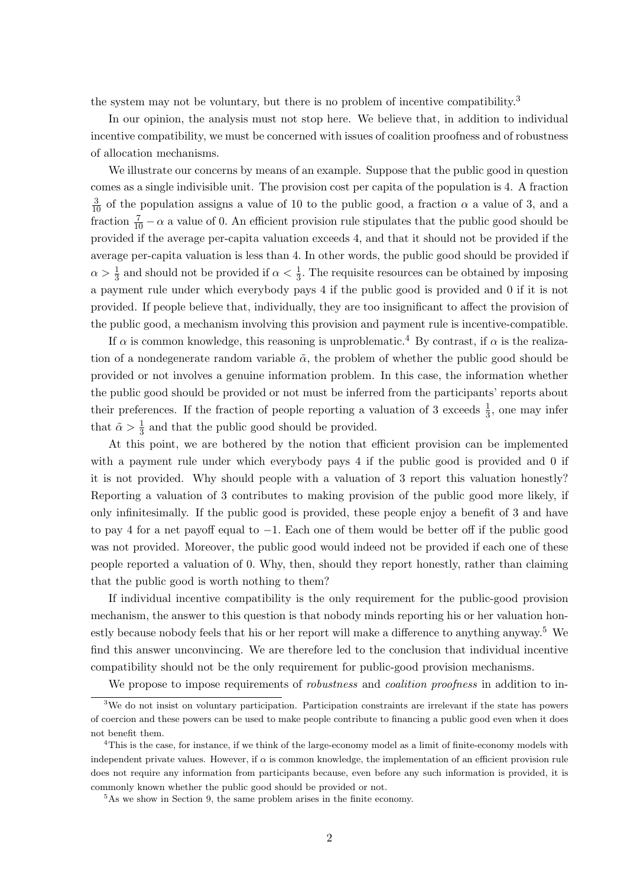the system may not be voluntary, but there is no problem of incentive compatibility.<sup>3</sup>

In our opinion, the analysis must not stop here. We believe that, in addition to individual incentive compatibility, we must be concerned with issues of coalition proofness and of robustness of allocation mechanisms.

We illustrate our concerns by means of an example. Suppose that the public good in question comes as a single indivisible unit. The provision cost per capita of the population is 4. A fraction  $\frac{3}{10}$  of the population assigns a value of 10 to the public good, a fraction  $\alpha$  a value of 3, and a fraction  $\frac{7}{10} - \alpha$  a value of 0. An efficient provision rule stipulates that the public good should be provided if the average per-capita valuation exceeds 4, and that it should not be provided if the average per-capita valuation is less than 4. In other words, the public good should be provided if  $\alpha > \frac{1}{3}$  and should not be provided if  $\alpha < \frac{1}{3}$ . The requisite resources can be obtained by imposing a payment rule under which everybody pays 4 if the public good is provided and 0 if it is not provided. If people believe that, individually, they are too insignificant to affect the provision of the public good, a mechanism involving this provision and payment rule is incentive-compatible.

If  $\alpha$  is common knowledge, this reasoning is unproblematic.<sup>4</sup> By contrast, if  $\alpha$  is the realization of a nondegenerate random variable  $\tilde{\alpha}$ , the problem of whether the public good should be provided or not involves a genuine information problem. In this case, the information whether the public good should be provided or not must be inferred from the participants' reports about their preferences. If the fraction of people reporting a valuation of 3 exceeds  $\frac{1}{3}$ , one may infer that  $\tilde{\alpha} > \frac{1}{3}$  and that the public good should be provided.

At this point, we are bothered by the notion that efficient provision can be implemented with a payment rule under which everybody pays 4 if the public good is provided and 0 if it is not provided. Why should people with a valuation of 3 report this valuation honestly? Reporting a valuation of 3 contributes to making provision of the public good more likely, if only infinitesimally. If the public good is provided, these people enjoy a benefit of 3 and have to pay 4 for a net payoff equal to −1. Each one of them would be better off if the public good was not provided. Moreover, the public good would indeed not be provided if each one of these people reported a valuation of 0. Why, then, should they report honestly, rather than claiming that the public good is worth nothing to them?

If individual incentive compatibility is the only requirement for the public-good provision mechanism, the answer to this question is that nobody minds reporting his or her valuation honestly because nobody feels that his or her report will make a difference to anything anyway.<sup>5</sup> We find this answer unconvincing. We are therefore led to the conclusion that individual incentive compatibility should not be the only requirement for public-good provision mechanisms.

We propose to impose requirements of *robustness* and *coalition proofness* in addition to in-

<sup>3</sup>We do not insist on voluntary participation. Participation constraints are irrelevant if the state has powers of coercion and these powers can be used to make people contribute to financing a public good even when it does not benefit them.

<sup>4</sup>This is the case, for instance, if we think of the large-economy model as a limit of finite-economy models with independent private values. However, if  $\alpha$  is common knowledge, the implementation of an efficient provision rule does not require any information from participants because, even before any such information is provided, it is commonly known whether the public good should be provided or not.

<sup>&</sup>lt;sup>5</sup>As we show in Section 9, the same problem arises in the finite economy.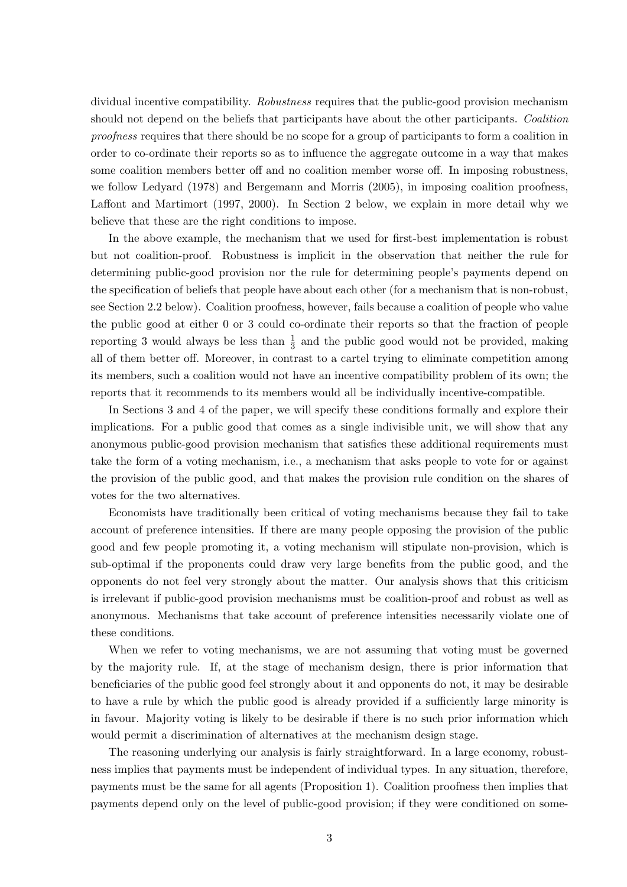dividual incentive compatibility. Robustness requires that the public-good provision mechanism should not depend on the beliefs that participants have about the other participants. Coalition proofness requires that there should be no scope for a group of participants to form a coalition in order to co-ordinate their reports so as to influence the aggregate outcome in a way that makes some coalition members better off and no coalition member worse off. In imposing robustness, we follow Ledyard (1978) and Bergemann and Morris (2005), in imposing coalition proofness, Laffont and Martimort (1997, 2000). In Section 2 below, we explain in more detail why we believe that these are the right conditions to impose.

In the above example, the mechanism that we used for first-best implementation is robust but not coalition-proof. Robustness is implicit in the observation that neither the rule for determining public-good provision nor the rule for determining people's payments depend on the specification of beliefs that people have about each other (for a mechanism that is non-robust, see Section 2.2 below). Coalition proofness, however, fails because a coalition of people who value the public good at either 0 or 3 could co-ordinate their reports so that the fraction of people reporting 3 would always be less than  $\frac{1}{3}$  and the public good would not be provided, making all of them better off. Moreover, in contrast to a cartel trying to eliminate competition among its members, such a coalition would not have an incentive compatibility problem of its own; the reports that it recommends to its members would all be individually incentive-compatible.

In Sections 3 and 4 of the paper, we will specify these conditions formally and explore their implications. For a public good that comes as a single indivisible unit, we will show that any anonymous public-good provision mechanism that satisfies these additional requirements must take the form of a voting mechanism, i.e., a mechanism that asks people to vote for or against the provision of the public good, and that makes the provision rule condition on the shares of votes for the two alternatives.

Economists have traditionally been critical of voting mechanisms because they fail to take account of preference intensities. If there are many people opposing the provision of the public good and few people promoting it, a voting mechanism will stipulate non-provision, which is sub-optimal if the proponents could draw very large benefits from the public good, and the opponents do not feel very strongly about the matter. Our analysis shows that this criticism is irrelevant if public-good provision mechanisms must be coalition-proof and robust as well as anonymous. Mechanisms that take account of preference intensities necessarily violate one of these conditions.

When we refer to voting mechanisms, we are not assuming that voting must be governed by the majority rule. If, at the stage of mechanism design, there is prior information that beneficiaries of the public good feel strongly about it and opponents do not, it may be desirable to have a rule by which the public good is already provided if a sufficiently large minority is in favour. Majority voting is likely to be desirable if there is no such prior information which would permit a discrimination of alternatives at the mechanism design stage.

The reasoning underlying our analysis is fairly straightforward. In a large economy, robustness implies that payments must be independent of individual types. In any situation, therefore, payments must be the same for all agents (Proposition 1). Coalition proofness then implies that payments depend only on the level of public-good provision; if they were conditioned on some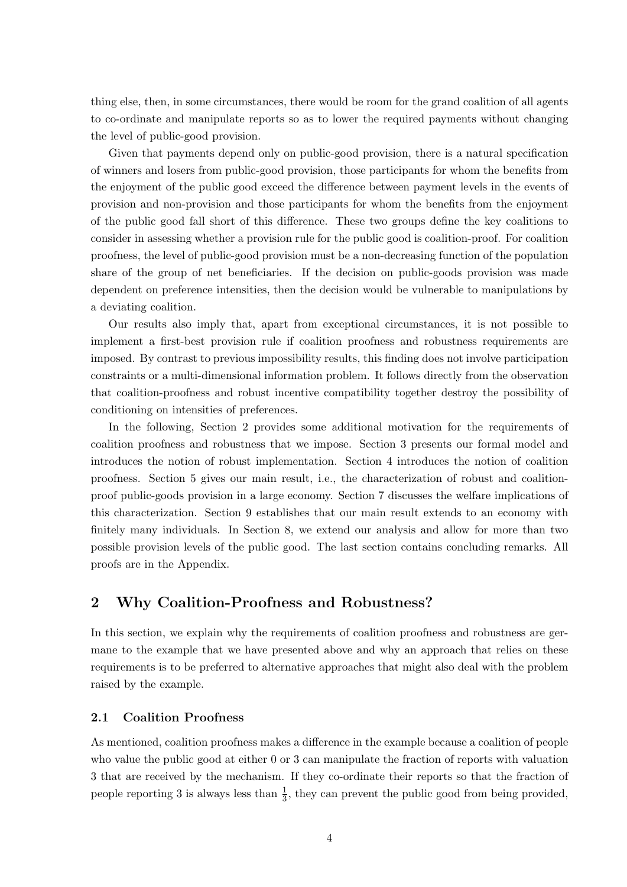thing else, then, in some circumstances, there would be room for the grand coalition of all agents to co-ordinate and manipulate reports so as to lower the required payments without changing the level of public-good provision.

Given that payments depend only on public-good provision, there is a natural specification of winners and losers from public-good provision, those participants for whom the benefits from the enjoyment of the public good exceed the difference between payment levels in the events of provision and non-provision and those participants for whom the benefits from the enjoyment of the public good fall short of this difference. These two groups define the key coalitions to consider in assessing whether a provision rule for the public good is coalition-proof. For coalition proofness, the level of public-good provision must be a non-decreasing function of the population share of the group of net beneficiaries. If the decision on public-goods provision was made dependent on preference intensities, then the decision would be vulnerable to manipulations by a deviating coalition.

Our results also imply that, apart from exceptional circumstances, it is not possible to implement a first-best provision rule if coalition proofness and robustness requirements are imposed. By contrast to previous impossibility results, this finding does not involve participation constraints or a multi-dimensional information problem. It follows directly from the observation that coalition-proofness and robust incentive compatibility together destroy the possibility of conditioning on intensities of preferences.

In the following, Section 2 provides some additional motivation for the requirements of coalition proofness and robustness that we impose. Section 3 presents our formal model and introduces the notion of robust implementation. Section 4 introduces the notion of coalition proofness. Section 5 gives our main result, i.e., the characterization of robust and coalitionproof public-goods provision in a large economy. Section 7 discusses the welfare implications of this characterization. Section 9 establishes that our main result extends to an economy with finitely many individuals. In Section 8, we extend our analysis and allow for more than two possible provision levels of the public good. The last section contains concluding remarks. All proofs are in the Appendix.

## 2 Why Coalition-Proofness and Robustness?

In this section, we explain why the requirements of coalition proofness and robustness are germane to the example that we have presented above and why an approach that relies on these requirements is to be preferred to alternative approaches that might also deal with the problem raised by the example.

#### 2.1 Coalition Proofness

As mentioned, coalition proofness makes a difference in the example because a coalition of people who value the public good at either 0 or 3 can manipulate the fraction of reports with valuation 3 that are received by the mechanism. If they co-ordinate their reports so that the fraction of people reporting 3 is always less than  $\frac{1}{3}$ , they can prevent the public good from being provided,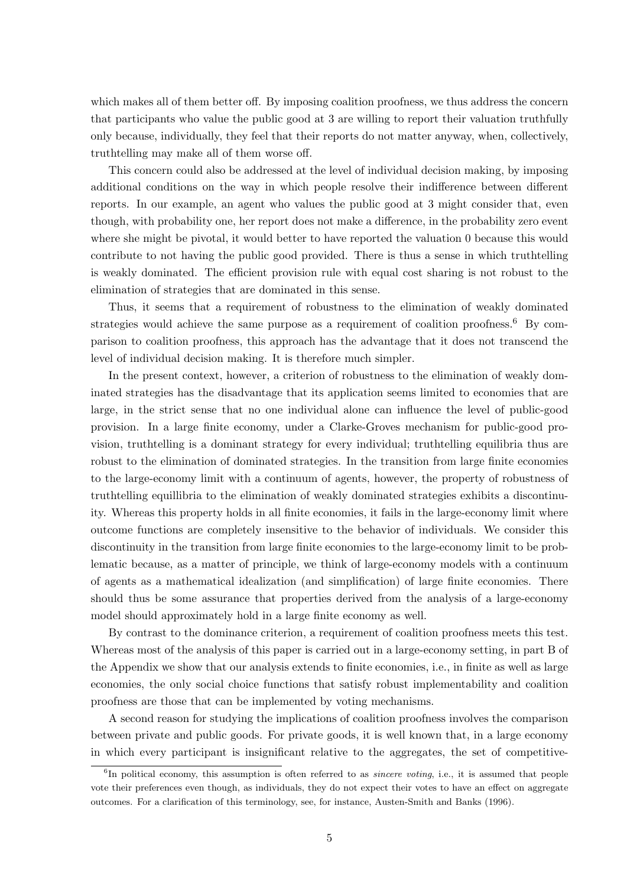which makes all of them better off. By imposing coalition proofness, we thus address the concern that participants who value the public good at 3 are willing to report their valuation truthfully only because, individually, they feel that their reports do not matter anyway, when, collectively, truthtelling may make all of them worse off.

This concern could also be addressed at the level of individual decision making, by imposing additional conditions on the way in which people resolve their indifference between different reports. In our example, an agent who values the public good at 3 might consider that, even though, with probability one, her report does not make a difference, in the probability zero event where she might be pivotal, it would better to have reported the valuation 0 because this would contribute to not having the public good provided. There is thus a sense in which truthtelling is weakly dominated. The efficient provision rule with equal cost sharing is not robust to the elimination of strategies that are dominated in this sense.

Thus, it seems that a requirement of robustness to the elimination of weakly dominated strategies would achieve the same purpose as a requirement of coalition proofness.<sup>6</sup> By comparison to coalition proofness, this approach has the advantage that it does not transcend the level of individual decision making. It is therefore much simpler.

In the present context, however, a criterion of robustness to the elimination of weakly dominated strategies has the disadvantage that its application seems limited to economies that are large, in the strict sense that no one individual alone can influence the level of public-good provision. In a large finite economy, under a Clarke-Groves mechanism for public-good provision, truthtelling is a dominant strategy for every individual; truthtelling equilibria thus are robust to the elimination of dominated strategies. In the transition from large finite economies to the large-economy limit with a continuum of agents, however, the property of robustness of truthtelling equillibria to the elimination of weakly dominated strategies exhibits a discontinuity. Whereas this property holds in all finite economies, it fails in the large-economy limit where outcome functions are completely insensitive to the behavior of individuals. We consider this discontinuity in the transition from large finite economies to the large-economy limit to be problematic because, as a matter of principle, we think of large-economy models with a continuum of agents as a mathematical idealization (and simplification) of large finite economies. There should thus be some assurance that properties derived from the analysis of a large-economy model should approximately hold in a large finite economy as well.

By contrast to the dominance criterion, a requirement of coalition proofness meets this test. Whereas most of the analysis of this paper is carried out in a large-economy setting, in part B of the Appendix we show that our analysis extends to finite economies, i.e., in finite as well as large economies, the only social choice functions that satisfy robust implementability and coalition proofness are those that can be implemented by voting mechanisms.

A second reason for studying the implications of coalition proofness involves the comparison between private and public goods. For private goods, it is well known that, in a large economy in which every participant is insignificant relative to the aggregates, the set of competitive-

<sup>&</sup>lt;sup>6</sup>In political economy, this assumption is often referred to as *sincere voting*, i.e., it is assumed that people vote their preferences even though, as individuals, they do not expect their votes to have an effect on aggregate outcomes. For a clarification of this terminology, see, for instance, Austen-Smith and Banks (1996).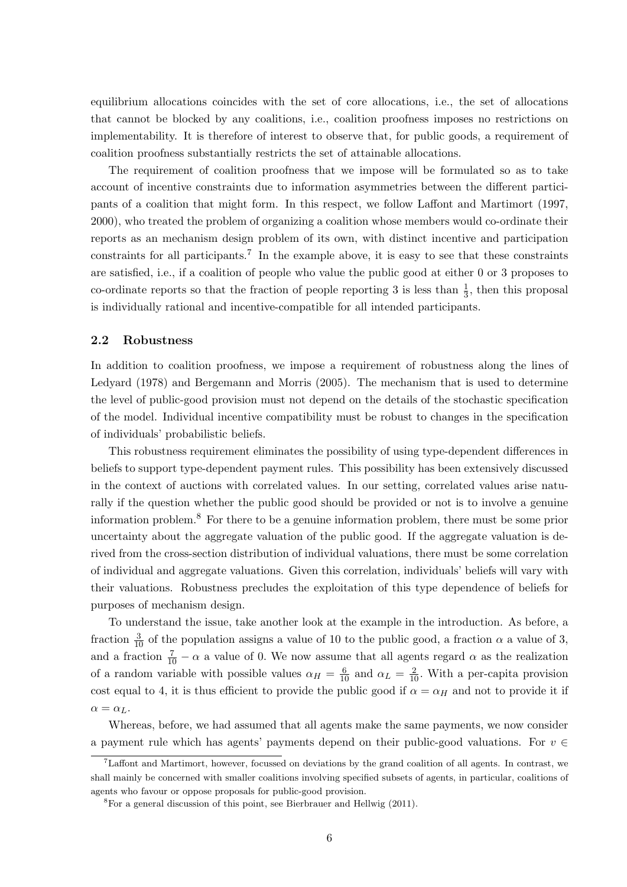equilibrium allocations coincides with the set of core allocations, i.e., the set of allocations that cannot be blocked by any coalitions, i.e., coalition proofness imposes no restrictions on implementability. It is therefore of interest to observe that, for public goods, a requirement of coalition proofness substantially restricts the set of attainable allocations.

The requirement of coalition proofness that we impose will be formulated so as to take account of incentive constraints due to information asymmetries between the different participants of a coalition that might form. In this respect, we follow Laffont and Martimort (1997, 2000), who treated the problem of organizing a coalition whose members would co-ordinate their reports as an mechanism design problem of its own, with distinct incentive and participation constraints for all participants.<sup>7</sup> In the example above, it is easy to see that these constraints are satisfied, i.e., if a coalition of people who value the public good at either 0 or 3 proposes to co-ordinate reports so that the fraction of people reporting 3 is less than  $\frac{1}{3}$ , then this proposal is individually rational and incentive-compatible for all intended participants.

#### 2.2 Robustness

In addition to coalition proofness, we impose a requirement of robustness along the lines of Ledyard (1978) and Bergemann and Morris (2005). The mechanism that is used to determine the level of public-good provision must not depend on the details of the stochastic specification of the model. Individual incentive compatibility must be robust to changes in the specification of individuals' probabilistic beliefs.

This robustness requirement eliminates the possibility of using type-dependent differences in beliefs to support type-dependent payment rules. This possibility has been extensively discussed in the context of auctions with correlated values. In our setting, correlated values arise naturally if the question whether the public good should be provided or not is to involve a genuine information problem.<sup>8</sup> For there to be a genuine information problem, there must be some prior uncertainty about the aggregate valuation of the public good. If the aggregate valuation is derived from the cross-section distribution of individual valuations, there must be some correlation of individual and aggregate valuations. Given this correlation, individuals' beliefs will vary with their valuations. Robustness precludes the exploitation of this type dependence of beliefs for purposes of mechanism design.

To understand the issue, take another look at the example in the introduction. As before, a fraction  $\frac{3}{10}$  of the population assigns a value of 10 to the public good, a fraction  $\alpha$  a value of 3, and a fraction  $\frac{7}{10} - \alpha$  a value of 0. We now assume that all agents regard  $\alpha$  as the realization of a random variable with possible values  $\alpha_H = \frac{6}{10}$  and  $\alpha_L = \frac{2}{10}$ . With a per-capita provision cost equal to 4, it is thus efficient to provide the public good if  $\alpha = \alpha_H$  and not to provide it if  $\alpha = \alpha_L$ .

Whereas, before, we had assumed that all agents make the same payments, we now consider a payment rule which has agents' payments depend on their public-good valuations. For  $v \in$ 

<sup>&</sup>lt;sup>7</sup>Laffont and Martimort, however, focussed on deviations by the grand coalition of all agents. In contrast, we shall mainly be concerned with smaller coalitions involving specified subsets of agents, in particular, coalitions of agents who favour or oppose proposals for public-good provision.

 ${}^{8}$ For a general discussion of this point, see Bierbrauer and Hellwig (2011).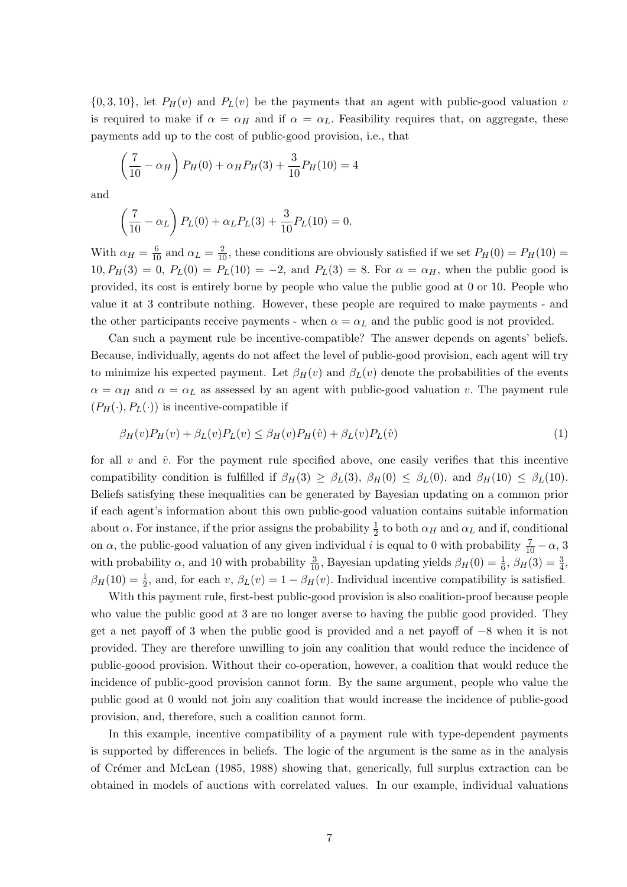$\{0, 3, 10\}$ , let  $P_H(v)$  and  $P_L(v)$  be the payments that an agent with public-good valuation v is required to make if  $\alpha = \alpha_H$  and if  $\alpha = \alpha_L$ . Feasibility requires that, on aggregate, these payments add up to the cost of public-good provision, i.e., that

$$
\left(\frac{7}{10} - \alpha_H\right) P_H(0) + \alpha_H P_H(3) + \frac{3}{10} P_H(10) = 4
$$

and

$$
\left(\frac{7}{10} - \alpha_L\right) P_L(0) + \alpha_L P_L(3) + \frac{3}{10} P_L(10) = 0.
$$

With  $\alpha_H = \frac{6}{10}$  and  $\alpha_L = \frac{2}{10}$ , these conditions are obviously satisfied if we set  $P_H(0) = P_H(10) =$  $10, P_H(3) = 0, P_L(0) = P_L(10) = -2$ , and  $P_L(3) = 8$ . For  $\alpha = \alpha_H$ , when the public good is provided, its cost is entirely borne by people who value the public good at 0 or 10. People who value it at 3 contribute nothing. However, these people are required to make payments - and the other participants receive payments - when  $\alpha = \alpha_L$  and the public good is not provided.

Can such a payment rule be incentive-compatible? The answer depends on agents' beliefs. Because, individually, agents do not affect the level of public-good provision, each agent will try to minimize his expected payment. Let  $\beta_H(v)$  and  $\beta_L(v)$  denote the probabilities of the events  $\alpha = \alpha_H$  and  $\alpha = \alpha_L$  as assessed by an agent with public-good valuation v. The payment rule  $(P_H(\cdot), P_L(\cdot))$  is incentive-compatible if

$$
\beta_H(v)P_H(v) + \beta_L(v)P_L(v) \leq \beta_H(v)P_H(\hat{v}) + \beta_L(v)P_L(\hat{v})
$$
\n<sup>(1)</sup>

for all v and  $\hat{v}$ . For the payment rule specified above, one easily verifies that this incentive compatibility condition is fulfilled if  $\beta_H(3) \geq \beta_L(3)$ ,  $\beta_H(0) \leq \beta_L(0)$ , and  $\beta_H(10) \leq \beta_L(10)$ . Beliefs satisfying these inequalities can be generated by Bayesian updating on a common prior if each agent's information about this own public-good valuation contains suitable information about  $\alpha$ . For instance, if the prior assigns the probability  $\frac{1}{2}$  to both  $\alpha_H$  and  $\alpha_L$  and if, conditional on  $\alpha$ , the public-good valuation of any given individual i is equal to 0 with probability  $\frac{7}{10} - \alpha$ , 3 with probability  $\alpha$ , and 10 with probability  $\frac{3}{10}$ , Bayesian updating yields  $\beta_H(0) = \frac{1}{6}$ ,  $\beta_H(3) = \frac{3}{4}$ ,  $\beta_H(10) = \frac{1}{2}$ , and, for each v,  $\beta_L(v) = 1 - \beta_H(v)$ . Individual incentive compatibility is satisfied.

With this payment rule, first-best public-good provision is also coalition-proof because people who value the public good at 3 are no longer averse to having the public good provided. They get a net payoff of 3 when the public good is provided and a net payoff of −8 when it is not provided. They are therefore unwilling to join any coalition that would reduce the incidence of public-goood provision. Without their co-operation, however, a coalition that would reduce the incidence of public-good provision cannot form. By the same argument, people who value the public good at 0 would not join any coalition that would increase the incidence of public-good provision, and, therefore, such a coalition cannot form.

In this example, incentive compatibility of a payment rule with type-dependent payments is supported by differences in beliefs. The logic of the argument is the same as in the analysis of Cr´emer and McLean (1985, 1988) showing that, generically, full surplus extraction can be obtained in models of auctions with correlated values. In our example, individual valuations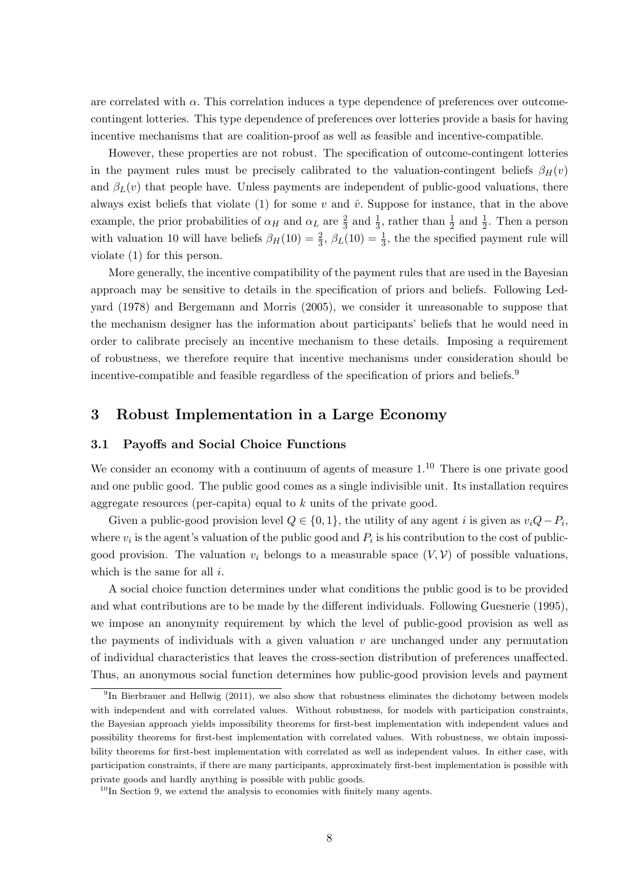are correlated with  $\alpha$ . This correlation induces a type dependence of preferences over outcomecontingent lotteries. This type dependence of preferences over lotteries provide a basis for having incentive mechanisms that are coalition-proof as well as feasible and incentive-compatible.

However, these properties are not robust. The specification of outcome-contingent lotteries in the payment rules must be precisely calibrated to the valuation-contingent beliefs  $\beta_H(v)$ and  $\beta_L(v)$  that people have. Unless payments are independent of public-good valuations, there always exist beliefs that violate (1) for some v and  $\hat{v}$ . Suppose for instance, that in the above example, the prior probabilities of  $\alpha_H$  and  $\alpha_L$  are  $\frac{2}{3}$  and  $\frac{1}{3}$ , rather than  $\frac{1}{2}$  and  $\frac{1}{2}$ . Then a person with valuation 10 will have beliefs  $\beta_H(10) = \frac{2}{3}$ ,  $\beta_L(10) = \frac{1}{3}$ , the the specified payment rule will violate (1) for this person.

More generally, the incentive compatibility of the payment rules that are used in the Bayesian approach may be sensitive to details in the specification of priors and beliefs. Following Ledyard (1978) and Bergemann and Morris (2005), we consider it unreasonable to suppose that the mechanism designer has the information about participants' beliefs that he would need in order to calibrate precisely an incentive mechanism to these details. Imposing a requirement of robustness, we therefore require that incentive mechanisms under consideration should be incentive-compatible and feasible regardless of the specification of priors and beliefs.<sup>9</sup>

## 3 Robust Implementation in a Large Economy

#### 3.1 Payoffs and Social Choice Functions

We consider an economy with a continuum of agents of measure  $1<sup>10</sup>$ . There is one private good and one public good. The public good comes as a single indivisible unit. Its installation requires aggregate resources (per-capita) equal to k units of the private good.

Given a public-good provision level  $Q \in \{0, 1\}$ , the utility of any agent i is given as  $v_iQ - P_i$ , where  $v_i$  is the agent's valuation of the public good and  $P_i$  is his contribution to the cost of publicgood provision. The valuation  $v_i$  belongs to a measurable space  $(V, V)$  of possible valuations, which is the same for all  $i$ .

A social choice function determines under what conditions the public good is to be provided and what contributions are to be made by the different individuals. Following Guesnerie (1995), we impose an anonymity requirement by which the level of public-good provision as well as the payments of individuals with a given valuation  $v$  are unchanged under any permutation of individual characteristics that leaves the cross-section distribution of preferences unaffected. Thus, an anonymous social function determines how public-good provision levels and payment

<sup>&</sup>lt;sup>9</sup>In Bierbrauer and Hellwig (2011), we also show that robustness eliminates the dichotomy between models with independent and with correlated values. Without robustness, for models with participation constraints, the Bayesian approach yields impossibility theorems for first-best implementation with independent values and possibility theorems for first-best implementation with correlated values. With robustness, we obtain impossibility theorems for first-best implementation with correlated as well as independent values. In either case, with participation constraints, if there are many participants, approximately first-best implementation is possible with private goods and hardly anything is possible with public goods.

 $10$ In Section 9, we extend the analysis to economies with finitely many agents.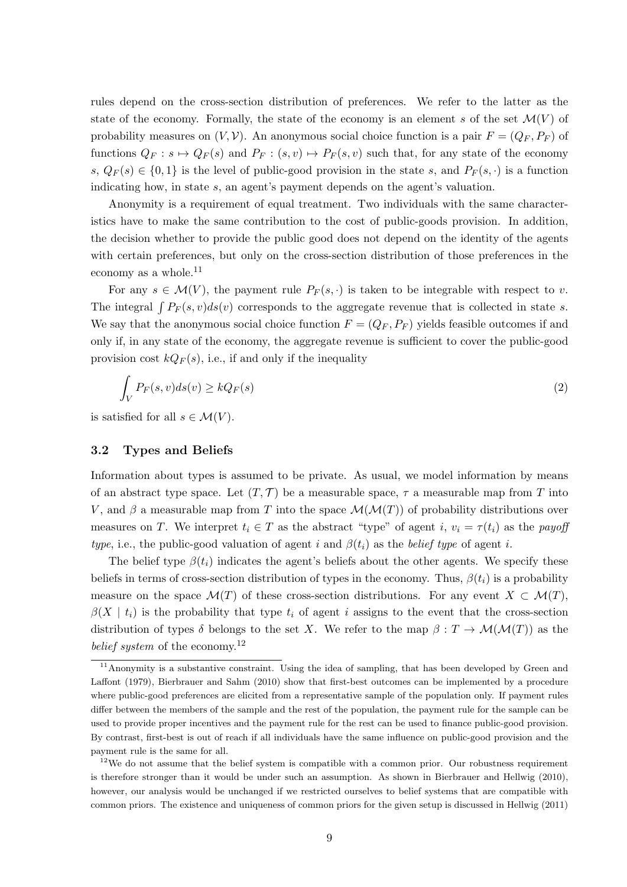rules depend on the cross-section distribution of preferences. We refer to the latter as the state of the economy. Formally, the state of the economy is an element s of the set  $\mathcal{M}(V)$  of probability measures on  $(V, V)$ . An anonymous social choice function is a pair  $F = (Q_F, P_F)$  of functions  $Q_F : s \mapsto Q_F(s)$  and  $P_F : (s, v) \mapsto P_F(s, v)$  such that, for any state of the economy s,  $Q_F(s) \in \{0,1\}$  is the level of public-good provision in the state s, and  $P_F(s, \cdot)$  is a function indicating how, in state s, an agent's payment depends on the agent's valuation.

Anonymity is a requirement of equal treatment. Two individuals with the same characteristics have to make the same contribution to the cost of public-goods provision. In addition, the decision whether to provide the public good does not depend on the identity of the agents with certain preferences, but only on the cross-section distribution of those preferences in the economy as a whole.<sup>11</sup>

For any  $s \in \mathcal{M}(V)$ , the payment rule  $P_F(s, \cdot)$  is taken to be integrable with respect to v. The integral  $\int P_F(s, v)ds(v)$  corresponds to the aggregate revenue that is collected in state s. We say that the anonymous social choice function  $F = (Q_F, P_F)$  yields feasible outcomes if and only if, in any state of the economy, the aggregate revenue is sufficient to cover the public-good provision cost  $kQ_F(s)$ , i.e., if and only if the inequality

$$
\int_{V} P_{F}(s,v)ds(v) \ge kQ_{F}(s)
$$
\n(2)

is satisfied for all  $s \in \mathcal{M}(V)$ .

#### 3.2 Types and Beliefs

Information about types is assumed to be private. As usual, we model information by means of an abstract type space. Let  $(T, \mathcal{T})$  be a measurable space,  $\tau$  a measurable map from T into V, and  $\beta$  a measurable map from T into the space  $\mathcal{M}(\mathcal{M}(T))$  of probability distributions over measures on T. We interpret  $t_i \in T$  as the abstract "type" of agent i,  $v_i = \tau(t_i)$  as the payoff type, i.e., the public-good valuation of agent i and  $\beta(t_i)$  as the belief type of agent i.

The belief type  $\beta(t_i)$  indicates the agent's beliefs about the other agents. We specify these beliefs in terms of cross-section distribution of types in the economy. Thus,  $\beta(t_i)$  is a probability measure on the space  $\mathcal{M}(T)$  of these cross-section distributions. For any event  $X \subset \mathcal{M}(T)$ ,  $\beta(X \mid t_i)$  is the probability that type  $t_i$  of agent i assigns to the event that the cross-section distribution of types  $\delta$  belongs to the set X. We refer to the map  $\beta: T \to \mathcal{M}(\mathcal{M}(T))$  as the belief system of the economy.<sup>12</sup>

<sup>&</sup>lt;sup>11</sup>Anonymity is a substantive constraint. Using the idea of sampling, that has been developed by Green and Laffont (1979), Bierbrauer and Sahm (2010) show that first-best outcomes can be implemented by a procedure where public-good preferences are elicited from a representative sample of the population only. If payment rules differ between the members of the sample and the rest of the population, the payment rule for the sample can be used to provide proper incentives and the payment rule for the rest can be used to finance public-good provision. By contrast, first-best is out of reach if all individuals have the same influence on public-good provision and the payment rule is the same for all.

<sup>12</sup>We do not assume that the belief system is compatible with a common prior. Our robustness requirement is therefore stronger than it would be under such an assumption. As shown in Bierbrauer and Hellwig (2010), however, our analysis would be unchanged if we restricted ourselves to belief systems that are compatible with common priors. The existence and uniqueness of common priors for the given setup is discussed in Hellwig (2011)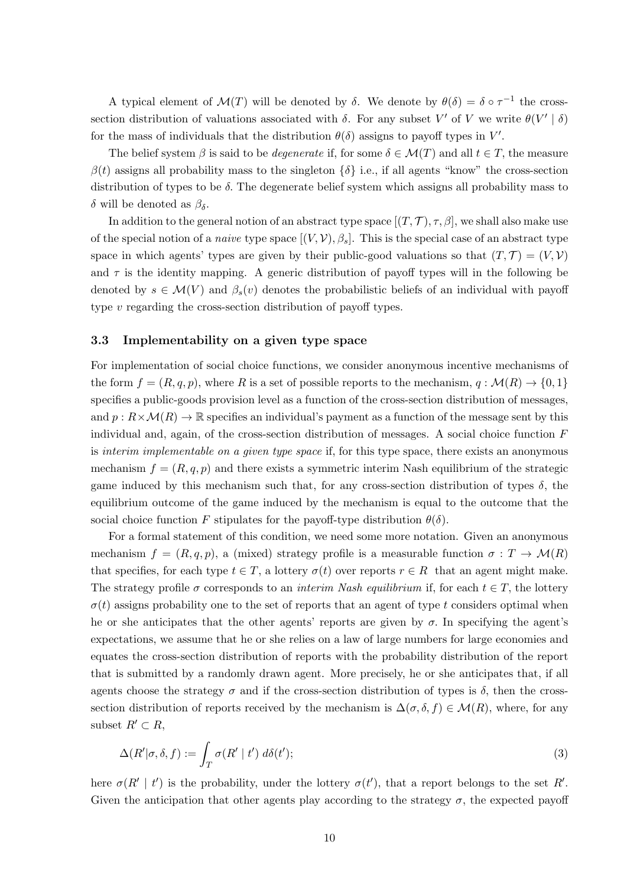A typical element of  $\mathcal{M}(T)$  will be denoted by  $\delta$ . We denote by  $\theta(\delta) = \delta \circ \tau^{-1}$  the crosssection distribution of valuations associated with  $\delta$ . For any subset V' of V we write  $\theta(V' | \delta)$ for the mass of individuals that the distribution  $\theta(\delta)$  assigns to payoff types in  $V'$ .

The belief system  $\beta$  is said to be *degenerate* if, for some  $\delta \in \mathcal{M}(T)$  and all  $t \in T$ , the measure  $\beta(t)$  assigns all probability mass to the singleton  $\{\delta\}$  i.e., if all agents "know" the cross-section distribution of types to be  $\delta$ . The degenerate belief system which assigns all probability mass to δ will be denoted as  $β<sub>δ</sub>$ .

In addition to the general notion of an abstract type space  $[(T, \mathcal{T}), \tau, \beta]$ , we shall also make use of the special notion of a *naive* type space  $[(V, V), \beta_s]$ . This is the special case of an abstract type space in which agents' types are given by their public-good valuations so that  $(T, \mathcal{T}) = (V, \mathcal{V})$ and  $\tau$  is the identity mapping. A generic distribution of payoff types will in the following be denoted by  $s \in \mathcal{M}(V)$  and  $\beta_s(v)$  denotes the probabilistic beliefs of an individual with payoff type v regarding the cross-section distribution of payoff types.

#### 3.3 Implementability on a given type space

For implementation of social choice functions, we consider anonymous incentive mechanisms of the form  $f = (R, q, p)$ , where R is a set of possible reports to the mechanism,  $q : \mathcal{M}(R) \to \{0, 1\}$ specifies a public-goods provision level as a function of the cross-section distribution of messages, and  $p: R \times \mathcal{M}(R) \to \mathbb{R}$  specifies an individual's payment as a function of the message sent by this individual and, again, of the cross-section distribution of messages. A social choice function  $F$ is *interim implementable on a given type space* if, for this type space, there exists an anonymous mechanism  $f = (R, q, p)$  and there exists a symmetric interim Nash equilibrium of the strategic game induced by this mechanism such that, for any cross-section distribution of types  $\delta$ , the equilibrium outcome of the game induced by the mechanism is equal to the outcome that the social choice function F stipulates for the payoff-type distribution  $\theta(\delta)$ .

For a formal statement of this condition, we need some more notation. Given an anonymous mechanism  $f = (R, q, p)$ , a (mixed) strategy profile is a measurable function  $\sigma : T \to \mathcal{M}(R)$ that specifies, for each type  $t \in T$ , a lottery  $\sigma(t)$  over reports  $r \in R$  that an agent might make. The strategy profile  $\sigma$  corresponds to an *interim Nash equilibrium* if, for each  $t \in T$ , the lottery  $\sigma(t)$  assigns probability one to the set of reports that an agent of type t considers optimal when he or she anticipates that the other agents' reports are given by  $\sigma$ . In specifying the agent's expectations, we assume that he or she relies on a law of large numbers for large economies and equates the cross-section distribution of reports with the probability distribution of the report that is submitted by a randomly drawn agent. More precisely, he or she anticipates that, if all agents choose the strategy  $\sigma$  and if the cross-section distribution of types is  $\delta$ , then the crosssection distribution of reports received by the mechanism is  $\Delta(\sigma, \delta, f) \in \mathcal{M}(R)$ , where, for any subset  $R' \subset R$ ,

$$
\Delta(R'|\sigma,\delta,f) := \int_T \sigma(R' | t') d\delta(t');
$$

here  $\sigma(R' | t')$  is the probability, under the lottery  $\sigma(t')$ , that a report belongs to the set R'. Given the anticipation that other agents play according to the strategy  $\sigma$ , the expected payoff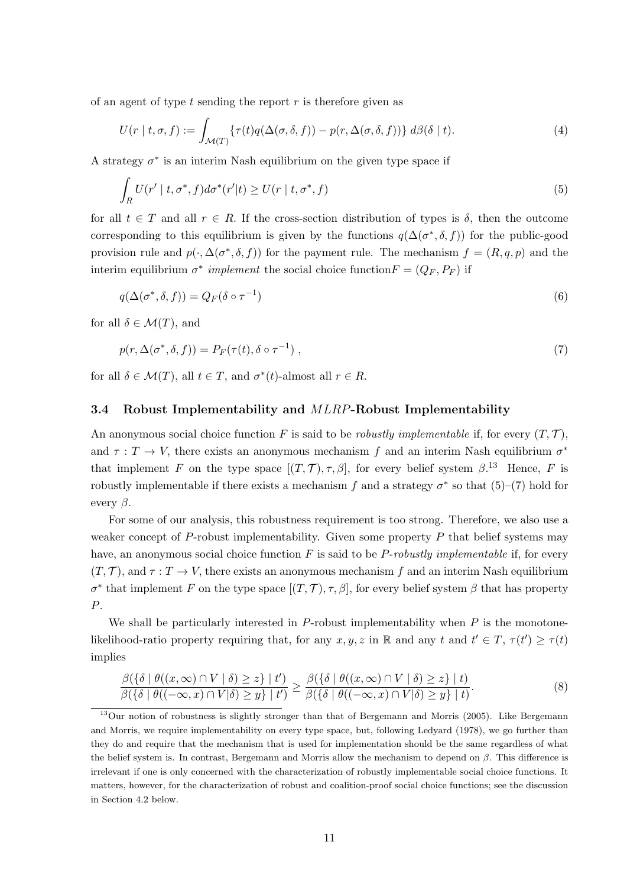of an agent of type t sending the report  $r$  is therefore given as

$$
U(r | t, \sigma, f) := \int_{\mathcal{M}(T)} \{ \tau(t) q(\Delta(\sigma, \delta, f)) - p(r, \Delta(\sigma, \delta, f)) \} d\beta(\delta | t).
$$
\n(4)

A strategy  $\sigma^*$  is an interim Nash equilibrium on the given type space if

$$
\int_{R} U(r' \mid t, \sigma^*, f) d\sigma^*(r' \mid t) \ge U(r \mid t, \sigma^*, f)
$$
\n(5)

for all  $t \in T$  and all  $r \in R$ . If the cross-section distribution of types is  $\delta$ , then the outcome corresponding to this equilibrium is given by the functions  $q(\Delta(\sigma^*, \delta, f))$  for the public-good provision rule and  $p(\cdot, \Delta(\sigma^*, \delta, f))$  for the payment rule. The mechanism  $f = (R, q, p)$  and the interim equilibrium  $\sigma^*$  implement the social choice function  $F = (Q_F, P_F)$  if

$$
q(\Delta(\sigma^*, \delta, f)) = Q_F(\delta \circ \tau^{-1})
$$
\n(6)

for all  $\delta \in \mathcal{M}(T)$ , and

$$
p(r, \Delta(\sigma^*, \delta, f)) = P_F(\tau(t), \delta \circ \tau^{-1}), \qquad (7)
$$

for all  $\delta \in \mathcal{M}(T)$ , all  $t \in T$ , and  $\sigma^*(t)$ -almost all  $r \in R$ .

#### 3.4 Robust Implementability and MLRP-Robust Implementability

An anonymous social choice function F is said to be *robustly implementable* if, for every  $(T, \mathcal{T})$ , and  $\tau: T \to V$ , there exists an anonymous mechanism f and an interim Nash equilibrium  $\sigma^*$ that implement F on the type space  $[(T, \mathcal{T}), \tau, \beta]$ , for every belief system  $\beta$ .<sup>13</sup> Hence, F is robustly implementable if there exists a mechanism f and a strategy  $\sigma^*$  so that  $(5)-(7)$  hold for every  $\beta$ .

For some of our analysis, this robustness requirement is too strong. Therefore, we also use a weaker concept of P-robust implementability. Given some property  $P$  that belief systems may have, an anonymous social choice function  $F$  is said to be P-robustly implementable if, for every  $(T, \mathcal{T})$ , and  $\tau : T \to V$ , there exists an anonymous mechanism f and an interim Nash equilibrium  $\sigma^*$  that implement F on the type space  $[(T, \mathcal{T}), \tau, \beta]$ , for every belief system β that has property P.

We shall be particularly interested in  $P$ -robust implementability when  $P$  is the monotonelikelihood-ratio property requiring that, for any  $x, y, z$  in R and any t and  $t' \in T$ ,  $\tau(t') \geq \tau(t)$ implies

$$
\frac{\beta(\{\delta \mid \theta((x,\infty)\cap V\mid \delta)\geq z\}\mid t')}{\beta(\{\delta \mid \theta((-\infty,x)\cap V\mid \delta)\geq y\}\mid t')} \geq \frac{\beta(\{\delta \mid \theta((x,\infty)\cap V\mid \delta)\geq z\}\mid t)}{\beta(\{\delta \mid \theta((-\infty,x)\cap V\mid \delta)\geq y\}\mid t)}.
$$
\n(8)

<sup>13</sup>Our notion of robustness is slightly stronger than that of Bergemann and Morris (2005). Like Bergemann and Morris, we require implementability on every type space, but, following Ledyard (1978), we go further than they do and require that the mechanism that is used for implementation should be the same regardless of what the belief system is. In contrast, Bergemann and Morris allow the mechanism to depend on  $\beta$ . This difference is irrelevant if one is only concerned with the characterization of robustly implementable social choice functions. It matters, however, for the characterization of robust and coalition-proof social choice functions; see the discussion in Section 4.2 below.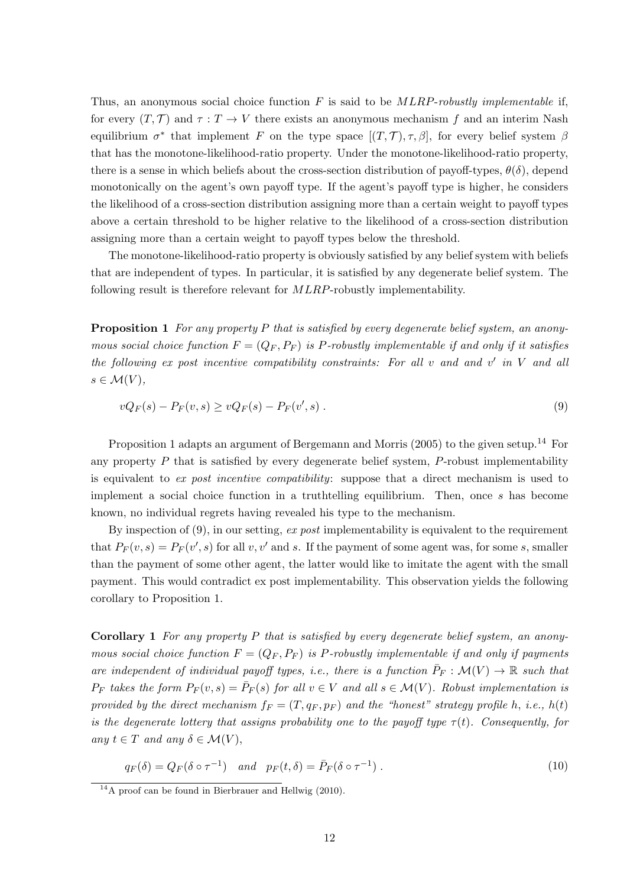Thus, an anonymous social choice function  $F$  is said to be  $MLRP-robustly$  implementable if, for every  $(T, \mathcal{T})$  and  $\tau : T \to V$  there exists an anonymous mechanism f and an interim Nash equilibrium  $\sigma^*$  that implement F on the type space  $[(T, \mathcal{T}), \tau, \beta]$ , for every belief system  $\beta$ that has the monotone-likelihood-ratio property. Under the monotone-likelihood-ratio property, there is a sense in which beliefs about the cross-section distribution of payoff-types,  $\theta(\delta)$ , depend monotonically on the agent's own payoff type. If the agent's payoff type is higher, he considers the likelihood of a cross-section distribution assigning more than a certain weight to payoff types above a certain threshold to be higher relative to the likelihood of a cross-section distribution assigning more than a certain weight to payoff types below the threshold.

The monotone-likelihood-ratio property is obviously satisfied by any belief system with beliefs that are independent of types. In particular, it is satisfied by any degenerate belief system. The following result is therefore relevant for MLRP-robustly implementability.

**Proposition 1** For any property P that is satisfied by every degenerate belief system, an anonymous social choice function  $F = (Q_F, P_F)$  is P-robustly implementable if and only if it satisfies the following ex post incentive compatibility constraints: For all  $v$  and and  $v'$  in  $V$  and all  $s \in \mathcal{M}(V)$ ,

$$
vQ_F(s) - P_F(v, s) \ge vQ_F(s) - P_F(v', s) \tag{9}
$$

Proposition 1 adapts an argument of Bergemann and Morris (2005) to the given setup.<sup>14</sup> For any property  $P$  that is satisfied by every degenerate belief system,  $P$ -robust implementability is equivalent to ex post incentive compatibility: suppose that a direct mechanism is used to implement a social choice function in a truthtelling equilibrium. Then, once s has become known, no individual regrets having revealed his type to the mechanism.

By inspection of  $(9)$ , in our setting, ex post implementability is equivalent to the requirement that  $P_F(v, s) = P_F(v', s)$  for all  $v, v'$  and s. If the payment of some agent was, for some s, smaller than the payment of some other agent, the latter would like to imitate the agent with the small payment. This would contradict ex post implementability. This observation yields the following corollary to Proposition 1.

Corollary 1 For any property P that is satisfied by every degenerate belief system, an anonymous social choice function  $F = (Q_F, P_F)$  is P-robustly implementable if and only if payments are independent of individual payoff types, i.e., there is a function  $\bar{P}_F : \mathcal{M}(V) \to \mathbb{R}$  such that  $P_F$  takes the form  $P_F(v, s) = \overline{P}_F(s)$  for all  $v \in V$  and all  $s \in \mathcal{M}(V)$ . Robust implementation is provided by the direct mechanism  $f_F = (T, q_F, p_F)$  and the "honest" strategy profile h, i.e.,  $h(t)$ is the degenerate lottery that assigns probability one to the payoff type  $\tau(t)$ . Consequently, for any  $t \in T$  and any  $\delta \in \mathcal{M}(V)$ ,

$$
q_F(\delta) = Q_F(\delta \circ \tau^{-1}) \quad \text{and} \quad p_F(t,\delta) = \bar{P}_F(\delta \circ \tau^{-1}). \tag{10}
$$

 $14A$  proof can be found in Bierbrauer and Hellwig (2010).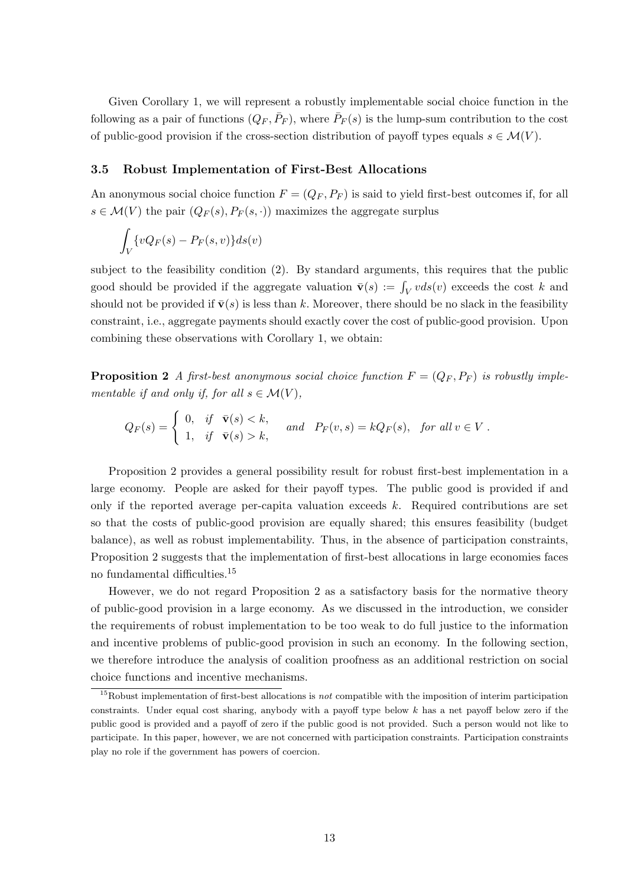Given Corollary 1, we will represent a robustly implementable social choice function in the following as a pair of functions  $(Q_F, \bar{P}_F)$ , where  $\bar{P}_F(s)$  is the lump-sum contribution to the cost of public-good provision if the cross-section distribution of payoff types equals  $s \in \mathcal{M}(V)$ .

#### 3.5 Robust Implementation of First-Best Allocations

An anonymous social choice function  $F = (Q_F, P_F)$  is said to yield first-best outcomes if, for all  $s \in \mathcal{M}(V)$  the pair  $(Q_F(s), P_F(s, \cdot))$  maximizes the aggregate surplus

$$
\int_V \{vQ_F(s) - P_F(s,v)\} ds(v)
$$

subject to the feasibility condition (2). By standard arguments, this requires that the public good should be provided if the aggregate valuation  $\bar{\mathbf{v}}(s) := \int_V v ds(v)$  exceeds the cost k and should not be provided if  $\bar{\mathbf{v}}(s)$  is less than k. Moreover, there should be no slack in the feasibility constraint, i.e., aggregate payments should exactly cover the cost of public-good provision. Upon combining these observations with Corollary 1, we obtain:

**Proposition 2** A first-best anonymous social choice function  $F = (Q_F, P_F)$  is robustly implementable if and only if, for all  $s \in \mathcal{M}(V)$ ,

$$
Q_F(s) = \begin{cases} 0, & \text{if } \overline{\mathbf{v}}(s) < k, \\ 1, & \text{if } \overline{\mathbf{v}}(s) > k, \end{cases} \quad \text{and} \quad P_F(v, s) = kQ_F(s), \text{ for all } v \in V.
$$

Proposition 2 provides a general possibility result for robust first-best implementation in a large economy. People are asked for their payoff types. The public good is provided if and only if the reported average per-capita valuation exceeds k. Required contributions are set so that the costs of public-good provision are equally shared; this ensures feasibility (budget balance), as well as robust implementability. Thus, in the absence of participation constraints, Proposition 2 suggests that the implementation of first-best allocations in large economies faces no fundamental difficulties.<sup>15</sup>

However, we do not regard Proposition 2 as a satisfactory basis for the normative theory of public-good provision in a large economy. As we discussed in the introduction, we consider the requirements of robust implementation to be too weak to do full justice to the information and incentive problems of public-good provision in such an economy. In the following section, we therefore introduce the analysis of coalition proofness as an additional restriction on social choice functions and incentive mechanisms.

<sup>&</sup>lt;sup>15</sup>Robust implementation of first-best allocations is *not* compatible with the imposition of interim participation constraints. Under equal cost sharing, anybody with a payoff type below  $k$  has a net payoff below zero if the public good is provided and a payoff of zero if the public good is not provided. Such a person would not like to participate. In this paper, however, we are not concerned with participation constraints. Participation constraints play no role if the government has powers of coercion.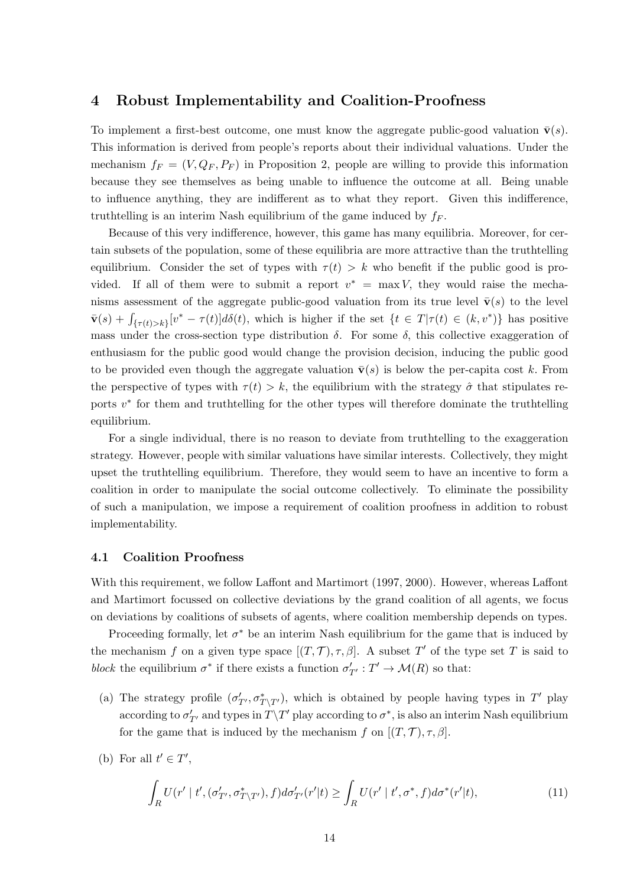## 4 Robust Implementability and Coalition-Proofness

To implement a first-best outcome, one must know the aggregate public-good valuation  $\bar{\mathbf{v}}(s)$ . This information is derived from people's reports about their individual valuations. Under the mechanism  $f_F = (V, Q_F, P_F)$  in Proposition 2, people are willing to provide this information because they see themselves as being unable to influence the outcome at all. Being unable to influence anything, they are indifferent as to what they report. Given this indifference, truthtelling is an interim Nash equilibrium of the game induced by  $f_F$ .

Because of this very indifference, however, this game has many equilibria. Moreover, for certain subsets of the population, some of these equilibria are more attractive than the truthtelling equilibrium. Consider the set of types with  $\tau(t) > k$  who benefit if the public good is provided. If all of them were to submit a report  $v^* = \max V$ , they would raise the mechanisms assessment of the aggregate public-good valuation from its true level  $\bar{\mathbf{v}}(s)$  to the level  $\bar{\mathbf{v}}(s) + \int_{\{\tau(t)>k\}} [v^* - \tau(t)] d\delta(t)$ , which is higher if the set  $\{t \in T | \tau(t) \in (k, v^*)\}$  has positive mass under the cross-section type distribution  $\delta$ . For some  $\delta$ , this collective exaggeration of enthusiasm for the public good would change the provision decision, inducing the public good to be provided even though the aggregate valuation  $\bar{\mathbf{v}}(s)$  is below the per-capita cost k. From the perspective of types with  $\tau(t) > k$ , the equilibrium with the strategy  $\hat{\sigma}$  that stipulates reports  $v^*$  for them and truthtelling for the other types will therefore dominate the truthtelling equilibrium.

For a single individual, there is no reason to deviate from truthtelling to the exaggeration strategy. However, people with similar valuations have similar interests. Collectively, they might upset the truthtelling equilibrium. Therefore, they would seem to have an incentive to form a coalition in order to manipulate the social outcome collectively. To eliminate the possibility of such a manipulation, we impose a requirement of coalition proofness in addition to robust implementability.

#### 4.1 Coalition Proofness

With this requirement, we follow Laffont and Martimort (1997, 2000). However, whereas Laffont and Martimort focussed on collective deviations by the grand coalition of all agents, we focus on deviations by coalitions of subsets of agents, where coalition membership depends on types.

Proceeding formally, let  $\sigma^*$  be an interim Nash equilibrium for the game that is induced by the mechanism f on a given type space  $[(T, \mathcal{T}), \tau, \beta]$ . A subset T' of the type set T is said to block the equilibrium  $\sigma^*$  if there exists a function  $\sigma'_{T'} : T' \to \mathcal{M}(R)$  so that:

- (a) The strategy profile  $(\sigma'_{T'}, \sigma^*_{T\setminus T'})$ , which is obtained by people having types in T' play according to  $\sigma'_{T'}$  and types in  $T\Y T'$  play according to  $\sigma^*$ , is also an interim Nash equilibrium for the game that is induced by the mechanism f on  $[(T, \mathcal{T}), \tau, \beta]$ .
- (b) For all  $t' \in T'$ ,

$$
\int_{R} U(r' \mid t', (\sigma'_{T'}, \sigma^*_{T \setminus T'}), f) d\sigma'_{T'}(r' \mid t) \ge \int_{R} U(r' \mid t', \sigma^*, f) d\sigma^*(r' \mid t), \tag{11}
$$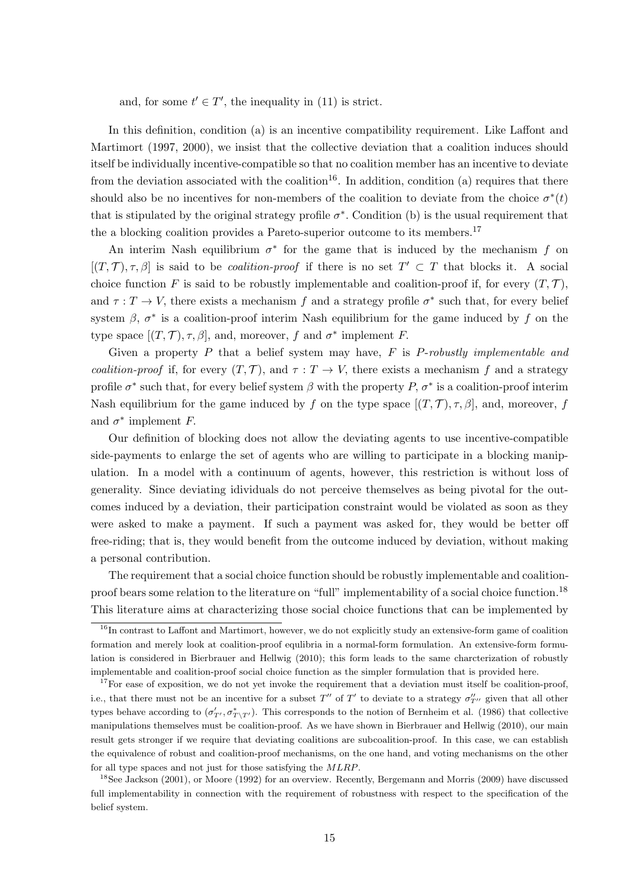and, for some  $t' \in T'$ , the inequality in (11) is strict.

In this definition, condition (a) is an incentive compatibility requirement. Like Laffont and Martimort (1997, 2000), we insist that the collective deviation that a coalition induces should itself be individually incentive-compatible so that no coalition member has an incentive to deviate from the deviation associated with the coalition<sup>16</sup>. In addition, condition (a) requires that there should also be no incentives for non-members of the coalition to deviate from the choice  $\sigma^*(t)$ that is stipulated by the original strategy profile  $\sigma^*$ . Condition (b) is the usual requirement that the a blocking coalition provides a Pareto-superior outcome to its members.<sup>17</sup>

An interim Nash equilibrium  $\sigma^*$  for the game that is induced by the mechanism f on  $[(T, T), \tau, \beta]$  is said to be *coalition-proof* if there is no set  $T' \subset T$  that blocks it. A social choice function F is said to be robustly implementable and coalition-proof if, for every  $(T, \mathcal{T})$ , and  $\tau: T \to V$ , there exists a mechanism f and a strategy profile  $\sigma^*$  such that, for every belief system  $\beta$ ,  $\sigma^*$  is a coalition-proof interim Nash equilibrium for the game induced by f on the type space  $[(T, \mathcal{T}), \tau, \beta]$ , and, moreover, f and  $\sigma^*$  implement F.

Given a property  $P$  that a belief system may have,  $F$  is  $P$ -robustly implementable and coalition-proof if, for every  $(T, \mathcal{T})$ , and  $\tau : T \to V$ , there exists a mechanism f and a strategy profile  $\sigma^*$  such that, for every belief system  $\beta$  with the property P,  $\sigma^*$  is a coalition-proof interim Nash equilibrium for the game induced by f on the type space  $[(T, \mathcal{T}), \tau, \beta]$ , and, moreover, f and  $\sigma^*$  implement F.

Our definition of blocking does not allow the deviating agents to use incentive-compatible side-payments to enlarge the set of agents who are willing to participate in a blocking manipulation. In a model with a continuum of agents, however, this restriction is without loss of generality. Since deviating idividuals do not perceive themselves as being pivotal for the outcomes induced by a deviation, their participation constraint would be violated as soon as they were asked to make a payment. If such a payment was asked for, they would be better off free-riding; that is, they would benefit from the outcome induced by deviation, without making a personal contribution.

The requirement that a social choice function should be robustly implementable and coalitionproof bears some relation to the literature on "full" implementability of a social choice function.<sup>18</sup> This literature aims at characterizing those social choice functions that can be implemented by

<sup>&</sup>lt;sup>16</sup>In contrast to Laffont and Martimort, however, we do not explicitly study an extensive-form game of coalition formation and merely look at coalition-proof equlibria in a normal-form formulation. An extensive-form formulation is considered in Bierbrauer and Hellwig (2010); this form leads to the same charcterization of robustly implementable and coalition-proof social choice function as the simpler formulation that is provided here.

 $17$  For ease of exposition, we do not yet invoke the requirement that a deviation must itself be coalition-proof, i.e., that there must not be an incentive for a subset  $T''$  of  $T'$  to deviate to a strategy  $\sigma''_{T''}$  given that all other types behave according to  $(\sigma'_{T'}, \sigma^*_{T\setminus T'})$ . This corresponds to the notion of Bernheim et al. (1986) that collective manipulations themselves must be coalition-proof. As we have shown in Bierbrauer and Hellwig (2010), our main result gets stronger if we require that deviating coalitions are subcoalition-proof. In this case, we can establish the equivalence of robust and coalition-proof mechanisms, on the one hand, and voting mechanisms on the other for all type spaces and not just for those satisfying the MLRP.

<sup>&</sup>lt;sup>18</sup>See Jackson (2001), or Moore (1992) for an overview. Recently, Bergemann and Morris (2009) have discussed full implementability in connection with the requirement of robustness with respect to the specification of the belief system.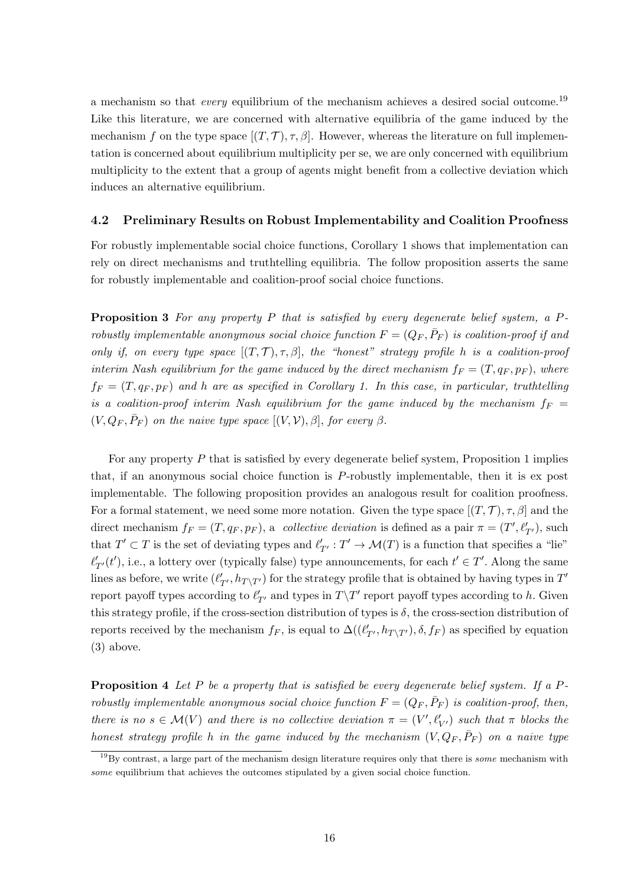a mechanism so that *every* equilibrium of the mechanism achieves a desired social outcome.<sup>19</sup> Like this literature, we are concerned with alternative equilibria of the game induced by the mechanism f on the type space  $[(T, \mathcal{T}), \tau, \beta]$ . However, whereas the literature on full implementation is concerned about equilibrium multiplicity per se, we are only concerned with equilibrium multiplicity to the extent that a group of agents might benefit from a collective deviation which induces an alternative equilibrium.

#### 4.2 Preliminary Results on Robust Implementability and Coalition Proofness

For robustly implementable social choice functions, Corollary 1 shows that implementation can rely on direct mechanisms and truthtelling equilibria. The follow proposition asserts the same for robustly implementable and coalition-proof social choice functions.

**Proposition 3** For any property P that is satisfied by every degenerate belief system, a  $P$ robustly implementable anonymous social choice function  $F = (Q_F, \bar{P}_F)$  is coalition-proof if and only if, on every type space  $[(T, \mathcal{T}), \tau, \beta]$ , the "honest" strategy profile h is a coalition-proof interim Nash equilibrium for the game induced by the direct mechanism  $f_F = (T, q_F, p_F)$ , where  $f_F = (T, q_F, p_F)$  and h are as specified in Corollary 1. In this case, in particular, truthtelling is a coalition-proof interim Nash equilibrium for the game induced by the mechanism  $f_F =$  $(V, Q_F, \bar{P}_F)$  on the naive type space  $[(V, V), \beta]$ , for every  $\beta$ .

For any property  $P$  that is satisfied by every degenerate belief system, Proposition 1 implies that, if an anonymous social choice function is P-robustly implementable, then it is ex post implementable. The following proposition provides an analogous result for coalition proofness. For a formal statement, we need some more notation. Given the type space  $[(T, \mathcal{T}), \tau, \beta]$  and the direct mechanism  $f_F = (T, q_F, p_F)$ , a *collective deviation* is defined as a pair  $\pi = (T', \ell'_{T'})$ , such that  $T' \subset T$  is the set of deviating types and  $\ell'_{T'} : T' \to \mathcal{M}(T)$  is a function that specifies a "lie"  $\ell'_{T'}(t')$ , i.e., a lottery over (typically false) type announcements, for each  $t' \in T'$ . Along the same lines as before, we write  $(\ell'_{T'}, h_{T\setminus T'})$  for the strategy profile that is obtained by having types in  $T'$ report payoff types according to  $\ell'_{T'}$  and types in  $T\backslash T'$  report payoff types according to h. Given this strategy profile, if the cross-section distribution of types is  $\delta$ , the cross-section distribution of reports received by the mechanism  $f_F$ , is equal to  $\Delta((\ell'_{T'}, h_{T\setminus T'}), \delta, f_F)$  as specified by equation (3) above.

**Proposition 4** Let P be a property that is satisfied be every degenerate belief system. If a Probustly implementable anonymous social choice function  $F = (Q_F, \bar{P}_F)$  is coalition-proof, then, there is no  $s \in \mathcal{M}(V)$  and there is no collective deviation  $\pi = (V', \ell'_{V'})$  such that  $\pi$  blocks the honest strategy profile h in the game induced by the mechanism  $(V, Q_F, \bar{P}_F)$  on a naive type

 $19By$  contrast, a large part of the mechanism design literature requires only that there is *some* mechanism with some equilibrium that achieves the outcomes stipulated by a given social choice function.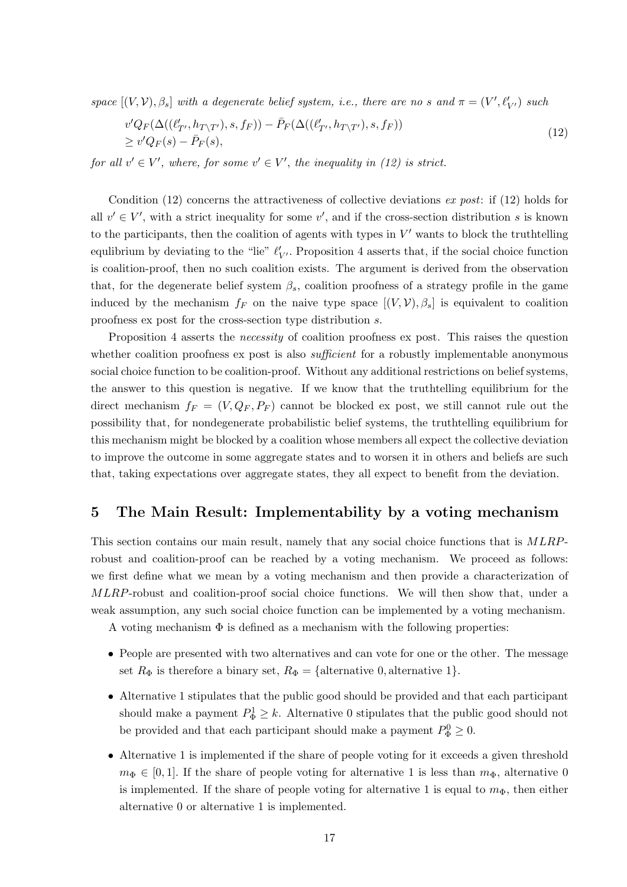space  $[(V, V), \beta_s]$  with a degenerate belief system, i.e., there are no s and  $\pi = (V', \ell'_{V'})$  such

$$
v'Q_F(\Delta((\ell'_{T'}, h_{T\setminus T'}), s, f_F)) - \bar{P}_F(\Delta((\ell'_{T'}, h_{T\setminus T'}), s, f_F))
$$
  
\n
$$
\geq v'Q_F(s) - \bar{P}_F(s),
$$
\n(12)

for all  $v' \in V'$ , where, for some  $v' \in V'$ , the inequality in (12) is strict.

Condition (12) concerns the attractiveness of collective deviations  $ex$  post: if (12) holds for all  $v' \in V'$ , with a strict inequality for some v', and if the cross-section distribution s is known to the participants, then the coalition of agents with types in  $V'$  wants to block the truthtelling equlibrium by deviating to the "lie"  $\ell'_{V'}$ . Proposition 4 asserts that, if the social choice function is coalition-proof, then no such coalition exists. The argument is derived from the observation that, for the degenerate belief system  $\beta_s$ , coalition proofness of a strategy profile in the game induced by the mechanism  $f_F$  on the naive type space  $[(V, V), \beta_s]$  is equivalent to coalition proofness ex post for the cross-section type distribution s.

Proposition 4 asserts the necessity of coalition proofness ex post. This raises the question whether coalition proofness ex post is also *sufficient* for a robustly implementable anonymous social choice function to be coalition-proof. Without any additional restrictions on belief systems, the answer to this question is negative. If we know that the truthtelling equilibrium for the direct mechanism  $f_F = (V, Q_F, P_F)$  cannot be blocked ex post, we still cannot rule out the possibility that, for nondegenerate probabilistic belief systems, the truthtelling equilibrium for this mechanism might be blocked by a coalition whose members all expect the collective deviation to improve the outcome in some aggregate states and to worsen it in others and beliefs are such that, taking expectations over aggregate states, they all expect to benefit from the deviation.

## 5 The Main Result: Implementability by a voting mechanism

This section contains our main result, namely that any social choice functions that is MLRProbust and coalition-proof can be reached by a voting mechanism. We proceed as follows: we first define what we mean by a voting mechanism and then provide a characterization of MLRP-robust and coalition-proof social choice functions. We will then show that, under a weak assumption, any such social choice function can be implemented by a voting mechanism.

A voting mechanism  $\Phi$  is defined as a mechanism with the following properties:

- People are presented with two alternatives and can vote for one or the other. The message set  $R_{\Phi}$  is therefore a binary set,  $R_{\Phi} = \{\text{alternative 0}, \text{alternative 1}\}.$
- Alternative 1 stipulates that the public good should be provided and that each participant should make a payment  $P_{\Phi}^1 \geq k$ . Alternative 0 stipulates that the public good should not be provided and that each participant should make a payment  $P_{\Phi}^0 \geq 0$ .
- Alternative 1 is implemented if the share of people voting for it exceeds a given threshold  $m_{\Phi} \in [0, 1]$ . If the share of people voting for alternative 1 is less than  $m_{\Phi}$ , alternative 0 is implemented. If the share of people voting for alternative 1 is equal to  $m_{\Phi}$ , then either alternative 0 or alternative 1 is implemented.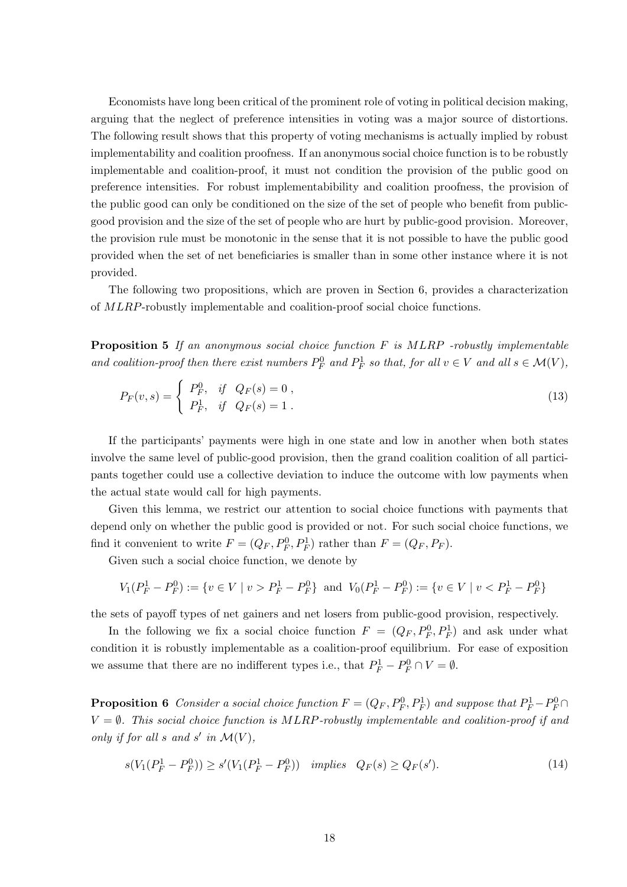Economists have long been critical of the prominent role of voting in political decision making, arguing that the neglect of preference intensities in voting was a major source of distortions. The following result shows that this property of voting mechanisms is actually implied by robust implementability and coalition proofness. If an anonymous social choice function is to be robustly implementable and coalition-proof, it must not condition the provision of the public good on preference intensities. For robust implementabibility and coalition proofness, the provision of the public good can only be conditioned on the size of the set of people who benefit from publicgood provision and the size of the set of people who are hurt by public-good provision. Moreover, the provision rule must be monotonic in the sense that it is not possible to have the public good provided when the set of net beneficiaries is smaller than in some other instance where it is not provided.

The following two propositions, which are proven in Section 6, provides a characterization of MLRP-robustly implementable and coalition-proof social choice functions.

**Proposition 5** If an anonymous social choice function  $F$  is  $MLRP$  -robustly implementable and coalition-proof then there exist numbers  $P_F^0$  and  $P_F^1$  so that, for all  $v \in V$  and all  $s \in \mathcal{M}(V)$ ,

$$
P_F(v,s) = \begin{cases} P_F^0, & \text{if } Q_F(s) = 0, \\ P_F^1, & \text{if } Q_F(s) = 1. \end{cases}
$$
 (13)

If the participants' payments were high in one state and low in another when both states involve the same level of public-good provision, then the grand coalition coalition of all participants together could use a collective deviation to induce the outcome with low payments when the actual state would call for high payments.

Given this lemma, we restrict our attention to social choice functions with payments that depend only on whether the public good is provided or not. For such social choice functions, we find it convenient to write  $F = (Q_F, P_F^0, P_F^1)$  rather than  $F = (Q_F, P_F)$ .

Given such a social choice function, we denote by

$$
V_1(P_F^1 - P_F^0) := \{ v \in V \mid v > P_F^1 - P_F^0 \} \text{ and } V_0(P_F^1 - P_F^0) := \{ v \in V \mid v < P_F^1 - P_F^0 \}
$$

the sets of payoff types of net gainers and net losers from public-good provision, respectively.

In the following we fix a social choice function  $F = (Q_F, P_F^0, P_F^1)$  and ask under what condition it is robustly implementable as a coalition-proof equilibrium. For ease of exposition we assume that there are no indifferent types i.e., that  $P_F^1 - P_F^0 \cap V = \emptyset$ .

**Proposition 6** Consider a social choice function  $F = (Q_F, P_F^0, P_F^1)$  and suppose that  $P_F^1 - P_F^0 \cap$  $V = \emptyset$ . This social choice function is MLRP-robustly implementable and coalition-proof if and only if for all s and s' in  $\mathcal{M}(V)$ ,

$$
s(V_1(P_F^1 - P_F^0)) \ge s'(V_1(P_F^1 - P_F^0)) \quad implies \quad Q_F(s) \ge Q_F(s'). \tag{14}
$$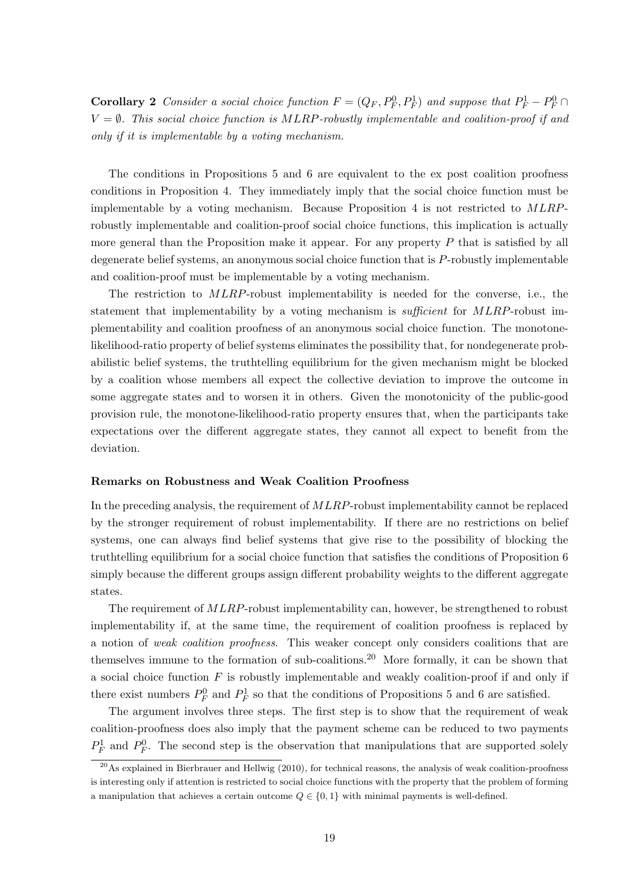**Corollary 2** Consider a social choice function  $F = (Q_F, P_F^0, P_F^1)$  and suppose that  $P_F^1 - P_F^0 \cap$  $V = \emptyset$ . This social choice function is MLRP-robustly implementable and coalition-proof if and only if it is implementable by a voting mechanism.

The conditions in Propositions 5 and 6 are equivalent to the ex post coalition proofness conditions in Proposition 4. They immediately imply that the social choice function must be implementable by a voting mechanism. Because Proposition 4 is not restricted to MLRProbustly implementable and coalition-proof social choice functions, this implication is actually more general than the Proposition make it appear. For any property  $P$  that is satisfied by all degenerate belief systems, an anonymous social choice function that is P-robustly implementable and coalition-proof must be implementable by a voting mechanism.

The restriction to MLRP-robust implementability is needed for the converse, i.e., the statement that implementability by a voting mechanism is *sufficient* for MLRP-robust implementability and coalition proofness of an anonymous social choice function. The monotonelikelihood-ratio property of belief systems eliminates the possibility that, for nondegenerate probabilistic belief systems, the truthtelling equilibrium for the given mechanism might be blocked by a coalition whose members all expect the collective deviation to improve the outcome in some aggregate states and to worsen it in others. Given the monotonicity of the public-good provision rule, the monotone-likelihood-ratio property ensures that, when the participants take expectations over the different aggregate states, they cannot all expect to benefit from the deviation.

#### Remarks on Robustness and Weak Coalition Proofness

In the preceding analysis, the requirement of MLRP-robust implementability cannot be replaced by the stronger requirement of robust implementability. If there are no restrictions on belief systems, one can always find belief systems that give rise to the possibility of blocking the truthtelling equilibrium for a social choice function that satisfies the conditions of Proposition 6 simply because the different groups assign different probability weights to the different aggregate states.

The requirement of  $MLRP$ -robust implementability can, however, be strengthened to robust implementability if, at the same time, the requirement of coalition proofness is replaced by a notion of weak coalition proofness. This weaker concept only considers coalitions that are themselves immune to the formation of sub-coalitions.<sup>20</sup> More formally, it can be shown that a social choice function  $F$  is robustly implementable and weakly coalition-proof if and only if there exist numbers  $P_F^0$  and  $P_F^1$  so that the conditions of Propositions 5 and 6 are satisfied.

The argument involves three steps. The first step is to show that the requirement of weak coalition-proofness does also imply that the payment scheme can be reduced to two payments  $P_F^1$  and  $P_F^0$ . The second step is the observation that manipulations that are supported solely

 $^{20}$ As explained in Bierbrauer and Hellwig (2010), for technical reasons, the analysis of weak coalition-proofness is interesting only if attention is restricted to social choice functions with the property that the problem of forming a manipulation that achieves a certain outcome  $Q \in \{0, 1\}$  with minimal payments is well-defined.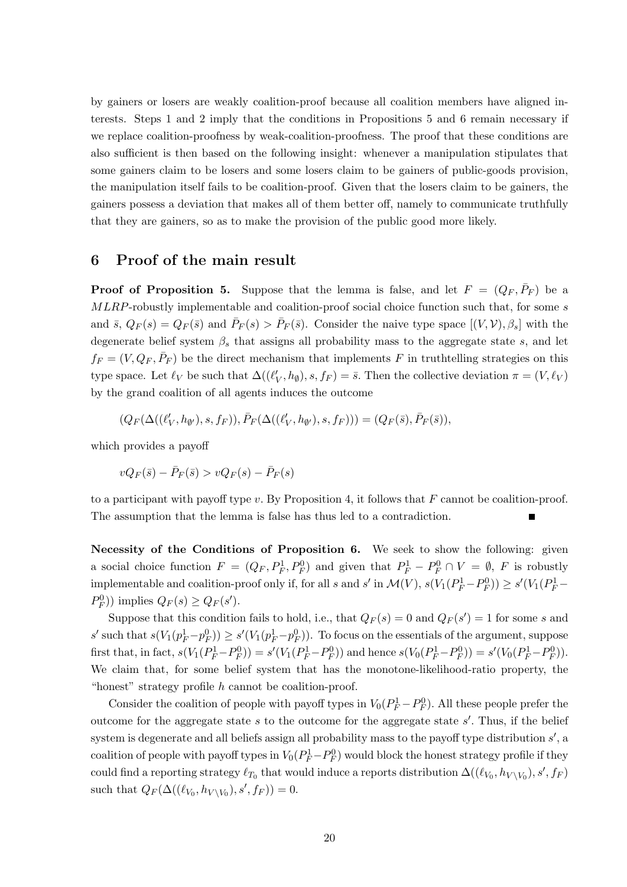by gainers or losers are weakly coalition-proof because all coalition members have aligned interests. Steps 1 and 2 imply that the conditions in Propositions 5 and 6 remain necessary if we replace coalition-proofness by weak-coalition-proofness. The proof that these conditions are also sufficient is then based on the following insight: whenever a manipulation stipulates that some gainers claim to be losers and some losers claim to be gainers of public-goods provision, the manipulation itself fails to be coalition-proof. Given that the losers claim to be gainers, the gainers possess a deviation that makes all of them better off, namely to communicate truthfully that they are gainers, so as to make the provision of the public good more likely.

## 6 Proof of the main result

**Proof of Proposition 5.** Suppose that the lemma is false, and let  $F = (Q_F, \bar{P}_F)$  be a MLRP-robustly implementable and coalition-proof social choice function such that, for some s and  $\bar{s}$ ,  $Q_F(s) = Q_F(\bar{s})$  and  $\bar{P}_F(s) > \bar{P}_F(\bar{s})$ . Consider the naive type space  $[(V, V), \beta_s]$  with the degenerate belief system  $\beta_s$  that assigns all probability mass to the aggregate state s, and let  $f_F = (V, Q_F, \bar{P}_F)$  be the direct mechanism that implements F in truthtelling strategies on this type space. Let  $\ell_V$  be such that  $\Delta((\ell'_V, h_{\emptyset}), s, f_F) = \bar{s}$ . Then the collective deviation  $\pi = (V, \ell_V)$ by the grand coalition of all agents induces the outcome

$$
(Q_F(\Delta((\ell'_V,h_{\emptyset'}),s,f_F)),\bar{P}_F(\Delta((\ell'_V,h_{\emptyset'}),s,f_F)))=(Q_F(\bar{s}),\bar{P}_F(\bar{s})),
$$

which provides a payoff

$$
vQ_F(\bar{s}) - \bar{P}_F(\bar{s}) > vQ_F(s) - \bar{P}_F(s)
$$

to a participant with payoff type v. By Proposition 4, it follows that  $F$  cannot be coalition-proof. The assumption that the lemma is false has thus led to a contradiction.

Necessity of the Conditions of Proposition 6. We seek to show the following: given a social choice function  $F = (Q_F, P_F^1, P_F^0)$  and given that  $P_F^1 - P_F^0 \cap V = \emptyset$ , F is robustly implementable and coalition-proof only if, for all s and s' in  $\mathcal{M}(V)$ ,  $s(V_1(P_F^1-P_F^0)) \ge s'(V_1(P_F^1-P_F^0))$  $P_F^0$ ) implies  $Q_F(s) \geq Q_F(s')$ .

Suppose that this condition fails to hold, i.e., that  $Q_F(s) = 0$  and  $Q_F(s') = 1$  for some s and s' such that  $s(V_1(p_F^1-p_F^0)) \ge s'(V_1(p_F^1-p_F^0))$ . To focus on the essentials of the argument, suppose first that, in fact,  $s(V_1(P_F^1-P_F^0)) = s'(V_1(P_F^1-P_F^0))$  and hence  $s(V_0(P_F^1-P_F^0)) = s'(V_0(P_F^1-P_F^0)).$ We claim that, for some belief system that has the monotone-likelihood-ratio property, the "honest" strategy profile h cannot be coalition-proof.

Consider the coalition of people with payoff types in  $V_0(P_F^1 - P_F^0)$ . All these people prefer the outcome for the aggregate state  $s$  to the outcome for the aggregate state  $s'$ . Thus, if the belief system is degenerate and all beliefs assign all probability mass to the payoff type distribution  $s'$ , a coalition of people with payoff types in  $V_0(P_F^1-P_F^0)$  would block the honest strategy profile if they could find a reporting strategy  $\ell_{T_0}$  that would induce a reports distribution  $\Delta((\ell_{V_0}, h_{V\setminus V_0}), s', f_F)$ such that  $Q_F(\Delta((\ell_{V_0}, h_{V \setminus V_0}), s', f_F)) = 0.$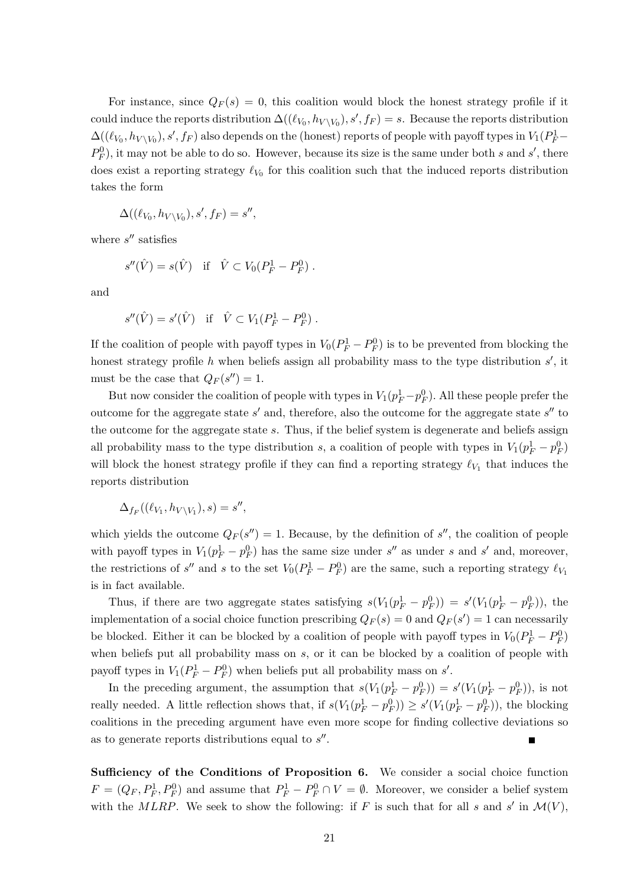For instance, since  $Q_F(s) = 0$ , this coalition would block the honest strategy profile if it could induce the reports distribution  $\Delta((\ell_{V_0}, h_{V \setminus V_0}), s', f_F) = s$ . Because the reports distribution  $\Delta((\ell_{V_0}, h_{V\setminus V_0}), s', f_F)$  also depends on the (honest) reports of people with payoff types in  $V_1(P_F^1 P_F^0$ , it may not be able to do so. However, because its size is the same under both s and s', there does exist a reporting strategy  $\ell_{V_0}$  for this coalition such that the induced reports distribution takes the form

$$
\Delta((\ell_{V_0}, h_{V\backslash V_0}), s', f_F) = s'',
$$

where  $s''$  satisfies

$$
s''(\hat{V}) = s(\hat{V}) \text{ if } \hat{V} \subset V_0(P_F^1 - P_F^0) .
$$

and

$$
s''(\hat{V}) = s'(\hat{V}) \text{ if } \hat{V} \subset V_1(P_F^1 - P_F^0) .
$$

If the coalition of people with payoff types in  $V_0(P_F^1 - P_F^0)$  is to be prevented from blocking the honest strategy profile  $h$  when beliefs assign all probability mass to the type distribution  $s'$ , it must be the case that  $Q_F(s'') = 1$ .

But now consider the coalition of people with types in  $V_1(p_F^1-p_F^0)$ . All these people prefer the outcome for the aggregate state  $s'$  and, therefore, also the outcome for the aggregate state  $s''$  to the outcome for the aggregate state s. Thus, if the belief system is degenerate and beliefs assign all probability mass to the type distribution s, a coalition of people with types in  $V_1(p_F^1 - p_F^0)$ will block the honest strategy profile if they can find a reporting strategy  $\ell_{V_1}$  that induces the reports distribution

$$
\Delta_{f_F}((\ell_{V_1}, h_{V\setminus V_1}), s) = s'',
$$

which yields the outcome  $Q_F(s'') = 1$ . Because, by the definition of s'', the coalition of people with payoff types in  $V_1(p_F^1 - p_F^0)$  has the same size under s'' as under s and s' and, moreover, the restrictions of s'' and s to the set  $V_0(P_F^1 - P_F^0)$  are the same, such a reporting strategy  $\ell_{V_1}$ is in fact available.

Thus, if there are two aggregate states satisfying  $s(V_1(p_F^1 - p_F^0)) = s'(V_1(p_F^1 - p_F^0))$ , the implementation of a social choice function prescribing  $Q_F(s) = 0$  and  $Q_F(s') = 1$  can necessarily be blocked. Either it can be blocked by a coalition of people with payoff types in  $V_0(P_F^1 - P_F^0)$ when beliefs put all probability mass on  $s$ , or it can be blocked by a coalition of people with payoff types in  $V_1(P_F^1 - P_F^0)$  when beliefs put all probability mass on s'.

In the preceding argument, the assumption that  $s(V_1(p_F^1 - p_F^0)) = s'(V_1(p_F^1 - p_F^0))$ , is not really needed. A little reflection shows that, if  $s(V_1(p_F^1 - p_F^0)) \ge s'(V_1(p_F^1 - p_F^0))$ , the blocking coalitions in the preceding argument have even more scope for finding collective deviations so as to generate reports distributions equal to  $s''$ .

Sufficiency of the Conditions of Proposition 6. We consider a social choice function  $F = (Q_F, P_F^1, P_F^0)$  and assume that  $P_F^1 - P_F^0 \cap V = \emptyset$ . Moreover, we consider a belief system with the MLRP. We seek to show the following: if F is such that for all s and s' in  $\mathcal{M}(V)$ ,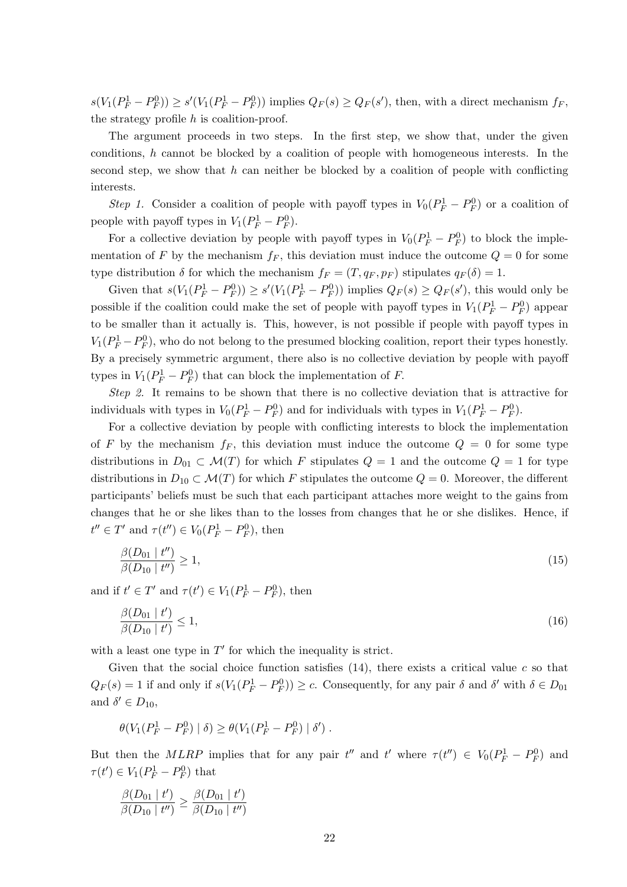$s(V_1(P_F^1-P_F^0)) \ge s'(V_1(P_F^1-P_F^0))$  implies  $Q_F(s) \ge Q_F(s')$ , then, with a direct mechanism  $f_F$ , the strategy profile h is coalition-proof.

The argument proceeds in two steps. In the first step, we show that, under the given conditions, h cannot be blocked by a coalition of people with homogeneous interests. In the second step, we show that h can neither be blocked by a coalition of people with conflicting interests.

Step 1. Consider a coalition of people with payoff types in  $V_0(P_F^1 - P_F^0)$  or a coalition of people with payoff types in  $V_1(P_F^1 - P_F^0)$ .

For a collective deviation by people with payoff types in  $V_0(P_F^1 - P_F^0)$  to block the implementation of F by the mechanism  $f_F$ , this deviation must induce the outcome  $Q = 0$  for some type distribution  $\delta$  for which the mechanism  $f_F = (T, q_F, p_F)$  stipulates  $q_F(\delta) = 1$ .

Given that  $s(V_1(P_F^1 - P_F^0)) \ge s'(V_1(P_F^1 - P_F^0))$  implies  $Q_F(s) \ge Q_F(s')$ , this would only be possible if the coalition could make the set of people with payoff types in  $V_1(P_F^1 - P_F^0)$  appear to be smaller than it actually is. This, however, is not possible if people with payoff types in  $V_1(P_F^1-P_F^0)$ , who do not belong to the presumed blocking coalition, report their types honestly. By a precisely symmetric argument, there also is no collective deviation by people with payoff types in  $V_1(P_F^1 - P_F^0)$  that can block the implementation of F.

Step 2. It remains to be shown that there is no collective deviation that is attractive for individuals with types in  $V_0(P_F^1 - P_F^0)$  and for individuals with types in  $V_1(P_F^1 - P_F^0)$ .

For a collective deviation by people with conflicting interests to block the implementation of F by the mechanism  $f_F$ , this deviation must induce the outcome  $Q = 0$  for some type distributions in  $D_{01} \subset \mathcal{M}(T)$  for which F stipulates  $Q = 1$  and the outcome  $Q = 1$  for type distributions in  $D_{10} \subset \mathcal{M}(T)$  for which F stipulates the outcome  $Q = 0$ . Moreover, the different participants' beliefs must be such that each participant attaches more weight to the gains from changes that he or she likes than to the losses from changes that he or she dislikes. Hence, if  $t'' \in T'$  and  $\tau(t'') \in V_0(P_F^1 - P_F^0)$ , then

$$
\frac{\beta(D_{01} \mid t'')}{\beta(D_{10} \mid t'')} \ge 1,\tag{15}
$$

and if  $t' \in T'$  and  $\tau(t') \in V_1(P_F^1 - P_F^0)$ , then

$$
\frac{\beta(D_{01} \mid t')}{\beta(D_{10} \mid t')} \le 1,\tag{16}
$$

with a least one type in  $T'$  for which the inequality is strict.

Given that the social choice function satisfies  $(14)$ , there exists a critical value c so that  $Q_F(s) = 1$  if and only if  $s(V_1(P_F^1 - P_F^0)) \ge c$ . Consequently, for any pair  $\delta$  and  $\delta'$  with  $\delta \in D_{01}$ and  $\delta' \in D_{10}$ ,

$$
\theta(V_1(P_F^1 - P_F^0) | \delta) \ge \theta(V_1(P_F^1 - P_F^0) | \delta').
$$

But then the MLRP implies that for any pair  $t''$  and  $t'$  where  $\tau(t'') \in V_0(P_F^1 - P_F^0)$  and  $\tau(t') \in V_1(P_F^1 - P_F^0)$  that

$$
\frac{\beta(D_{01} | t')}{\beta(D_{10} | t'')} \geq \frac{\beta(D_{01} | t')}{\beta(D_{10} | t'')}
$$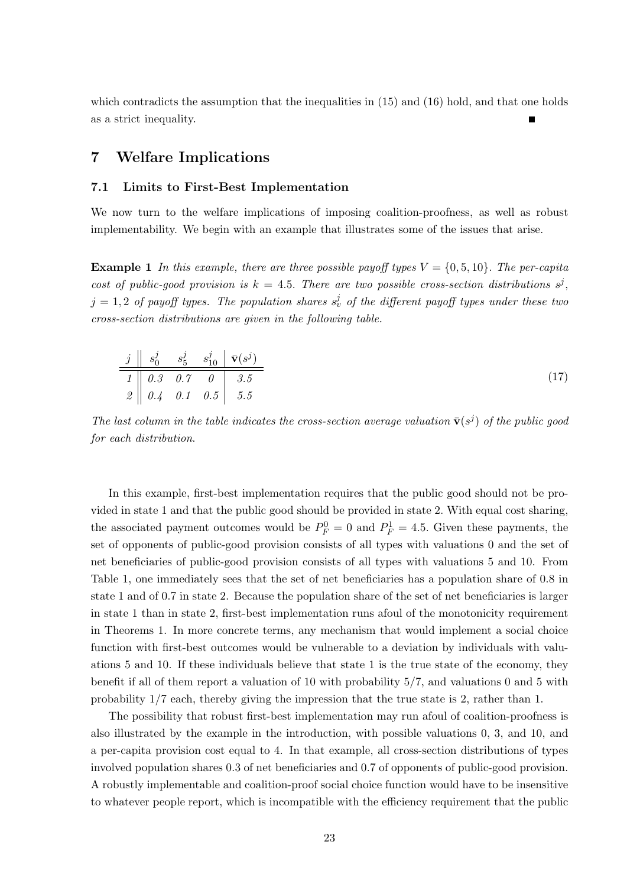which contradicts the assumption that the inequalities in  $(15)$  and  $(16)$  hold, and that one holds as a strict inequality.

## 7 Welfare Implications

#### 7.1 Limits to First-Best Implementation

We now turn to the welfare implications of imposing coalition-proofness, as well as robust implementability. We begin with an example that illustrates some of the issues that arise.

**Example 1** In this example, there are three possible payoff types  $V = \{0, 5, 10\}$ . The per-capita cost of public-good provision is  $k = 4.5$ . There are two possible cross-section distributions  $s^j$ ,  $j = 1,2$  of payoff types. The population shares  $s_v^j$  of the different payoff types under these two cross-section distributions are given in the following table.

$$
\begin{array}{c|ccccc}\nj & s_0^j & s_5^j & s_{10}^j & \bar{\mathbf{v}}(s^j) \\
\hline\n1 & 0.3 & 0.7 & 0 & 3.5 \\
2 & 0.4 & 0.1 & 0.5 & 5.5\n\end{array}
$$
\n(17)

The last column in the table indicates the cross-section average valuation  $\bar{\mathbf{v}}(s^j)$  of the public good for each distribution.

In this example, first-best implementation requires that the public good should not be provided in state 1 and that the public good should be provided in state 2. With equal cost sharing, the associated payment outcomes would be  $P_F^0 = 0$  and  $P_F^1 = 4.5$ . Given these payments, the set of opponents of public-good provision consists of all types with valuations 0 and the set of net beneficiaries of public-good provision consists of all types with valuations 5 and 10. From Table 1, one immediately sees that the set of net beneficiaries has a population share of 0.8 in state 1 and of 0.7 in state 2. Because the population share of the set of net beneficiaries is larger in state 1 than in state 2, first-best implementation runs afoul of the monotonicity requirement in Theorems 1. In more concrete terms, any mechanism that would implement a social choice function with first-best outcomes would be vulnerable to a deviation by individuals with valuations 5 and 10. If these individuals believe that state 1 is the true state of the economy, they benefit if all of them report a valuation of 10 with probability 5/7, and valuations 0 and 5 with probability 1/7 each, thereby giving the impression that the true state is 2, rather than 1.

The possibility that robust first-best implementation may run afoul of coalition-proofness is also illustrated by the example in the introduction, with possible valuations 0, 3, and 10, and a per-capita provision cost equal to 4. In that example, all cross-section distributions of types involved population shares 0.3 of net beneficiaries and 0.7 of opponents of public-good provision. A robustly implementable and coalition-proof social choice function would have to be insensitive to whatever people report, which is incompatible with the efficiency requirement that the public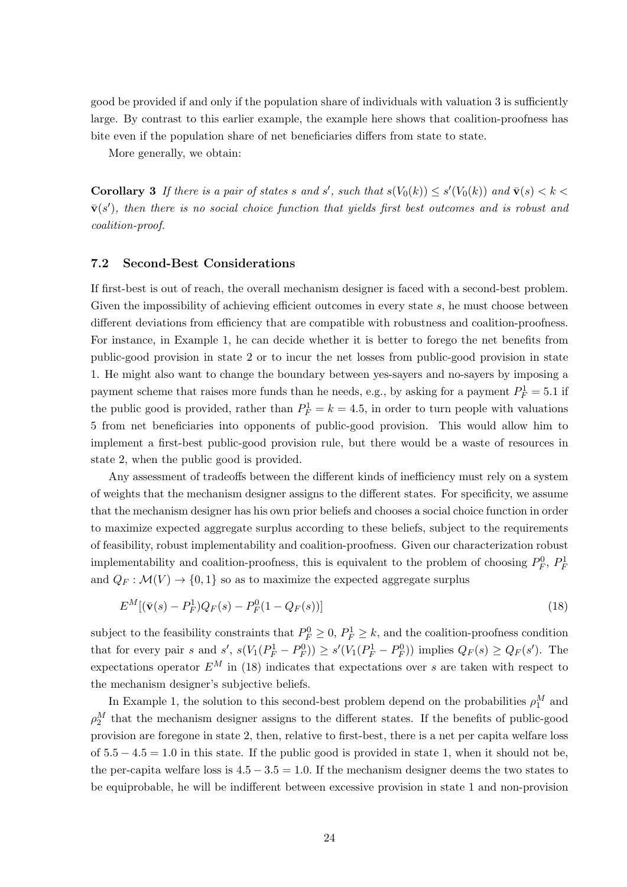good be provided if and only if the population share of individuals with valuation 3 is sufficiently large. By contrast to this earlier example, the example here shows that coalition-proofness has bite even if the population share of net beneficiaries differs from state to state.

More generally, we obtain:

**Corollary 3** If there is a pair of states s and s', such that  $s(V_0(k)) \leq s'(V_0(k))$  and  $\bar{\mathbf{v}}(s) < k <$  $\bar{\mathbf{v}}(s')$ , then there is no social choice function that yields first best outcomes and is robust and coalition-proof.

#### 7.2 Second-Best Considerations

If first-best is out of reach, the overall mechanism designer is faced with a second-best problem. Given the impossibility of achieving efficient outcomes in every state s, he must choose between different deviations from efficiency that are compatible with robustness and coalition-proofness. For instance, in Example 1, he can decide whether it is better to forego the net benefits from public-good provision in state 2 or to incur the net losses from public-good provision in state 1. He might also want to change the boundary between yes-sayers and no-sayers by imposing a payment scheme that raises more funds than he needs, e.g., by asking for a payment  $P_F^1 = 5.1$  if the public good is provided, rather than  $P_F^1 = k = 4.5$ , in order to turn people with valuations 5 from net beneficiaries into opponents of public-good provision. This would allow him to implement a first-best public-good provision rule, but there would be a waste of resources in state 2, when the public good is provided.

Any assessment of tradeoffs between the different kinds of inefficiency must rely on a system of weights that the mechanism designer assigns to the different states. For specificity, we assume that the mechanism designer has his own prior beliefs and chooses a social choice function in order to maximize expected aggregate surplus according to these beliefs, subject to the requirements of feasibility, robust implementability and coalition-proofness. Given our characterization robust implementability and coalition-proofness, this is equivalent to the problem of choosing  $P_F^0$ ,  $P_F^1$ and  $Q_F : \mathcal{M}(V) \to \{0, 1\}$  so as to maximize the expected aggregate surplus

$$
E^M[(\bar{\mathbf{v}}(s) - P_F^1)Q_F(s) - P_F^0(1 - Q_F(s))]
$$
\n(18)

subject to the feasibility constraints that  $P_F^0 \geq 0$ ,  $P_F^1 \geq k$ , and the coalition-proofness condition that for every pair s and s',  $s(V_1(P_F^1 - P_F^0)) \ge s'(V_1(P_F^1 - P_F^0))$  implies  $Q_F(s) \ge Q_F(s')$ . The expectations operator  $E^M$  in (18) indicates that expectations over s are taken with respect to the mechanism designer's subjective beliefs.

In Example 1, the solution to this second-best problem depend on the probabilities  $\rho_1^M$  and  $\rho_2^M$  that the mechanism designer assigns to the different states. If the benefits of public-good provision are foregone in state 2, then, relative to first-best, there is a net per capita welfare loss of  $5.5 - 4.5 = 1.0$  in this state. If the public good is provided in state 1, when it should not be, the per-capita welfare loss is  $4.5 - 3.5 = 1.0$ . If the mechanism designer deems the two states to be equiprobable, he will be indifferent between excessive provision in state 1 and non-provision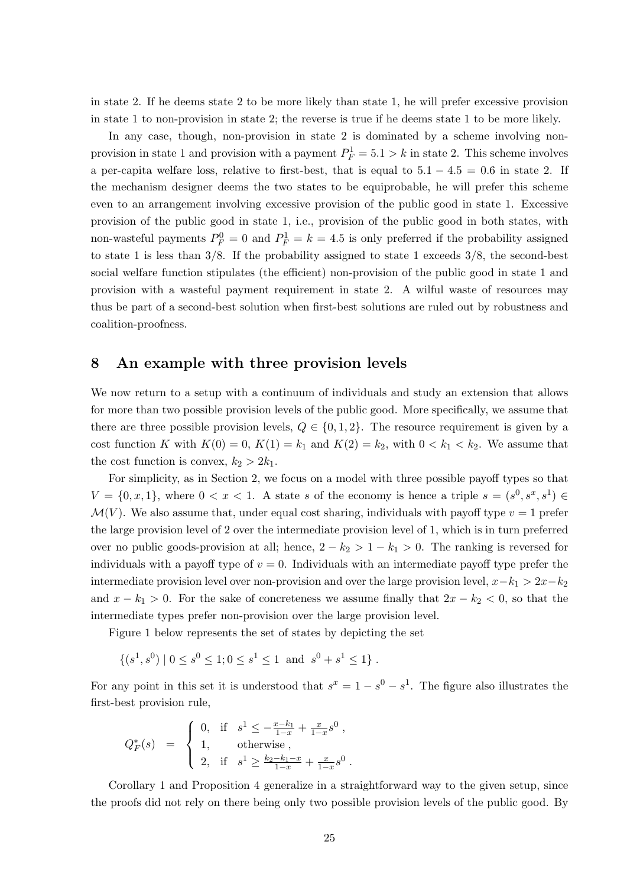in state 2. If he deems state 2 to be more likely than state 1, he will prefer excessive provision in state 1 to non-provision in state 2; the reverse is true if he deems state 1 to be more likely.

In any case, though, non-provision in state 2 is dominated by a scheme involving nonprovision in state 1 and provision with a payment  $P_F^1 = 5.1 > k$  in state 2. This scheme involves a per-capita welfare loss, relative to first-best, that is equal to  $5.1 - 4.5 = 0.6$  in state 2. If the mechanism designer deems the two states to be equiprobable, he will prefer this scheme even to an arrangement involving excessive provision of the public good in state 1. Excessive provision of the public good in state 1, i.e., provision of the public good in both states, with non-wasteful payments  $P_F^0 = 0$  and  $P_F^1 = k = 4.5$  is only preferred if the probability assigned to state 1 is less than  $3/8$ . If the probability assigned to state 1 exceeds  $3/8$ , the second-best social welfare function stipulates (the efficient) non-provision of the public good in state 1 and provision with a wasteful payment requirement in state 2. A wilful waste of resources may thus be part of a second-best solution when first-best solutions are ruled out by robustness and coalition-proofness.

## 8 An example with three provision levels

We now return to a setup with a continuum of individuals and study an extension that allows for more than two possible provision levels of the public good. More specifically, we assume that there are three possible provision levels,  $Q \in \{0, 1, 2\}$ . The resource requirement is given by a cost function K with  $K(0) = 0$ ,  $K(1) = k_1$  and  $K(2) = k_2$ , with  $0 < k_1 < k_2$ . We assume that the cost function is convex,  $k_2 > 2k_1$ .

For simplicity, as in Section 2, we focus on a model with three possible payoff types so that  $V = \{0, x, 1\}$ , where  $0 < x < 1$ . A state s of the economy is hence a triple  $s = (s^0, s^x, s^1)$  $\mathcal{M}(V)$ . We also assume that, under equal cost sharing, individuals with payoff type  $v = 1$  prefer the large provision level of 2 over the intermediate provision level of 1, which is in turn preferred over no public goods-provision at all; hence,  $2 - k_2 > 1 - k_1 > 0$ . The ranking is reversed for individuals with a payoff type of  $v = 0$ . Individuals with an intermediate payoff type prefer the intermediate provision level over non-provision and over the large provision level,  $x-k_1 > 2x-k_2$ and  $x - k_1 > 0$ . For the sake of concreteness we assume finally that  $2x - k_2 < 0$ , so that the intermediate types prefer non-provision over the large provision level.

Figure 1 below represents the set of states by depicting the set

$$
\{(s^1, s^0) \mid 0 \le s^0 \le 1; 0 \le s^1 \le 1 \text{ and } s^0 + s^1 \le 1\}.
$$

For any point in this set it is understood that  $s^x = 1 - s^0 - s^1$ . The figure also illustrates the first-best provision rule,

$$
Q_F^*(s) \;\; = \;\; \left\{ \begin{array}{ll} 0, \ \ \, {\rm if} \ \ \, s^1 \leq -\frac{x-k_1}{1-x} + \frac{x}{1-x} s^0 \; , \\ 1, \quad \ \ {\rm otherwise} \; , \\ 2, \ \ \, {\rm if} \ \ \, s^1 \geq \frac{k_2-k_1-x}{1-x} + \frac{x}{1-x} s^0 \; . \end{array} \right.
$$

Corollary 1 and Proposition 4 generalize in a straightforward way to the given setup, since the proofs did not rely on there being only two possible provision levels of the public good. By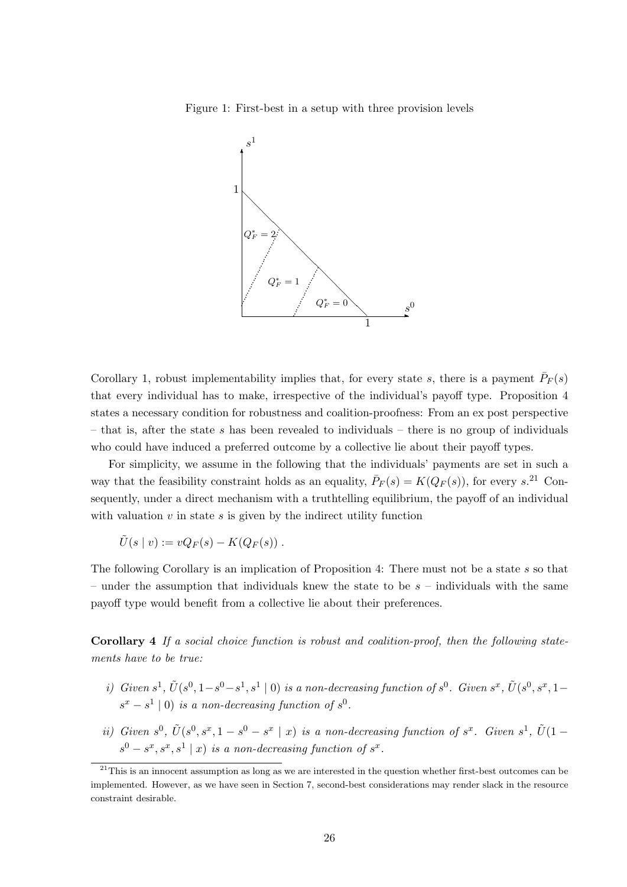Figure 1: First-best in a setup with three provision levels



Corollary 1, robust implementability implies that, for every state s, there is a payment  $\bar{P}_F(s)$ that every individual has to make, irrespective of the individual's payoff type. Proposition 4 states a necessary condition for robustness and coalition-proofness: From an ex post perspective – that is, after the state s has been revealed to individuals – there is no group of individuals who could have induced a preferred outcome by a collective lie about their payoff types.

For simplicity, we assume in the following that the individuals' payments are set in such a way that the feasibility constraint holds as an equality,  $\bar{P}_F(s) = K(Q_F(s))$ , for every s.<sup>21</sup> Consequently, under a direct mechanism with a truthtelling equilibrium, the payoff of an individual with valuation  $v$  in state  $s$  is given by the indirect utility function

$$
\tilde{U}(s \mid v) := vQ_F(s) - K(Q_F(s)) \ .
$$

The following Corollary is an implication of Proposition 4: There must not be a state s so that – under the assumption that individuals knew the state to be  $s$  – individuals with the same payoff type would benefit from a collective lie about their preferences.

Corollary 4 If a social choice function is robust and coalition-proof, then the following statements have to be true:

- i) Given  $s^1$ ,  $\tilde{U}(s^0, 1-s^0-s^1, s^1 | 0)$  is a non-decreasing function of  $s^0$ . Given  $s^x$ ,  $\tilde{U}(s^0, s^x, 1-s^0)$  $s^x - s^1 \mid 0$  is a non-decreasing function of  $s^0$ .
- ii) Given  $s^0$ ,  $\tilde{U}(s^0, s^x, 1-s^0-s^x \mid x)$  is a non-decreasing function of  $s^x$ . Given  $s^1$ ,  $\tilde{U}(1-s^0)$  $s^0 - s^x, s^x, s^1 | x)$  is a non-decreasing function of  $s^x$ .

 $^{21}$ This is an innocent assumption as long as we are interested in the question whether first-best outcomes can be implemented. However, as we have seen in Section 7, second-best considerations may render slack in the resource constraint desirable.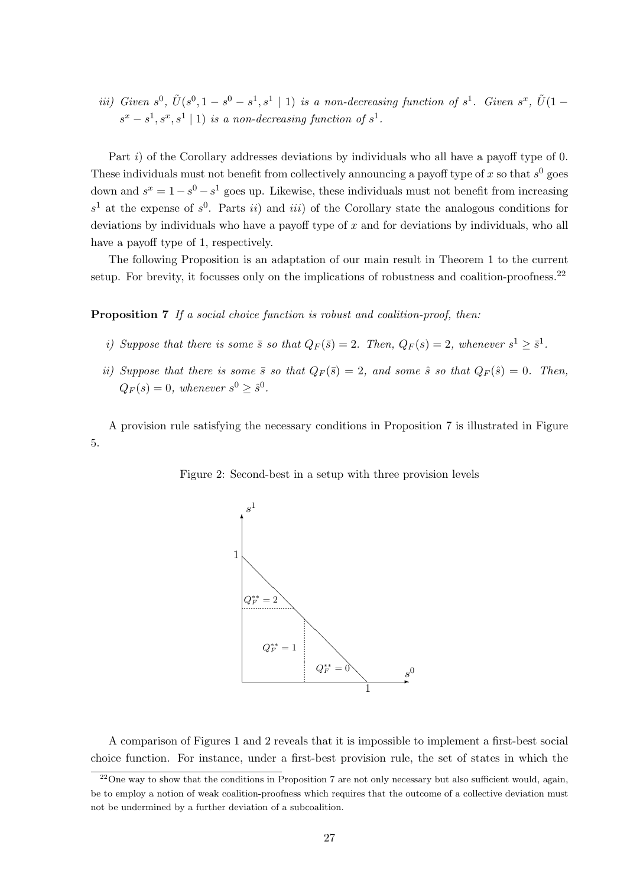iii) Given  $s^0$ ,  $\tilde{U}(s^0, 1-s^0-s^1, s^1 \mid 1)$  is a non-decreasing function of  $s^1$ . Given  $s^x$ ,  $\tilde{U}(1-s^0, 1-s^0, s^1 \mid 1)$  $s^x - s^1, s^x, s^1 \mid 1$  is a non-decreasing function of  $s^1$ .

Part i) of the Corollary addresses deviations by individuals who all have a payoff type of 0. These individuals must not benefit from collectively announcing a payoff type of x so that  $s^0$  goes down and  $s^x = 1 - s^0 - s^1$  goes up. Likewise, these individuals must not benefit from increasing  $s<sup>1</sup>$  at the expense of  $s<sup>0</sup>$ . Parts ii) and iii) of the Corollary state the analogous conditions for deviations by individuals who have a payoff type of  $x$  and for deviations by individuals, who all have a payoff type of 1, respectively.

The following Proposition is an adaptation of our main result in Theorem 1 to the current setup. For brevity, it focusses only on the implications of robustness and coalition-proofness.<sup>22</sup>

Proposition 7 If a social choice function is robust and coalition-proof, then:

- i) Suppose that there is some  $\bar{s}$  so that  $Q_F(\bar{s}) = 2$ . Then,  $Q_F(s) = 2$ , whenever  $s^1 \geq \bar{s}^1$ .
- ii) Suppose that there is some  $\bar{s}$  so that  $Q_F(\bar{s}) = 2$ , and some  $\hat{s}$  so that  $Q_F(\hat{s}) = 0$ . Then,  $Q_F(s) = 0$ , whenever  $s^0 \geq \hat{s}^0$ .

A provision rule satisfying the necessary conditions in Proposition 7 is illustrated in Figure 5.



Figure 2: Second-best in a setup with three provision levels

A comparison of Figures 1 and 2 reveals that it is impossible to implement a first-best social choice function. For instance, under a first-best provision rule, the set of states in which the

 $\frac{22}{20}$ ne way to show that the conditions in Proposition 7 are not only necessary but also sufficient would, again, be to employ a notion of weak coalition-proofness which requires that the outcome of a collective deviation must not be undermined by a further deviation of a subcoalition.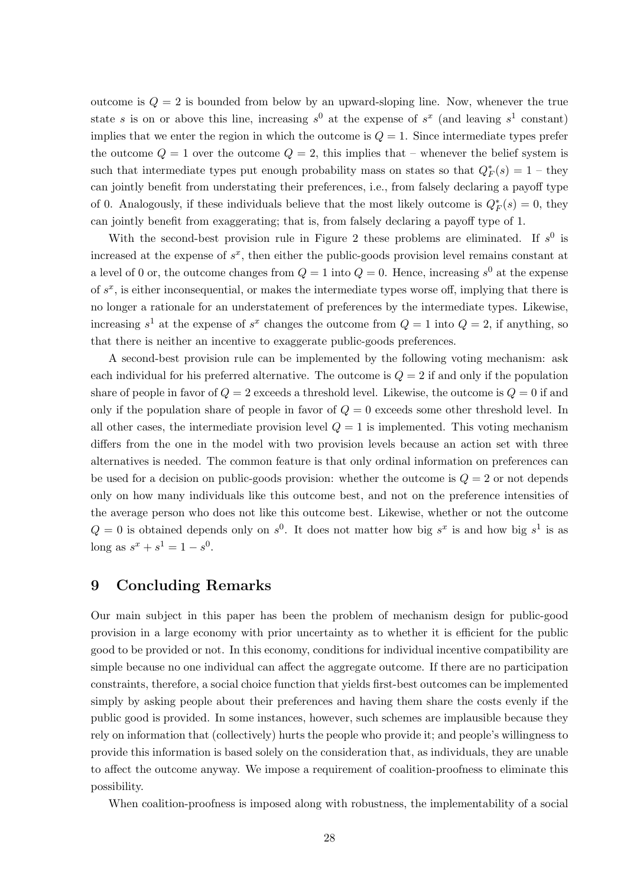outcome is  $Q = 2$  is bounded from below by an upward-sloping line. Now, whenever the true state s is on or above this line, increasing  $s^0$  at the expense of  $s^x$  (and leaving  $s^1$  constant) implies that we enter the region in which the outcome is  $Q = 1$ . Since intermediate types prefer the outcome  $Q = 1$  over the outcome  $Q = 2$ , this implies that – whenever the belief system is such that intermediate types put enough probability mass on states so that  $Q_F^*(s) = 1$  – they can jointly benefit from understating their preferences, i.e., from falsely declaring a payoff type of 0. Analogously, if these individuals believe that the most likely outcome is  $Q_F^*(s) = 0$ , they can jointly benefit from exaggerating; that is, from falsely declaring a payoff type of 1.

With the second-best provision rule in Figure 2 these problems are eliminated. If  $s^0$  is increased at the expense of  $s^x$ , then either the public-goods provision level remains constant at a level of 0 or, the outcome changes from  $Q = 1$  into  $Q = 0$ . Hence, increasing  $s^0$  at the expense of  $s^x$ , is either inconsequential, or makes the intermediate types worse off, implying that there is no longer a rationale for an understatement of preferences by the intermediate types. Likewise, increasing  $s^1$  at the expense of  $s^x$  changes the outcome from  $Q = 1$  into  $Q = 2$ , if anything, so that there is neither an incentive to exaggerate public-goods preferences.

A second-best provision rule can be implemented by the following voting mechanism: ask each individual for his preferred alternative. The outcome is  $Q = 2$  if and only if the population share of people in favor of  $Q = 2$  exceeds a threshold level. Likewise, the outcome is  $Q = 0$  if and only if the population share of people in favor of  $Q = 0$  exceeds some other threshold level. In all other cases, the intermediate provision level  $Q = 1$  is implemented. This voting mechanism differs from the one in the model with two provision levels because an action set with three alternatives is needed. The common feature is that only ordinal information on preferences can be used for a decision on public-goods provision: whether the outcome is  $Q = 2$  or not depends only on how many individuals like this outcome best, and not on the preference intensities of the average person who does not like this outcome best. Likewise, whether or not the outcome  $Q = 0$  is obtained depends only on  $s^0$ . It does not matter how big  $s^x$  is and how big  $s^1$  is as long as  $s^x + s^1 = 1 - s^0$ .

## 9 Concluding Remarks

Our main subject in this paper has been the problem of mechanism design for public-good provision in a large economy with prior uncertainty as to whether it is efficient for the public good to be provided or not. In this economy, conditions for individual incentive compatibility are simple because no one individual can affect the aggregate outcome. If there are no participation constraints, therefore, a social choice function that yields first-best outcomes can be implemented simply by asking people about their preferences and having them share the costs evenly if the public good is provided. In some instances, however, such schemes are implausible because they rely on information that (collectively) hurts the people who provide it; and people's willingness to provide this information is based solely on the consideration that, as individuals, they are unable to affect the outcome anyway. We impose a requirement of coalition-proofness to eliminate this possibility.

When coalition-proofness is imposed along with robustness, the implementability of a social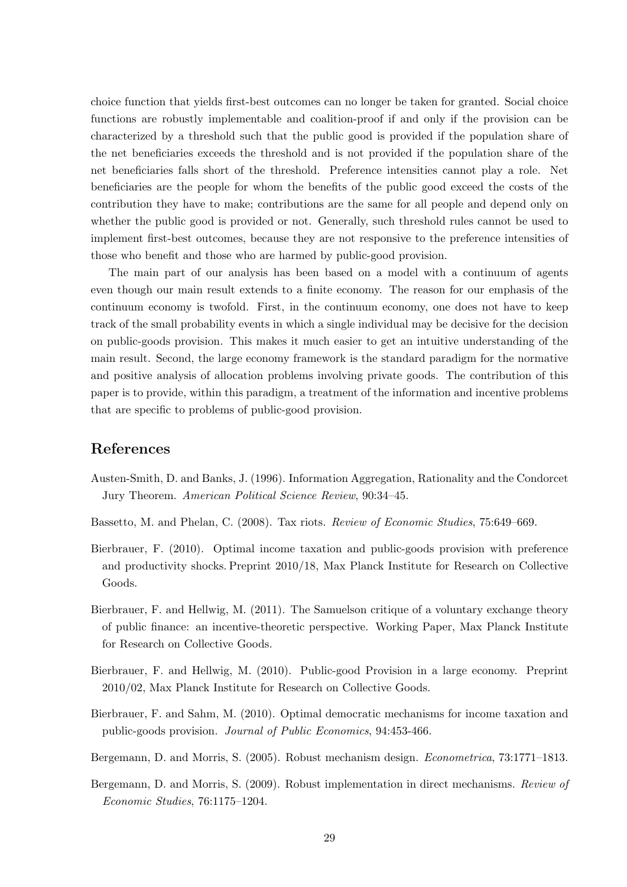choice function that yields first-best outcomes can no longer be taken for granted. Social choice functions are robustly implementable and coalition-proof if and only if the provision can be characterized by a threshold such that the public good is provided if the population share of the net beneficiaries exceeds the threshold and is not provided if the population share of the net beneficiaries falls short of the threshold. Preference intensities cannot play a role. Net beneficiaries are the people for whom the benefits of the public good exceed the costs of the contribution they have to make; contributions are the same for all people and depend only on whether the public good is provided or not. Generally, such threshold rules cannot be used to implement first-best outcomes, because they are not responsive to the preference intensities of those who benefit and those who are harmed by public-good provision.

The main part of our analysis has been based on a model with a continuum of agents even though our main result extends to a finite economy. The reason for our emphasis of the continuum economy is twofold. First, in the continuum economy, one does not have to keep track of the small probability events in which a single individual may be decisive for the decision on public-goods provision. This makes it much easier to get an intuitive understanding of the main result. Second, the large economy framework is the standard paradigm for the normative and positive analysis of allocation problems involving private goods. The contribution of this paper is to provide, within this paradigm, a treatment of the information and incentive problems that are specific to problems of public-good provision.

## References

- Austen-Smith, D. and Banks, J. (1996). Information Aggregation, Rationality and the Condorcet Jury Theorem. American Political Science Review, 90:34–45.
- Bassetto, M. and Phelan, C. (2008). Tax riots. Review of Economic Studies, 75:649–669.
- Bierbrauer, F. (2010). Optimal income taxation and public-goods provision with preference and productivity shocks. Preprint 2010/18, Max Planck Institute for Research on Collective Goods.
- Bierbrauer, F. and Hellwig, M. (2011). The Samuelson critique of a voluntary exchange theory of public finance: an incentive-theoretic perspective. Working Paper, Max Planck Institute for Research on Collective Goods.
- Bierbrauer, F. and Hellwig, M. (2010). Public-good Provision in a large economy. Preprint 2010/02, Max Planck Institute for Research on Collective Goods.
- Bierbrauer, F. and Sahm, M. (2010). Optimal democratic mechanisms for income taxation and public-goods provision. Journal of Public Economics, 94:453-466.
- Bergemann, D. and Morris, S. (2005). Robust mechanism design. Econometrica, 73:1771–1813.
- Bergemann, D. and Morris, S. (2009). Robust implementation in direct mechanisms. Review of Economic Studies, 76:1175–1204.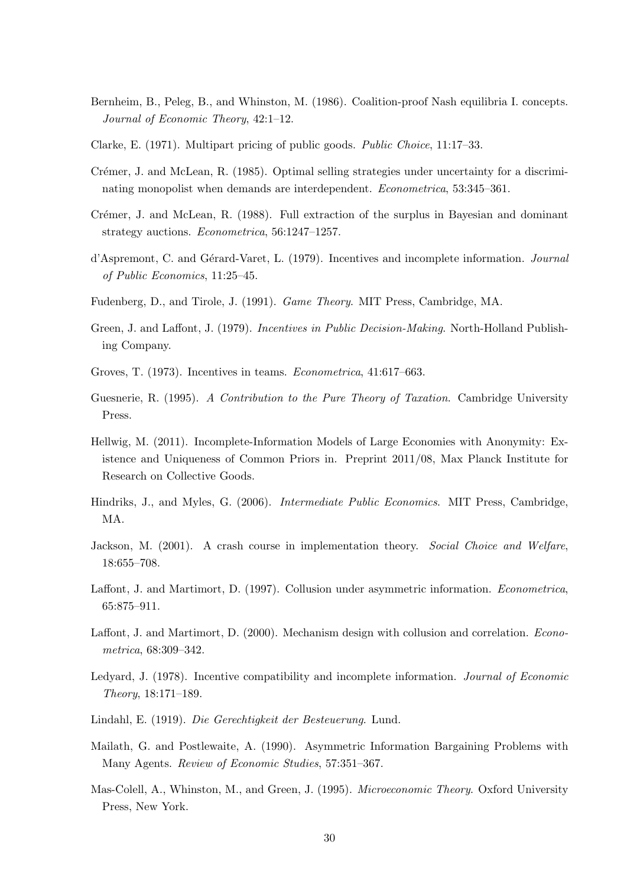- Bernheim, B., Peleg, B., and Whinston, M. (1986). Coalition-proof Nash equilibria I. concepts. Journal of Economic Theory, 42:1–12.
- Clarke, E. (1971). Multipart pricing of public goods. Public Choice, 11:17–33.
- Crémer, J. and McLean, R. (1985). Optimal selling strategies under uncertainty for a discriminating monopolist when demands are interdependent. Econometrica, 53:345–361.
- Crémer, J. and McLean, R. (1988). Full extraction of the surplus in Bayesian and dominant strategy auctions. Econometrica, 56:1247–1257.
- d'Aspremont, C. and Gérard-Varet, L. (1979). Incentives and incomplete information. Journal of Public Economics, 11:25–45.
- Fudenberg, D., and Tirole, J. (1991). Game Theory. MIT Press, Cambridge, MA.
- Green, J. and Laffont, J. (1979). Incentives in Public Decision-Making. North-Holland Publishing Company.
- Groves, T. (1973). Incentives in teams. Econometrica, 41:617–663.
- Guesnerie, R. (1995). A Contribution to the Pure Theory of Taxation. Cambridge University Press.
- Hellwig, M. (2011). Incomplete-Information Models of Large Economies with Anonymity: Existence and Uniqueness of Common Priors in. Preprint 2011/08, Max Planck Institute for Research on Collective Goods.
- Hindriks, J., and Myles, G. (2006). Intermediate Public Economics. MIT Press, Cambridge, MA.
- Jackson, M. (2001). A crash course in implementation theory. Social Choice and Welfare, 18:655–708.
- Laffont, J. and Martimort, D. (1997). Collusion under asymmetric information. Econometrica, 65:875–911.
- Laffont, J. and Martimort, D. (2000). Mechanism design with collusion and correlation. *Econo*metrica, 68:309–342.
- Ledyard, J. (1978). Incentive compatibility and incomplete information. Journal of Economic Theory, 18:171–189.
- Lindahl, E. (1919). Die Gerechtigkeit der Besteuerung. Lund.
- Mailath, G. and Postlewaite, A. (1990). Asymmetric Information Bargaining Problems with Many Agents. Review of Economic Studies, 57:351–367.
- Mas-Colell, A., Whinston, M., and Green, J. (1995). *Microeconomic Theory*. Oxford University Press, New York.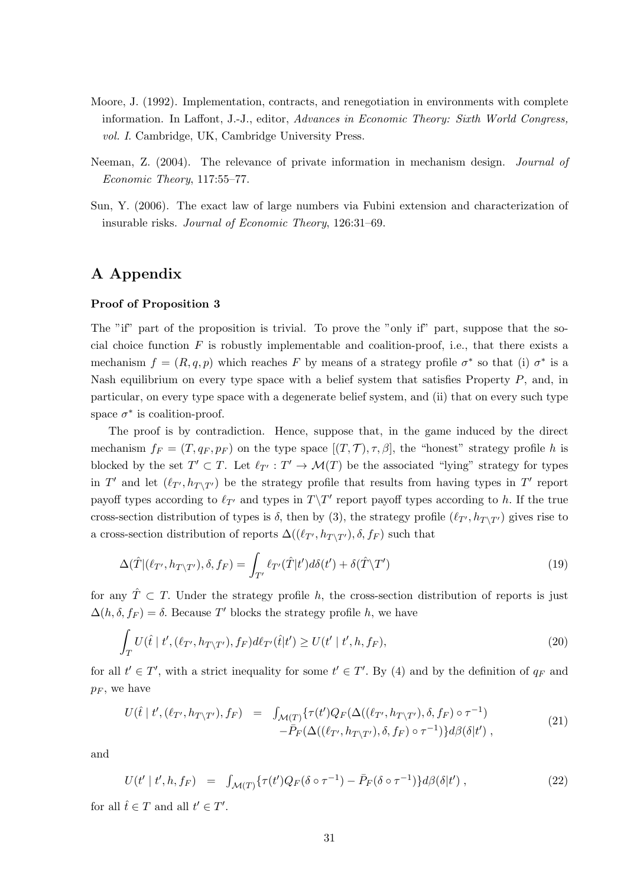- Moore, J. (1992). Implementation, contracts, and renegotiation in environments with complete information. In Laffont, J.-J., editor, Advances in Economic Theory: Sixth World Congress, vol. I. Cambridge, UK, Cambridge University Press.
- Neeman, Z. (2004). The relevance of private information in mechanism design. Journal of Economic Theory, 117:55–77.
- Sun, Y. (2006). The exact law of large numbers via Fubini extension and characterization of insurable risks. Journal of Economic Theory, 126:31–69.

## A Appendix

#### Proof of Proposition 3

The "if" part of the proposition is trivial. To prove the "only if" part, suppose that the social choice function  $F$  is robustly implementable and coalition-proof, i.e., that there exists a mechanism  $f = (R, q, p)$  which reaches F by means of a strategy profile  $\sigma^*$  so that (i)  $\sigma^*$  is a Nash equilibrium on every type space with a belief system that satisfies Property P, and, in particular, on every type space with a degenerate belief system, and (ii) that on every such type space  $\sigma^*$  is coalition-proof.

The proof is by contradiction. Hence, suppose that, in the game induced by the direct mechanism  $f_F = (T, q_F, p_F)$  on the type space  $[(T, \mathcal{T}), \tau, \beta]$ , the "honest" strategy profile h is blocked by the set  $T' \subset T$ . Let  $\ell_{T'} : T' \to \mathcal{M}(T)$  be the associated "lying" strategy for types in T' and let  $(\ell_{T'}, h_{T\setminus T'})$  be the strategy profile that results from having types in T' report payoff types according to  $\ell_{T'}$  and types in  $T\backslash T'$  report payoff types according to h. If the true cross-section distribution of types is  $\delta$ , then by (3), the strategy profile  $(\ell_{T}, h_{T\setminus T})$  gives rise to a cross-section distribution of reports  $\Delta((\ell_{T'}, h_{T\setminus T'}), \delta, f_F)$  such that

$$
\Delta(\hat{T}|(\ell_{T'}, h_{T\setminus T'}), \delta, f_F) = \int_{T'} \ell_{T'}(\hat{T}|t') d\delta(t') + \delta(\hat{T}\setminus T') \tag{19}
$$

for any  $\hat{T} \subset T$ . Under the strategy profile h, the cross-section distribution of reports is just  $\Delta(h, \delta, f_F) = \delta$ . Because T' blocks the strategy profile h, we have

$$
\int_{T} U(\hat{t} \mid t', (\ell_{T'}, h_{T \setminus T'}), f_{F}) d\ell_{T'}(\hat{t}|t') \ge U(t' \mid t', h, f_{F}),
$$
\n(20)

for all  $t' \in T'$ , with a strict inequality for some  $t' \in T'$ . By (4) and by the definition of  $q_F$  and  $p_F$ , we have

$$
U(\hat{t} | t', (\ell_{T'}, h_{T \setminus T'}), f_F) = \int_{\mathcal{M}(T)} \{ \tau(t') Q_F(\Delta((\ell_{T'}, h_{T \setminus T'}), \delta, f_F) \circ \tau^{-1}) - \bar{P}_F(\Delta((\ell_{T'}, h_{T \setminus T'}), \delta, f_F) \circ \tau^{-1}) \} d\beta(\delta | t'), \tag{21}
$$

and

$$
U(t' | t', h, f_F) = \int_{\mathcal{M}(T)} \{ \tau(t') Q_F(\delta \circ \tau^{-1}) - \bar{P}_F(\delta \circ \tau^{-1}) \} d\beta(\delta | t'), \qquad (22)
$$

for all  $\hat{t} \in T$  and all  $t' \in T'$ .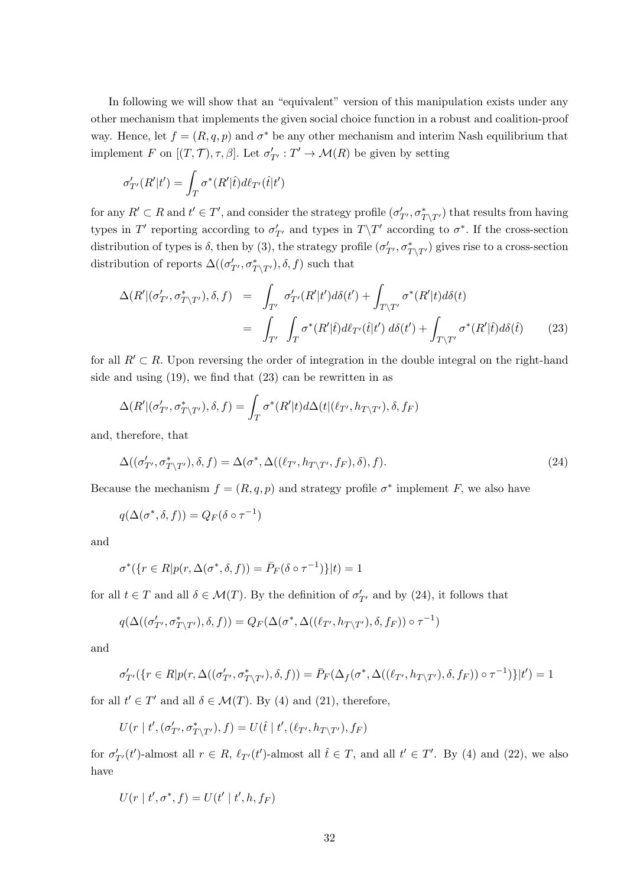In following we will show that an "equivalent" version of this manipulation exists under any other mechanism that implements the given social choice function in a robust and coalition-proof way. Hence, let  $f = (R, q, p)$  and  $\sigma^*$  be any other mechanism and interim Nash equilibrium that implement F on  $[(T, \mathcal{T}), \tau, \beta]$ . Let  $\sigma'_{T'} : T' \to \mathcal{M}(R)$  be given by setting

$$
\sigma'_{T'}(R'|t') = \int_T \sigma^*(R'|\hat{t}) d\ell_{T'}(\hat{t}|t')
$$

for any  $R' \subset R$  and  $t' \in T'$ , and consider the strategy profile  $(\sigma'_{T'}, \sigma^*_{T\setminus T'})$  that results from having types in T' reporting according to  $\sigma'_{T'}$  and types in  $T\T'$  according to  $\sigma^*$ . If the cross-section distribution of types is  $\delta$ , then by (3), the strategy profile  $(\sigma'_{T'}, \sigma^*_{T\setminus T'})$  gives rise to a cross-section distribution of reports  $\Delta((\sigma'_{T'}, \sigma^*_{T\setminus T'}), \delta, f)$  such that

$$
\Delta(R' | (\sigma'_{T'}, \sigma^*_{T \setminus T'}), \delta, f) = \int_{T'} \sigma'_{T'}(R'|t') d\delta(t') + \int_{T \setminus T'} \sigma^*(R'|t) d\delta(t)
$$

$$
= \int_{T'} \int_{T} \sigma^*(R'|t) d\ell_{T'}(t|t') d\delta(t') + \int_{T \setminus T'} \sigma^*(R'|t) d\delta(t)
$$
(23)

for all  $R' \subset R$ . Upon reversing the order of integration in the double integral on the right-hand side and using (19), we find that (23) can be rewritten in as

$$
\Delta(R' | (\sigma'_{T'}, \sigma^*_{T\setminus T'}), \delta, f) = \int_T \sigma^*(R' | t) d\Delta(t | (\ell_{T'}, h_{T\setminus T'}), \delta, f_F)
$$

and, therefore, that

$$
\Delta((\sigma'_{T'}, \sigma^*_{T\setminus T'}), \delta, f) = \Delta(\sigma^*, \Delta((\ell_{T'}, h_{T\setminus T'}, f_F), \delta), f).
$$
\n(24)

Because the mechanism  $f = (R, q, p)$  and strategy profile  $\sigma^*$  implement F, we also have

$$
q(\Delta(\sigma^*, \delta, f)) = Q_F(\delta \circ \tau^{-1})
$$

and

$$
\sigma^*(\{r \in R | p(r, \Delta(\sigma^*, \delta, f)) = \bar{P}_F(\delta \circ \tau^{-1})\}|t) = 1
$$

for all  $t \in T$  and all  $\delta \in \mathcal{M}(T)$ . By the definition of  $\sigma'_{T'}$  and by (24), it follows that

$$
q(\Delta((\sigma'_{T'}, \sigma^*_{T\setminus T'}), \delta, f)) = Q_F(\Delta(\sigma^*, \Delta((\ell_{T'}, h_{T\setminus T'}), \delta, f_F)) \circ \tau^{-1})
$$

and

$$
\sigma'_{T'}(\{r\in R|p(r,\Delta((\sigma'_{T'},\sigma^*_{T\backslash T'}),\delta,f))=\bar{P}_F(\Delta_f(\sigma^*,\Delta((\ell_{T'},h_{T\backslash T'}),\delta,f_F))\circ\tau^{-1})\}|t')=1
$$

for all  $t' \in T'$  and all  $\delta \in \mathcal{M}(T)$ . By (4) and (21), therefore,

$$
U(r \mid t', (\sigma'_{T'}, \sigma^*_{T\backslash T'}), f) = U(\widehat{t} \mid t', (\ell_{T'}, h_{T\backslash T'}), f_F)
$$

for  $\sigma'_{T'}(t')$ -almost all  $r \in R$ ,  $\ell_{T'}(t')$ -almost all  $\hat{t} \in T$ , and all  $t' \in T'$ . By (4) and (22), we also have

$$
U(r | t', \sigma^*, f) = U(t' | t', h, f_F)
$$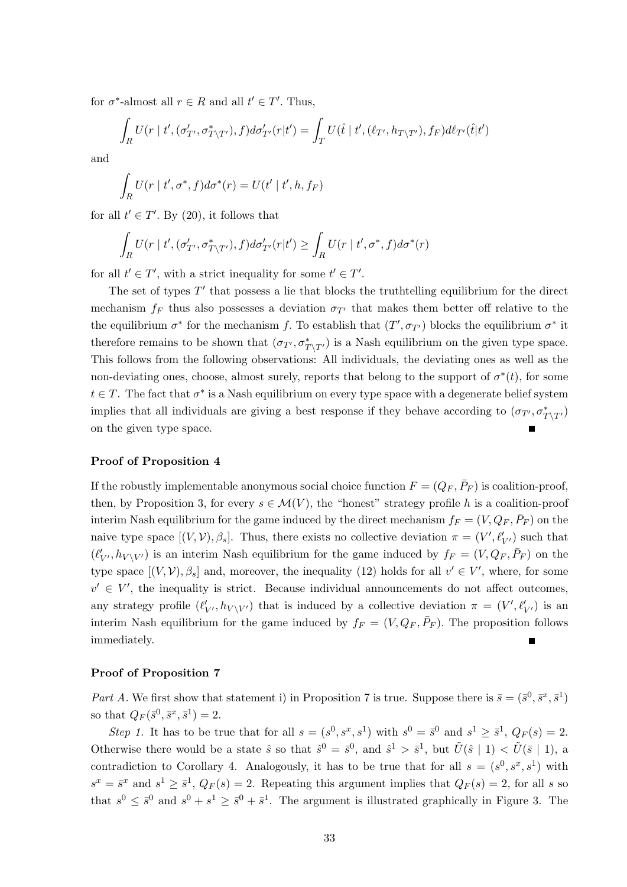for  $\sigma^*$ -almost all  $r \in R$  and all  $t' \in T'$ . Thus,

$$
\int_R U(r \mid t', (\sigma'_{T'}, \sigma^*_{T \setminus T'}), f) d\sigma'_{T'}(r|t') = \int_T U(\hat{t} \mid t', (\ell_{T'}, h_{T \setminus T'}), f_F) d\ell_{T'}(\hat{t}|t')
$$

and

$$
\int_{R} U(r \mid t', \sigma^*, f) d\sigma^*(r) = U(t' \mid t', h, f_F)
$$

for all  $t' \in T'$ . By (20), it follows that

$$
\int_{R} U(r \mid t', (\sigma'_{T'}, \sigma^*_{T\setminus T'}), f) d\sigma'_{T'}(r|t') \ge \int_{R} U(r \mid t', \sigma^*, f) d\sigma^*(r)
$$

for all  $t' \in T'$ , with a strict inequality for some  $t' \in T'$ .

The set of types  $T'$  that possess a lie that blocks the truthtelling equilibrium for the direct mechanism  $f_F$  thus also possesses a deviation  $\sigma_{T}$  that makes them better off relative to the the equilibrium  $\sigma^*$  for the mechanism f. To establish that  $(T', \sigma_{T'})$  blocks the equilibrium  $\sigma^*$  it therefore remains to be shown that  $(\sigma_{T'}, \sigma_{T\setminus T'}^*)$  is a Nash equilibrium on the given type space. This follows from the following observations: All individuals, the deviating ones as well as the non-deviating ones, choose, almost surely, reports that belong to the support of  $\sigma^*(t)$ , for some  $t \in T$ . The fact that  $\sigma^*$  is a Nash equilibrium on every type space with a degenerate belief system implies that all individuals are giving a best response if they behave according to  $(\sigma_{T'}, \sigma_{T\setminus T'}^*)$ on the given type space.

#### Proof of Proposition 4

If the robustly implementable anonymous social choice function  $F = (Q_F, \bar{P}_F)$  is coalition-proof, then, by Proposition 3, for every  $s \in \mathcal{M}(V)$ , the "honest" strategy profile h is a coalition-proof interim Nash equilibrium for the game induced by the direct mechanism  $f_F = (V, Q_F, \bar{P}_F)$  on the naive type space  $[(V, V), \beta_s]$ . Thus, there exists no collective deviation  $\pi = (V', \ell'_{V'})$  such that  $(\ell'_{V'}, h_{V \setminus V'})$  is an interim Nash equilibrium for the game induced by  $f_F = (V, Q_F, \bar{P}_F)$  on the type space  $[(V, V), \beta_s]$  and, moreover, the inequality (12) holds for all  $v' \in V'$ , where, for some  $v' \in V'$ , the inequality is strict. Because individual announcements do not affect outcomes, any strategy profile  $(\ell'_{V'}, h_{V \setminus V'})$  that is induced by a collective deviation  $\pi = (V', \ell'_{V'})$  is an interim Nash equilibrium for the game induced by  $f_F = (V, Q_F, \bar{P}_F)$ . The proposition follows immediately.

#### Proof of Proposition 7

Part A. We first show that statement i) in Proposition 7 is true. Suppose there is  $\bar{s} = (\bar{s}^0, \bar{s}^x, \bar{s}^1)$ so that  $Q_F(\bar{s}^0, \bar{s}^x, \bar{s}^1) = 2$ .

Step 1. It has to be true that for all  $s = (s^0, s^x, s^1)$  with  $s^0 = \bar{s}^0$  and  $s^1 \geq \bar{s}^1$ ,  $Q_F(s) = 2$ . Otherwise there would be a state  $\hat{s}$  so that  $\hat{s}^0 = \bar{s}^0$ , and  $\hat{s}^1 > \bar{s}^1$ , but  $\tilde{U}(\hat{s} \mid 1) < \tilde{U}(\bar{s} \mid 1)$ , a contradiction to Corollary 4. Analogously, it has to be true that for all  $s = (s^0, s^x, s^1)$  with  $s^x = \overline{s}^x$  and  $s^1 \geq \overline{s}^1$ ,  $Q_F(s) = 2$ . Repeating this argument implies that  $Q_F(s) = 2$ , for all s so that  $s^0 \leq \bar{s}^0$  and  $s^0 + s^1 \geq \bar{s}^0 + \bar{s}^1$ . The argument is illustrated graphically in Figure 3. The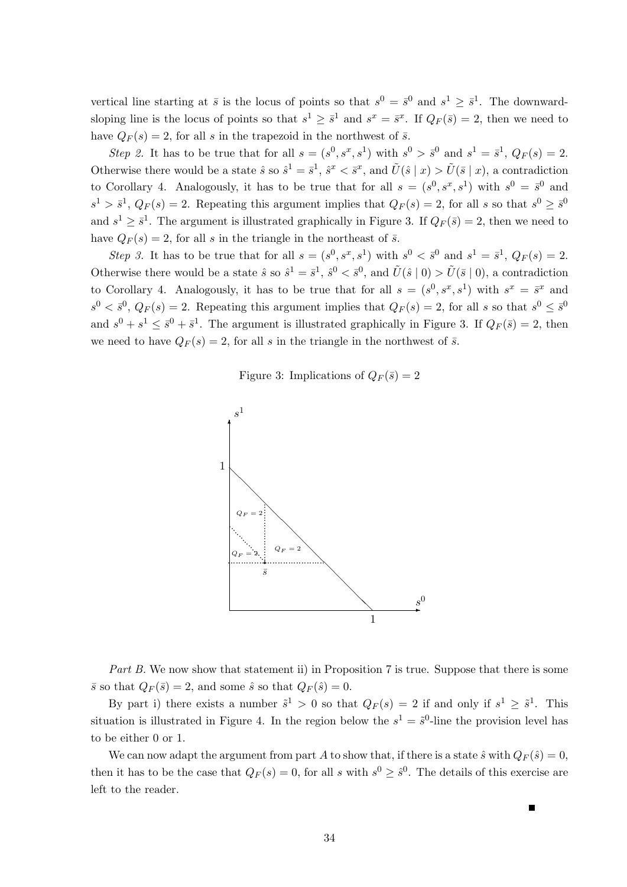vertical line starting at  $\bar{s}$  is the locus of points so that  $s^0 = \bar{s}^0$  and  $s^1 \geq \bar{s}^1$ . The downwardsloping line is the locus of points so that  $s^1 \geq \overline{s}^1$  and  $s^x = \overline{s}^x$ . If  $Q_F(\overline{s}) = 2$ , then we need to have  $Q_F(s) = 2$ , for all s in the trapezoid in the northwest of  $\bar{s}$ .

Step 2. It has to be true that for all  $s = (s^0, s^x, s^1)$  with  $s^0 > \bar{s}^0$  and  $s^1 = \bar{s}^1$ ,  $Q_F(s) = 2$ . Otherwise there would be a state  $\hat{s}$  so  $\hat{s}^1 = \bar{s}^1$ ,  $\hat{s}^x < \bar{s}^x$ , and  $\tilde{U}(\hat{s} \mid x) > \tilde{U}(\bar{s} \mid x)$ , a contradiction to Corollary 4. Analogously, it has to be true that for all  $s = (s^0, s^x, s^1)$  with  $s^0 = \bar{s}^0$  and  $s^1 > \bar{s}^1$ ,  $Q_F(s) = 2$ . Repeating this argument implies that  $Q_F(s) = 2$ , for all s so that  $s^0 \geq \bar{s}^0$ and  $s^1 \geq \bar{s}^1$ . The argument is illustrated graphically in Figure 3. If  $Q_F(\bar{s}) = 2$ , then we need to have  $Q_F(s) = 2$ , for all s in the triangle in the northeast of  $\bar{s}$ .

Step 3. It has to be true that for all  $s = (s^0, s^x, s^1)$  with  $s^0 < \bar{s}^0$  and  $s^1 = \bar{s}^1$ ,  $Q_F(s) = 2$ . Otherwise there would be a state  $\hat{s}$  so  $\hat{s}^1 = \bar{s}^1$ ,  $\hat{s}^0 < \bar{s}^0$ , and  $\tilde{U}(\hat{s} \mid 0) > \tilde{U}(\bar{s} \mid 0)$ , a contradiction to Corollary 4. Analogously, it has to be true that for all  $s = (s^0, s^x, s^1)$  with  $s^x = \overline{s}^x$  and  $s^0 < \bar{s}^0$ ,  $Q_F(s) = 2$ . Repeating this argument implies that  $Q_F(s) = 2$ , for all s so that  $s^0 \leq \bar{s}^0$ and  $s^0 + s^1 \leq \bar{s}^0 + \bar{s}^1$ . The argument is illustrated graphically in Figure 3. If  $Q_F(\bar{s}) = 2$ , then we need to have  $Q_F(s) = 2$ , for all s in the triangle in the northwest of  $\bar{s}$ .

Figure 3: Implications of  $Q_F(\bar{s}) = 2$ 



Part B. We now show that statement ii) in Proposition 7 is true. Suppose that there is some  $\bar{s}$  so that  $Q_F(\bar{s}) = 2$ , and some  $\hat{s}$  so that  $Q_F(\hat{s}) = 0$ .

By part i) there exists a number  $\tilde{s}^1 > 0$  so that  $Q_F(s) = 2$  if and only if  $s^1 \geq \tilde{s}^1$ . This situation is illustrated in Figure 4. In the region below the  $s^1 = \tilde{s}^0$ -line the provision level has to be either 0 or 1.

We can now adapt the argument from part A to show that, if there is a state  $\hat{s}$  with  $Q_F(\hat{s}) = 0$ , then it has to be the case that  $Q_F(s) = 0$ , for all s with  $s^0 \geq \hat{s}^0$ . The details of this exercise are left to the reader.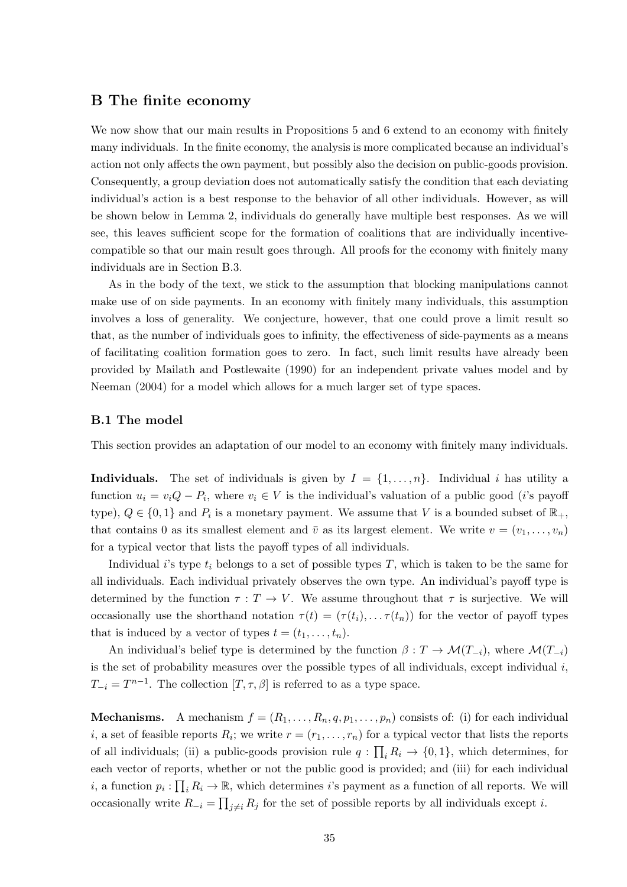## B The finite economy

We now show that our main results in Propositions 5 and 6 extend to an economy with finitely many individuals. In the finite economy, the analysis is more complicated because an individual's action not only affects the own payment, but possibly also the decision on public-goods provision. Consequently, a group deviation does not automatically satisfy the condition that each deviating individual's action is a best response to the behavior of all other individuals. However, as will be shown below in Lemma 2, individuals do generally have multiple best responses. As we will see, this leaves sufficient scope for the formation of coalitions that are individually incentivecompatible so that our main result goes through. All proofs for the economy with finitely many individuals are in Section B.3.

As in the body of the text, we stick to the assumption that blocking manipulations cannot make use of on side payments. In an economy with finitely many individuals, this assumption involves a loss of generality. We conjecture, however, that one could prove a limit result so that, as the number of individuals goes to infinity, the effectiveness of side-payments as a means of facilitating coalition formation goes to zero. In fact, such limit results have already been provided by Mailath and Postlewaite (1990) for an independent private values model and by Neeman (2004) for a model which allows for a much larger set of type spaces.

#### B.1 The model

This section provides an adaptation of our model to an economy with finitely many individuals.

**Individuals.** The set of individuals is given by  $I = \{1, \ldots, n\}$ . Individual i has utility a function  $u_i = v_i Q - P_i$ , where  $v_i \in V$  is the individual's valuation of a public good (*i*'s payoff type),  $Q \in \{0, 1\}$  and  $P_i$  is a monetary payment. We assume that V is a bounded subset of  $\mathbb{R}_+$ , that contains 0 as its smallest element and  $\bar{v}$  as its largest element. We write  $v = (v_1, \ldots, v_n)$ for a typical vector that lists the payoff types of all individuals.

Individual i's type  $t_i$  belongs to a set of possible types T, which is taken to be the same for all individuals. Each individual privately observes the own type. An individual's payoff type is determined by the function  $\tau : T \to V$ . We assume throughout that  $\tau$  is surjective. We will occasionally use the shorthand notation  $\tau(t) = (\tau(t_i), \dots, \tau(t_n))$  for the vector of payoff types that is induced by a vector of types  $t = (t_1, \ldots, t_n)$ .

An individual's belief type is determined by the function  $\beta : T \to \mathcal{M}(T_{-i}),$  where  $\mathcal{M}(T_{-i})$ is the set of probability measures over the possible types of all individuals, except individual  $i$ ,  $T_{-i} = T^{n-1}$ . The collection  $[T, \tau, \beta]$  is referred to as a type space.

**Mechanisms.** A mechanism  $f = (R_1, \ldots, R_n, q, p_1, \ldots, p_n)$  consists of: (i) for each individual *i*, a set of feasible reports  $R_i$ ; we write  $r = (r_1, \ldots, r_n)$  for a typical vector that lists the reports of all individuals; (ii) a public-goods provision rule  $q: \prod_i R_i \to \{0,1\}$ , which determines, for each vector of reports, whether or not the public good is provided; and (iii) for each individual *i*, a function  $p_i: \prod_i R_i \to \mathbb{R}$ , which determines *i*'s payment as a function of all reports. We will occasionally write  $R_{-i} = \prod_{j \neq i} R_j$  for the set of possible reports by all individuals except *i*.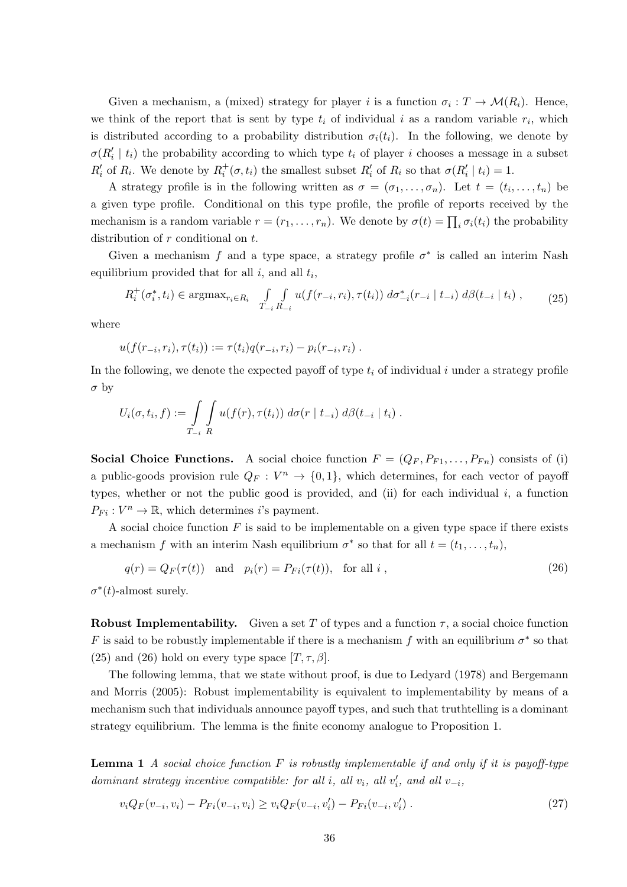Given a mechanism, a (mixed) strategy for player i is a function  $\sigma_i : T \to \mathcal{M}(R_i)$ . Hence, we think of the report that is sent by type  $t_i$  of individual i as a random variable  $r_i$ , which is distributed according to a probability distribution  $\sigma_i(t_i)$ . In the following, we denote by  $\sigma(R'_i \mid t_i)$  the probability according to which type  $t_i$  of player i chooses a message in a subset  $R_i'$  of  $R_i$ . We denote by  $R_i^+(\sigma, t_i)$  the smallest subset  $R_i'$  of  $R_i$  so that  $\sigma(R_i' | t_i) = 1$ .

A strategy profile is in the following written as  $\sigma = (\sigma_1, \ldots, \sigma_n)$ . Let  $t = (t_i, \ldots, t_n)$  be a given type profile. Conditional on this type profile, the profile of reports received by the mechanism is a random variable  $r = (r_1, \ldots, r_n)$ . We denote by  $\sigma(t) = \prod_i \sigma_i(t_i)$  the probability distribution of r conditional on t.

Given a mechanism f and a type space, a strategy profile  $\sigma^*$  is called an interim Nash equilibrium provided that for all  $i$ , and all  $t_i$ ,

$$
R_i^+(\sigma_i^*, t_i) \in \operatorname{argmax}_{r_i \in R_i} \quad \int\limits_{T_{-i}} \int\limits_{R_{-i}} u(f(r_{-i}, r_i), \tau(t_i)) \, d\sigma_{-i}^*(r_{-i} \mid t_{-i}) \, d\beta(t_{-i} \mid t_i) \,, \tag{25}
$$

where

$$
u(f(r_{-i},r_i),\tau(t_i)) := \tau(t_i)q(r_{-i},r_i) - p_i(r_{-i},r_i) .
$$

In the following, we denote the expected payoff of type  $t_i$  of individual i under a strategy profile  $\sigma$  by

$$
U_i(\sigma, t_i, f) := \int\limits_{T_{-i}} \int\limits_R u(f(r), \tau(t_i)) \ d\sigma(r \mid t_{-i}) \ d\beta(t_{-i} \mid t_i) .
$$

**Social Choice Functions.** A social choice function  $F = (Q_F, P_{F1}, \ldots, P_{Fn})$  consists of (i) a public-goods provision rule  $Q_F : V^n \to \{0,1\}$ , which determines, for each vector of payoff types, whether or not the public good is provided, and (ii) for each individual  $i$ , a function  $P_{Fi}: V^n \to \mathbb{R}$ , which determines *i*'s payment.

A social choice function  $F$  is said to be implementable on a given type space if there exists a mechanism f with an interim Nash equilibrium  $\sigma^*$  so that for all  $t = (t_1, \ldots, t_n)$ ,

$$
q(r) = Q_F(\tau(t)) \quad \text{and} \quad p_i(r) = P_{Fi}(\tau(t)), \quad \text{for all } i \tag{26}
$$

 $\sigma^*(t)$ -almost surely.

**Robust Implementability.** Given a set T of types and a function  $\tau$ , a social choice function F is said to be robustly implementable if there is a mechanism f with an equilibrium  $\sigma^*$  so that (25) and (26) hold on every type space  $[T, \tau, \beta]$ .

The following lemma, that we state without proof, is due to Ledyard (1978) and Bergemann and Morris (2005): Robust implementability is equivalent to implementability by means of a mechanism such that individuals announce payoff types, and such that truthtelling is a dominant strategy equilibrium. The lemma is the finite economy analogue to Proposition 1.

**Lemma 1** A social choice function F is robustly implementable if and only if it is payoff-type dominant strategy incentive compatible: for all i, all  $v_i$ , all  $v'_i$ , and all  $v_{-i}$ ,

$$
v_i Q_F(v_{-i}, v_i) - P_{Fi}(v_{-i}, v_i) \ge v_i Q_F(v_{-i}, v_i') - P_{Fi}(v_{-i}, v_i').
$$
\n(27)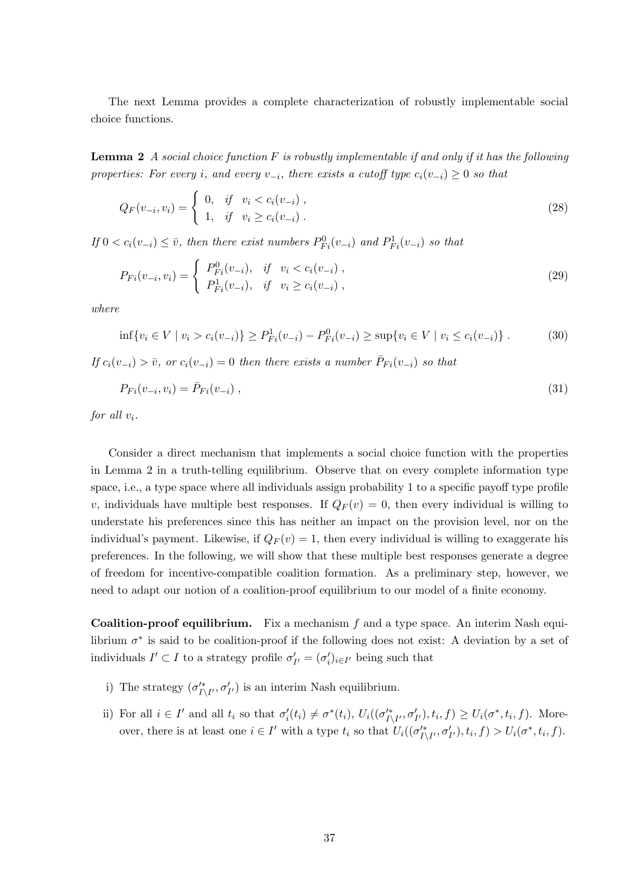The next Lemma provides a complete characterization of robustly implementable social choice functions.

**Lemma 2** A social choice function  $F$  is robustly implementable if and only if it has the following properties: For every i, and every  $v_{-i}$ , there exists a cutoff type  $c_i(v_{-i}) \geq 0$  so that

$$
Q_F(v_{-i}, v_i) = \begin{cases} 0, & if \quad v_i < c_i(v_{-i}), \\ 1, & if \quad v_i \ge c_i(v_{-i}). \end{cases} \tag{28}
$$

If  $0 < c_i(v_{-i}) \leq \overline{v}$ , then there exist numbers  $P_{Fi}^0(v_{-i})$  and  $P_{Fi}^1(v_{-i})$  so that

$$
P_{Fi}(v_{-i}, v_i) = \begin{cases} P_{Fi}^0(v_{-i}), & if \quad v_i < c_i(v_{-i}), \\ P_{Fi}^1(v_{-i}), & if \quad v_i \geq c_i(v_{-i}), \end{cases}
$$
\n
$$
(29)
$$

where

$$
\inf \{ v_i \in V \mid v_i > c_i(v_{-i}) \} \ge P_{Fi}^1(v_{-i}) - P_{Fi}^0(v_{-i}) \ge \sup \{ v_i \in V \mid v_i \le c_i(v_{-i}) \} . \tag{30}
$$

If  $c_i(v_{-i}) > \overline{v}$ , or  $c_i(v_{-i}) = 0$  then there exists a number  $\overline{P}_{Fi}(v_{-i})$  so that

$$
P_{Fi}(v_{-i}, v_i) = \bar{P}_{Fi}(v_{-i}) \tag{31}
$$

for all  $v_i$ .

Consider a direct mechanism that implements a social choice function with the properties in Lemma 2 in a truth-telling equilibrium. Observe that on every complete information type space, i.e., a type space where all individuals assign probability 1 to a specific payoff type profile v, individuals have multiple best responses. If  $Q_F(v) = 0$ , then every individual is willing to understate his preferences since this has neither an impact on the provision level, nor on the individual's payment. Likewise, if  $Q_F(v) = 1$ , then every individual is willing to exaggerate his preferences. In the following, we will show that these multiple best responses generate a degree of freedom for incentive-compatible coalition formation. As a preliminary step, however, we need to adapt our notion of a coalition-proof equilibrium to our model of a finite economy.

**Coalition-proof equilibrium.** Fix a mechanism  $f$  and a type space. An interim Nash equilibrium  $\sigma^*$  is said to be coalition-proof if the following does not exist: A deviation by a set of individuals  $I' \subset I$  to a strategy profile  $\sigma'_{I'} = (\sigma'_{i})_{i \in I'}$  being such that

- i) The strategy  $(\sigma'^*_{I\setminus I'}, \sigma'_{I'})$  is an interim Nash equilibrium.
- ii) For all  $i \in I'$  and all  $t_i$  so that  $\sigma'_i(t_i) \neq \sigma^*(t_i)$ ,  $U_i((\sigma'^*_{I \setminus I'}, \sigma'_{I'}), t_i, f) \geq U_i(\sigma^*, t_i, f)$ . Moreover, there is at least one  $i \in I'$  with a type  $t_i$  so that  $U_i((\sigma_{I \setminus I'}^{t*}, \sigma_{I'}'), t_i, f) > U_i(\sigma^*, t_i, f)$ .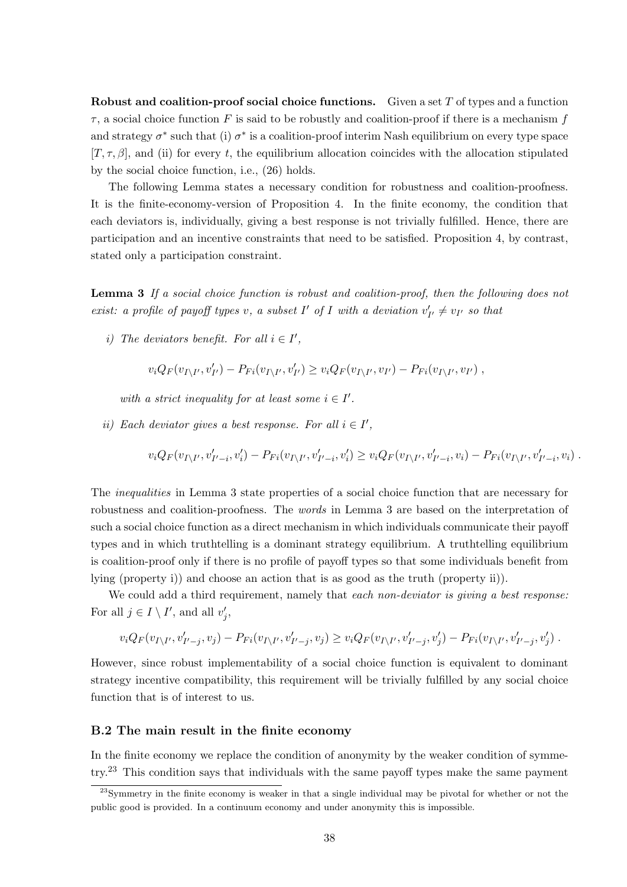Robust and coalition-proof social choice functions. Given a set  $T$  of types and a function  $\tau$ , a social choice function F is said to be robustly and coalition-proof if there is a mechanism f and strategy  $\sigma^*$  such that (i)  $\sigma^*$  is a coalition-proof interim Nash equilibrium on every type space  $[T, \tau, \beta]$ , and (ii) for every t, the equilibrium allocation coincides with the allocation stipulated by the social choice function, i.e., (26) holds.

The following Lemma states a necessary condition for robustness and coalition-proofness. It is the finite-economy-version of Proposition 4. In the finite economy, the condition that each deviators is, individually, giving a best response is not trivially fulfilled. Hence, there are participation and an incentive constraints that need to be satisfied. Proposition 4, by contrast, stated only a participation constraint.

Lemma 3 If a social choice function is robust and coalition-proof, then the following does not exist: a profile of payoff types v, a subset  $I'$  of  $I$  with a deviation  $v'_{I'} \neq v_{I'}$  so that

i) The deviators benefit. For all  $i \in I'$ ,

$$
v_i Q_F(v_{I \setminus I'}, v'_{I'}) - P_{Fi}(v_{I \setminus I'}, v'_{I'}) \ge v_i Q_F(v_{I \setminus I'}, v_{I'}) - P_{Fi}(v_{I \setminus I'}, v_{I'}) ,
$$

with a strict inequality for at least some  $i \in I'$ .

ii) Each deviator gives a best response. For all  $i \in I'$ ,

$$
v_i Q_F(v_{I \setminus I'}, v'_{I'-i}, v'_i) - P_{Fi}(v_{I \setminus I'}, v'_{I'-i}, v'_i) \ge v_i Q_F(v_{I \setminus I'}, v'_{I'-i}, v_i) - P_{Fi}(v_{I \setminus I'}, v'_{I'-i}, v_i) .
$$

The *inequalities* in Lemma 3 state properties of a social choice function that are necessary for robustness and coalition-proofness. The words in Lemma 3 are based on the interpretation of such a social choice function as a direct mechanism in which individuals communicate their payoff types and in which truthtelling is a dominant strategy equilibrium. A truthtelling equilibrium is coalition-proof only if there is no profile of payoff types so that some individuals benefit from lying (property i)) and choose an action that is as good as the truth (property ii)).

We could add a third requirement, namely that each non-deviator is giving a best response: For all  $j \in I \setminus I'$ , and all  $v'_j$ ,

$$
v_i Q_F(v_{I \setminus I'}, v'_{I'-j}, v_j) - P_{Fi}(v_{I \setminus I'}, v'_{I'-j}, v_j) \geq v_i Q_F(v_{I \setminus I'}, v'_{I'-j}, v'_j) - P_{Fi}(v_{I \setminus I'}, v'_{I'-j}, v'_j).
$$

However, since robust implementability of a social choice function is equivalent to dominant strategy incentive compatibility, this requirement will be trivially fulfilled by any social choice function that is of interest to us.

#### B.2 The main result in the finite economy

In the finite economy we replace the condition of anonymity by the weaker condition of symmetry.<sup>23</sup> This condition says that individuals with the same payoff types make the same payment

<sup>&</sup>lt;sup>23</sup>Symmetry in the finite economy is weaker in that a single individual may be pivotal for whether or not the public good is provided. In a continuum economy and under anonymity this is impossible.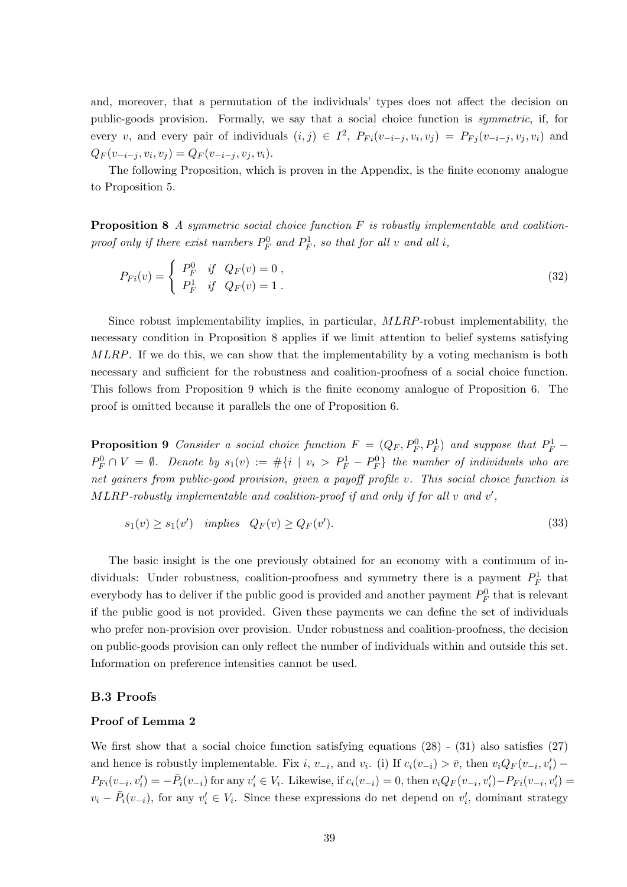and, moreover, that a permutation of the individuals' types does not affect the decision on public-goods provision. Formally, we say that a social choice function is symmetric, if, for every v, and every pair of individuals  $(i, j) \in I^2$ ,  $P_{Fi}(v_{-i-j}, v_i, v_j) = P_{Fj}(v_{-i-j}, v_j, v_i)$  and  $Q_F(v_{-i-j}, v_i, v_j) = Q_F(v_{-i-j}, v_j, v_i).$ 

The following Proposition, which is proven in the Appendix, is the finite economy analogue to Proposition 5.

**Proposition 8** A symmetric social choice function  $F$  is robustly implementable and coalitionproof only if there exist numbers  $P_F^0$  and  $P_F^1$ , so that for all v and all i,

$$
P_{Fi}(v) = \begin{cases} P_F^0 & \text{if } Q_F(v) = 0, \\ P_F^1 & \text{if } Q_F(v) = 1. \end{cases}
$$
 (32)

Since robust implementability implies, in particular, MLRP-robust implementability, the necessary condition in Proposition 8 applies if we limit attention to belief systems satisfying MLRP. If we do this, we can show that the implementability by a voting mechanism is both necessary and sufficient for the robustness and coalition-proofness of a social choice function. This follows from Proposition 9 which is the finite economy analogue of Proposition 6. The proof is omitted because it parallels the one of Proposition 6.

**Proposition 9** Consider a social choice function  $F = (Q_F, P_F^0, P_F^1)$  and suppose that  $P_F^1$  $P_F^0 \cap V = \emptyset$ . Denote by  $s_1(v) := #\{i \mid v_i > P_F^1 - P_F^0\}$  the number of individuals who are net gainers from public-good provision, given a payoff profile v. This social choice function is  $MLRP$ -robustly implementable and coalition-proof if and only if for all  $v$  and  $v'$ ,

$$
s_1(v) \ge s_1(v') \quad implies \quad Q_F(v) \ge Q_F(v'). \tag{33}
$$

The basic insight is the one previously obtained for an economy with a continuum of individuals: Under robustness, coalition-proofness and symmetry there is a payment  $P_F^1$  that everybody has to deliver if the public good is provided and another payment  $P_F^0$  that is relevant if the public good is not provided. Given these payments we can define the set of individuals who prefer non-provision over provision. Under robustness and coalition-proofness, the decision on public-goods provision can only reflect the number of individuals within and outside this set. Information on preference intensities cannot be used.

#### B.3 Proofs

#### Proof of Lemma 2

We first show that a social choice function satisfying equations  $(28)$  -  $(31)$  also satisfies  $(27)$ and hence is robustly implementable. Fix i,  $v_{-i}$ , and  $v_i$ . (i) If  $c_i(v_{-i}) > \bar{v}$ , then  $v_i Q_F(v_{-i}, v'_i)$  –  $P_{Fi}(v_{-i}, v_i') = -\bar{P}_i(v_{-i})$  for any  $v_i' \in V_i$ . Likewise, if  $c_i(v_{-i}) = 0$ , then  $v_i Q_F(v_{-i}, v_i') - P_{Fi}(v_{-i}, v_i') = 0$  $v_i - \bar{P}_i(v_{-i}),$  for any  $v'_i \in V_i$ . Since these expressions do net depend on  $v'_i$ , dominant strategy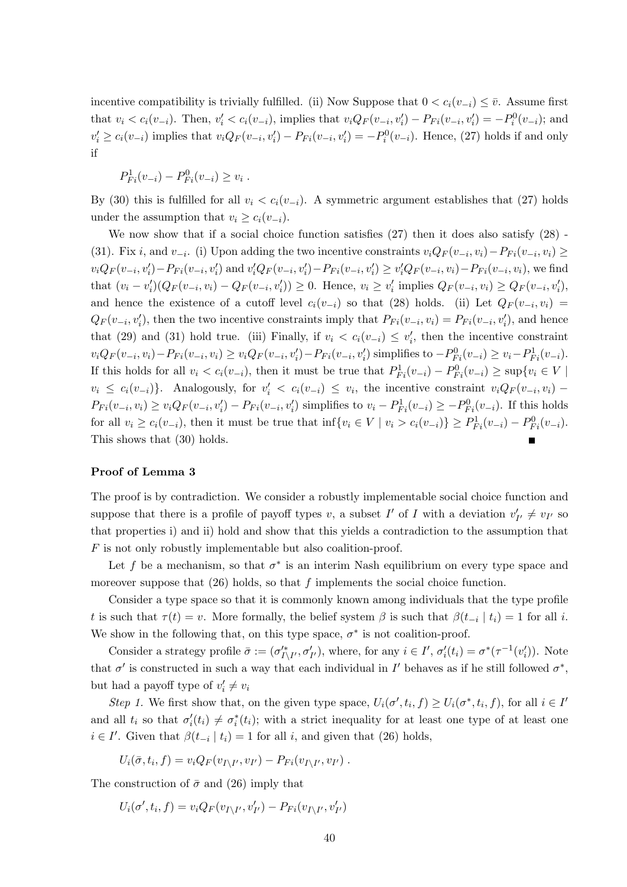incentive compatibility is trivially fulfilled. (ii) Now Suppose that  $0 < c_i(v_{-i}) \leq \overline{v}$ . Assume first that  $v_i < c_i(v_{-i})$ . Then,  $v'_i < c_i(v_{-i})$ , implies that  $v_i Q_F(v_{-i}, v'_i) - P_{Fi}(v_{-i}, v'_i) = -P_i^0(v_{-i})$ ; and  $v'_i \geq c_i(v_{-i})$  implies that  $v_i Q_F(v_{-i}, v'_i) - P_{Fi}(v_{-i}, v'_i) = -P_i^0(v_{-i})$ . Hence, (27) holds if and only if

$$
P_{Fi}^1(v_{-i}) - P_{Fi}^0(v_{-i}) \ge v_i.
$$

By (30) this is fulfilled for all  $v_i < c_i(v_{-i})$ . A symmetric argument establishes that (27) holds under the assumption that  $v_i \geq c_i(v_{-i})$ .

We now show that if a social choice function satisfies  $(27)$  then it does also satisfy  $(28)$ . (31). Fix i, and  $v_{-i}$ . (i) Upon adding the two incentive constraints  $v_i Q_F(v_{-i}, v_i) - P_{Fi}(v_{-i}, v_i) \ge$  $v_iQ_F(v_{-i}, v'_i) - P_{Fi}(v_{-i}, v'_i)$  and  $v'_iQ_F(v_{-i}, v'_i) - P_{Fi}(v_{-i}, v'_i) \ge v'_iQ_F(v_{-i}, v_i) - P_{Fi}(v_{-i}, v_i)$ , we find that  $(v_i - v'_i)(Q_F(v_{-i}, v_i) - Q_F(v_{-i}, v'_i)) \ge 0$ . Hence,  $v_i \ge v'_i$  implies  $Q_F(v_{-i}, v_i) \ge Q_F(v_{-i}, v'_i)$ , and hence the existence of a cutoff level  $c_i(v_{-i})$  so that (28) holds. (ii) Let  $Q_F(v_{-i}, v_i)$  $Q_F(v_{-i}, v'_i)$ , then the two incentive constraints imply that  $P_{Fi}(v_{-i}, v_i) = P_{Fi}(v_{-i}, v'_i)$ , and hence that (29) and (31) hold true. (iii) Finally, if  $v_i < c_i(v_{-i}) \le v_i'$ , then the incentive constraint  $v_i Q_F(v_{-i}, v_i) - P_{Fi}(v_{-i}, v_i) \ge v_i Q_F(v_{-i}, v_i') - P_{Fi}(v_{-i}, v_i')$  simplifies to  $-P_{Fi}^0(v_{-i}) \ge v_i - P_{Fi}^1(v_{-i})$ . If this holds for all  $v_i < c_i(v_{-i})$ , then it must be true that  $P_{Fi}^1(v_{-i}) - P_{Fi}^0(v_{-i}) \ge \sup\{v_i \in V \mid$  $v_i \leq c_i(v_{-i})\}$ . Analogously, for  $v'_i < c_i(v_{-i}) \leq v_i$ , the incentive constraint  $v_i Q_F(v_{-i}, v_i)$  –  $P_{Fi}(v_{-i}, v_i) \ge v_i Q_F(v_{-i}, v'_i) - P_{Fi}(v_{-i}, v'_i)$  simplifies to  $v_i - P_{Fi}^1(v_{-i}) \ge -P_{Fi}^0(v_{-i})$ . If this holds for all  $v_i \ge c_i(v_{-i})$ , then it must be true that  $\inf\{v_i \in V \mid v_i > c_i(v_{-i})\} \ge P_{Fi}^1(v_{-i}) - P_{Fi}^0(v_{-i}).$ This shows that (30) holds.

#### Proof of Lemma 3

The proof is by contradiction. We consider a robustly implementable social choice function and suppose that there is a profile of payoff types v, a subset  $I'$  of  $I$  with a deviation  $v'_{I'} \neq v_{I'}$  so that properties i) and ii) hold and show that this yields a contradiction to the assumption that F is not only robustly implementable but also coalition-proof.

Let f be a mechanism, so that  $\sigma^*$  is an interim Nash equilibrium on every type space and moreover suppose that  $(26)$  holds, so that f implements the social choice function.

Consider a type space so that it is commonly known among individuals that the type profile t is such that  $\tau(t) = v$ . More formally, the belief system  $\beta$  is such that  $\beta(t_{-i} | t_i) = 1$  for all i. We show in the following that, on this type space,  $\sigma^*$  is not coalition-proof.

Consider a strategy profile  $\bar{\sigma} := (\sigma_{I \setminus I'}^*, \sigma_{I'}'),$  where, for any  $i \in I', \sigma_i'(t_i) = \sigma^*(\tau^{-1}(v_i')).$  Note that  $\sigma'$  is constructed in such a way that each individual in I' behaves as if he still followed  $\sigma^*$ , but had a payoff type of  $v'_i \neq v_i$ 

Step 1. We first show that, on the given type space,  $U_i(\sigma', t_i, f) \ge U_i(\sigma^*, t_i, f)$ , for all  $i \in I'$ and all  $t_i$  so that  $\sigma'_i(t_i) \neq \sigma^*_i(t_i)$ ; with a strict inequality for at least one type of at least one  $i \in I'$ . Given that  $\beta(t_{-i} \mid t_i) = 1$  for all i, and given that (26) holds,

$$
U_i(\bar{\sigma}, t_i, f) = v_i Q_F(v_{I \setminus I'}, v_{I'}) - P_{Fi}(v_{I \setminus I'}, v_{I'}) .
$$

The construction of  $\bar{\sigma}$  and (26) imply that

 $U_i(\sigma', t_i, f) = v_i Q_F(v_{I \setminus I'}, v'_{I'}) - P_{Fi}(v_{I \setminus I'}, v'_{I'})$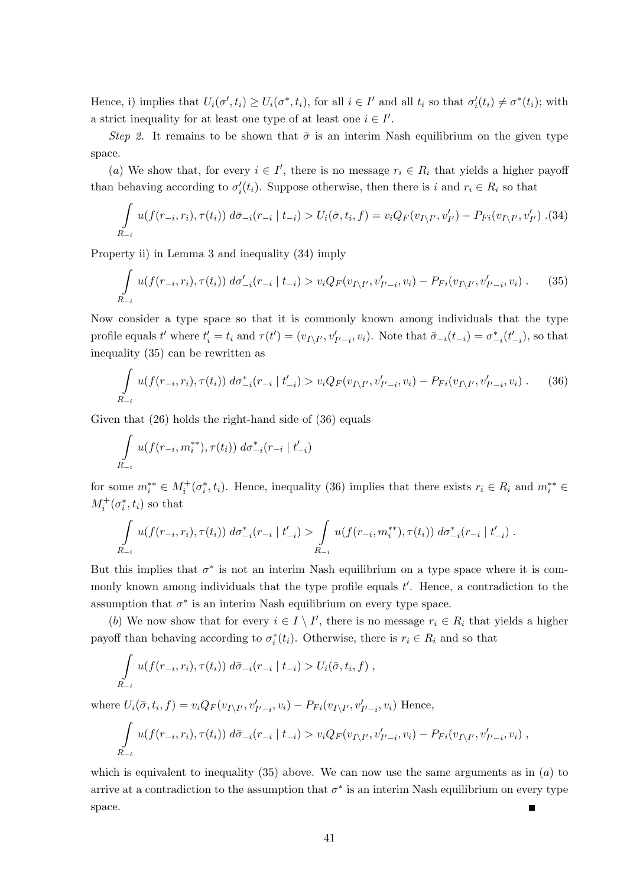Hence, i) implies that  $U_i(\sigma', t_i) \ge U_i(\sigma^*, t_i)$ , for all  $i \in I'$  and all  $t_i$  so that  $\sigma'_i(t_i) \ne \sigma^*(t_i)$ ; with a strict inequality for at least one type of at least one  $i \in I'$ .

Step 2. It remains to be shown that  $\bar{\sigma}$  is an interim Nash equilibrium on the given type space.

(a) We show that, for every  $i \in I'$ , there is no message  $r_i \in R_i$  that yields a higher payoff than behaving according to  $\sigma'_i(t_i)$ . Suppose otherwise, then there is i and  $r_i \in R_i$  so that

$$
\int_{R_{-i}} u(f(r_{-i}, r_i), \tau(t_i)) d\bar{\sigma}_{-i}(r_{-i} | t_{-i}) > U_i(\bar{\sigma}, t_i, f) = v_i Q_F(v_{I \setminus I'}, v'_{I'}) - P_{Fi}(v_{I \setminus I'}, v'_{I'}) \tag{34}
$$

Property ii) in Lemma 3 and inequality (34) imply

$$
\int_{R_{-i}} u(f(r_{-i}, r_i), \tau(t_i)) \, d\sigma'_{-i}(r_{-i} \mid t_{-i}) > v_i Q_F(v_{I \setminus I'}, v'_{I'-i}, v_i) - P_{Fi}(v_{I \setminus I'}, v'_{I'-i}, v_i) \,. \tag{35}
$$

Now consider a type space so that it is commonly known among individuals that the type profile equals t' where  $t'_i = t_i$  and  $\tau(t') = (v_{I\setminus I'}, v'_{I'-i}, v_i)$ . Note that  $\bar{\sigma}_{-i}(t_{-i}) = \sigma^*_{-i}(t'_{-i})$ , so that inequality (35) can be rewritten as

$$
\int_{R_{-i}} u(f(r_{-i}, r_i), \tau(t_i)) \, d\sigma_{-i}^*(r_{-i} \mid t'_{-i}) > v_i Q_F(v_{I \setminus I'}, v'_{I'-i}, v_i) - P_{Fi}(v_{I \setminus I'}, v'_{I'-i}, v_i) \,. \tag{36}
$$

Given that (26) holds the right-hand side of (36) equals

$$
\int_{R_{-i}} u(f(r_{-i}, m_i^{**}), \tau(t_i)) \, d\sigma^*_{-i}(r_{-i} \mid t'_{-i})
$$

for some  $m_i^{**} \in M_i^+(\sigma_i^*, t_i)$ . Hence, inequality (36) implies that there exists  $r_i \in R_i$  and  $m_i^{**} \in$  $M_i^+(\sigma_i^*,t_i)$  so that

$$
\int_{R_{-i}} u(f(r_{-i},r_i),\tau(t_i)) d\sigma^*_{-i}(r_{-i} | t'_{-i}) > \int_{R_{-i}} u(f(r_{-i},m_i^{**}),\tau(t_i)) d\sigma^*_{-i}(r_{-i} | t'_{-i}).
$$

But this implies that  $\sigma^*$  is not an interim Nash equilibrium on a type space where it is commonly known among individuals that the type profile equals  $t'$ . Hence, a contradiction to the assumption that  $\sigma^*$  is an interim Nash equilibrium on every type space.

(b) We now show that for every  $i \in I \setminus I'$ , there is no message  $r_i \in R_i$  that yields a higher payoff than behaving according to  $\sigma_i^*(t_i)$ . Otherwise, there is  $r_i \in R_i$  and so that

$$
\int_{R_{-i}} u(f(r_{-i},r_i),\tau(t_i)) d\bar{\sigma}_{-i}(r_{-i} | t_{-i}) > U_i(\bar{\sigma},t_i,f) ,
$$

where  $U_i(\bar{\sigma}, t_i, f) = v_i Q_F(v_{I\setminus I'}, v'_{I'-i}, v_i) - P_{Fi}(v_{I\setminus I'}, v'_{I'-i}, v_i)$  Hence,

$$
\int_{R_{-i}} u(f(r_{-i},r_i),\tau(t_i)) d\bar{\sigma}_{-i}(r_{-i} | t_{-i}) > v_i Q_F(v_{I \setminus I'},v'_{I'-i},v_i) - P_{Fi}(v_{I \setminus I'},v'_{I'-i},v_i) ,
$$

which is equivalent to inequality  $(35)$  above. We can now use the same arguments as in  $(a)$  to arrive at a contradiction to the assumption that  $\sigma^*$  is an interim Nash equilibrium on every type space.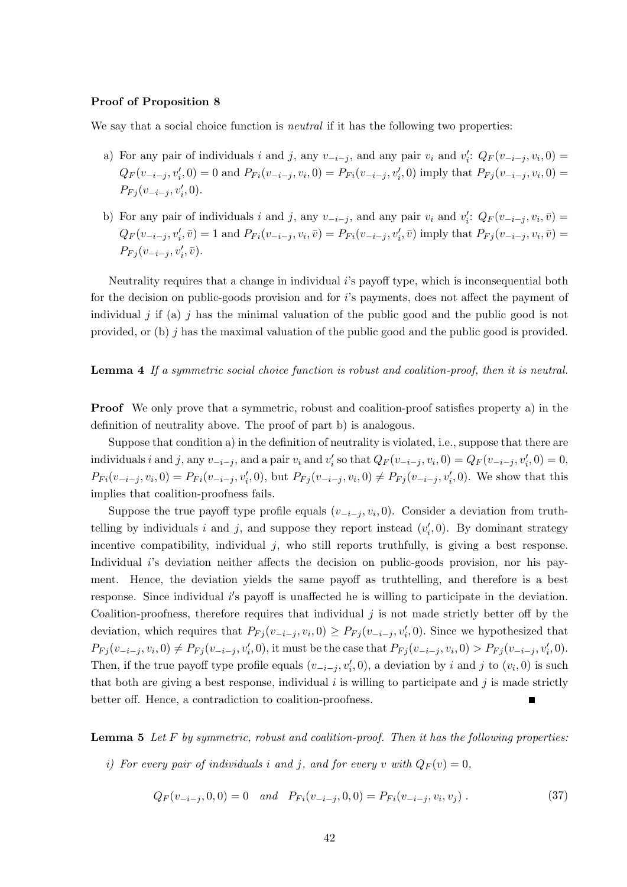#### Proof of Proposition 8

We say that a social choice function is *neutral* if it has the following two properties:

- a) For any pair of individuals i and j, any  $v_{-i-j}$ , and any pair  $v_i$  and  $v'_i$ :  $Q_F(v_{-i-j}, v_i, 0)$  $Q_F(v_{-i-j}, v_i', 0) = 0$  and  $P_{Fi}(v_{-i-j}, v_i, 0) = P_{Fi}(v_{-i-j}, v_i', 0)$  imply that  $P_{Fj}(v_{-i-j}, v_i, 0) =$  $P_{Fj}(v_{-i-j}, v'_i, 0).$
- b) For any pair of individuals i and j, any  $v_{-i-j}$ , and any pair  $v_i$  and  $v'_i$ :  $Q_F(v_{-i-j}, v_i, \bar{v})$  $Q_F(v_{-i-j}, v_i', \bar{v}) = 1$  and  $P_{Fi}(v_{-i-j}, v_i, \bar{v}) = P_{Fi}(v_{-i-j}, v_i', \bar{v})$  imply that  $P_{Fj}(v_{-i-j}, v_i, \bar{v}) =$  $P_{Fj}(v_{-i-j}, v'_i, \bar{v}).$

Neutrality requires that a change in individual  $i$ 's payoff type, which is inconsequential both for the decision on public-goods provision and for  $i$ 's payments, does not affect the payment of individual j if (a) j has the minimal valuation of the public good and the public good is not provided, or (b) j has the maximal valuation of the public good and the public good is provided.

#### Lemma 4 If a symmetric social choice function is robust and coalition-proof, then it is neutral.

Proof We only prove that a symmetric, robust and coalition-proof satisfies property a) in the definition of neutrality above. The proof of part b) is analogous.

Suppose that condition a) in the definition of neutrality is violated, i.e., suppose that there are individuals i and j, any  $v_{-i-j}$ , and a pair  $v_i$  and  $v'_i$  so that  $Q_F(v_{-i-j}, v_i, 0) = Q_F(v_{-i-j}, v'_i, 0) = 0$ ,  $P_{Fi}(v_{-i-j}, v_i, 0) = P_{Fi}(v_{-i-j}, v_i', 0)$ , but  $P_{Fj}(v_{-i-j}, v_i, 0) \neq P_{Fj}(v_{-i-j}, v_i', 0)$ . We show that this implies that coalition-proofness fails.

Suppose the true payoff type profile equals  $(v_{-i-j}, v_i, 0)$ . Consider a deviation from truthtelling by individuals i and j, and suppose they report instead  $(v'_i, 0)$ . By dominant strategy incentive compatibility, individual j, who still reports truthfully, is giving a best response. Individual i's deviation neither affects the decision on public-goods provision, nor his payment. Hence, the deviation yields the same payoff as truthtelling, and therefore is a best response. Since individual  $i$ 's payoff is unaffected he is willing to participate in the deviation. Coalition-proofness, therefore requires that individual  $j$  is not made strictly better off by the deviation, which requires that  $P_{Fj}(v_{-i-j}, v_i, 0) \ge P_{Fj}(v_{-i-j}, v_i', 0)$ . Since we hypothesized that  $P_{Fj}(v_{-i-j}, v_i, 0) \neq P_{Fj}(v_{-i-j}, v'_i, 0)$ , it must be the case that  $P_{Fj}(v_{-i-j}, v_i, 0) > P_{Fj}(v_{-i-j}, v'_i, 0)$ . Then, if the true payoff type profile equals  $(v_{-i-j}, v'_i, 0)$ , a deviation by i and j to  $(v_i, 0)$  is such that both are giving a best response, individual  $i$  is willing to participate and  $j$  is made strictly better off. Hence, a contradiction to coalition-proofness.

**Lemma 5** Let  $F$  by symmetric, robust and coalition-proof. Then it has the following properties:

i) For every pair of individuals i and j, and for every v with  $Q_F(v) = 0$ ,

$$
Q_F(v_{-i-j}, 0, 0) = 0 \quad and \quad P_{Fi}(v_{-i-j}, 0, 0) = P_{Fi}(v_{-i-j}, v_i, v_j) \tag{37}
$$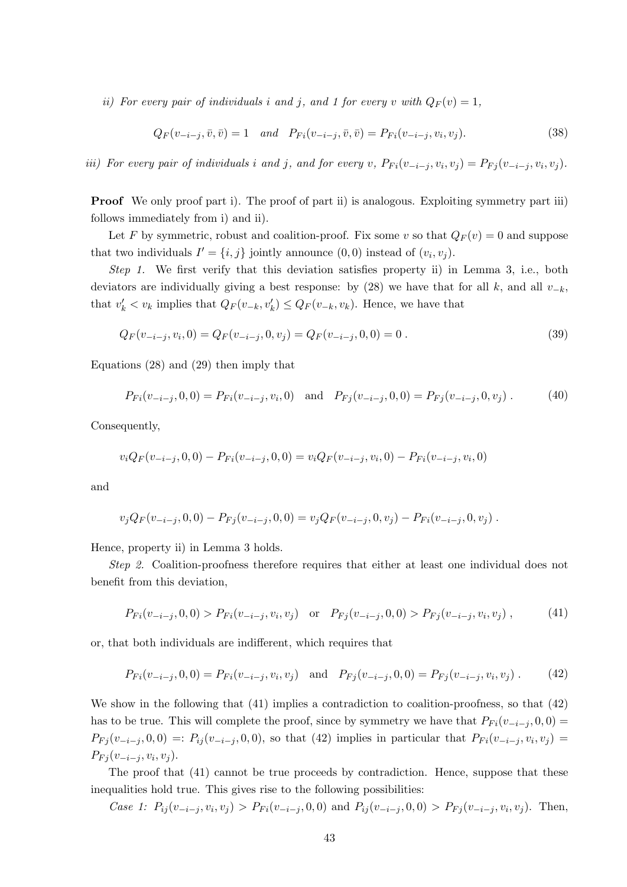ii) For every pair of individuals i and j, and 1 for every v with  $Q_F(v) = 1$ ,

$$
Q_F(v_{-i-j}, \bar{v}, \bar{v}) = 1 \quad and \quad P_{Fi}(v_{-i-j}, \bar{v}, \bar{v}) = P_{Fi}(v_{-i-j}, v_i, v_j). \tag{38}
$$

iii) For every pair of individuals i and j, and for every v,  $P_{Fi}(v_{-i-j}, v_i, v_j) = P_{Fj}(v_{-i-j}, v_i, v_j)$ .

**Proof** We only proof part i). The proof of part ii) is analogous. Exploiting symmetry part iii) follows immediately from i) and ii).

Let F by symmetric, robust and coalition-proof. Fix some v so that  $Q_F(v) = 0$  and suppose that two individuals  $I' = \{i, j\}$  jointly announce  $(0, 0)$  instead of  $(v_i, v_j)$ .

Step 1. We first verify that this deviation satisfies property ii) in Lemma 3, i.e., both deviators are individually giving a best response: by  $(28)$  we have that for all k, and all  $v_{-k}$ , that  $v'_k < v_k$  implies that  $Q_F(v_{-k}, v'_k) \leq Q_F(v_{-k}, v_k)$ . Hence, we have that

$$
Q_F(v_{-i-j}, v_i, 0) = Q_F(v_{-i-j}, 0, v_j) = Q_F(v_{-i-j}, 0, 0) = 0.
$$
\n(39)

Equations (28) and (29) then imply that

$$
P_{Fi}(v_{-i-j}, 0, 0) = P_{Fi}(v_{-i-j}, v_i, 0) \text{ and } P_{Fj}(v_{-i-j}, 0, 0) = P_{Fj}(v_{-i-j}, 0, v_j). \tag{40}
$$

Consequently,

$$
v_i Q_F(v_{-i-j}, 0, 0) - P_{Fi}(v_{-i-j}, 0, 0) = v_i Q_F(v_{-i-j}, v_i, 0) - P_{Fi}(v_{-i-j}, v_i, 0)
$$

and

$$
v_j Q_F(v_{-i-j}, 0, 0) - P_{Fj}(v_{-i-j}, 0, 0) = v_j Q_F(v_{-i-j}, 0, v_j) - P_{Fi}(v_{-i-j}, 0, v_j) .
$$

Hence, property ii) in Lemma 3 holds.

Step 2. Coalition-proofness therefore requires that either at least one individual does not benefit from this deviation,

$$
P_{Fi}(v_{-i-j}, 0, 0) > P_{Fi}(v_{-i-j}, v_i, v_j) \quad \text{or} \quad P_{Fj}(v_{-i-j}, 0, 0) > P_{Fj}(v_{-i-j}, v_i, v_j) \tag{41}
$$

or, that both individuals are indifferent, which requires that

$$
P_{Fi}(v_{-i-j}, 0, 0) = P_{Fi}(v_{-i-j}, v_i, v_j) \text{ and } P_{Fj}(v_{-i-j}, 0, 0) = P_{Fj}(v_{-i-j}, v_i, v_j). \tag{42}
$$

We show in the following that  $(41)$  implies a contradiction to coalition-proofness, so that  $(42)$ has to be true. This will complete the proof, since by symmetry we have that  $P_{Fi}(v_{-i-j}, 0, 0) =$  $P_{Fj}(v_{-i-j},0,0) =: P_{ij}(v_{-i-j},0,0)$ , so that (42) implies in particular that  $P_{Fi}(v_{-i-j},v_i,v_j)$  $P_{Fj}(v_{-i-j}, v_i, v_j).$ 

The proof that (41) cannot be true proceeds by contradiction. Hence, suppose that these inequalities hold true. This gives rise to the following possibilities:

Case 1:  $P_{ij}(v_{-i-j}, v_i, v_j) > P_{Fi}(v_{-i-j}, 0, 0)$  and  $P_{ij}(v_{-i-j}, 0, 0) > P_{Fj}(v_{-i-j}, v_i, v_j)$ . Then,